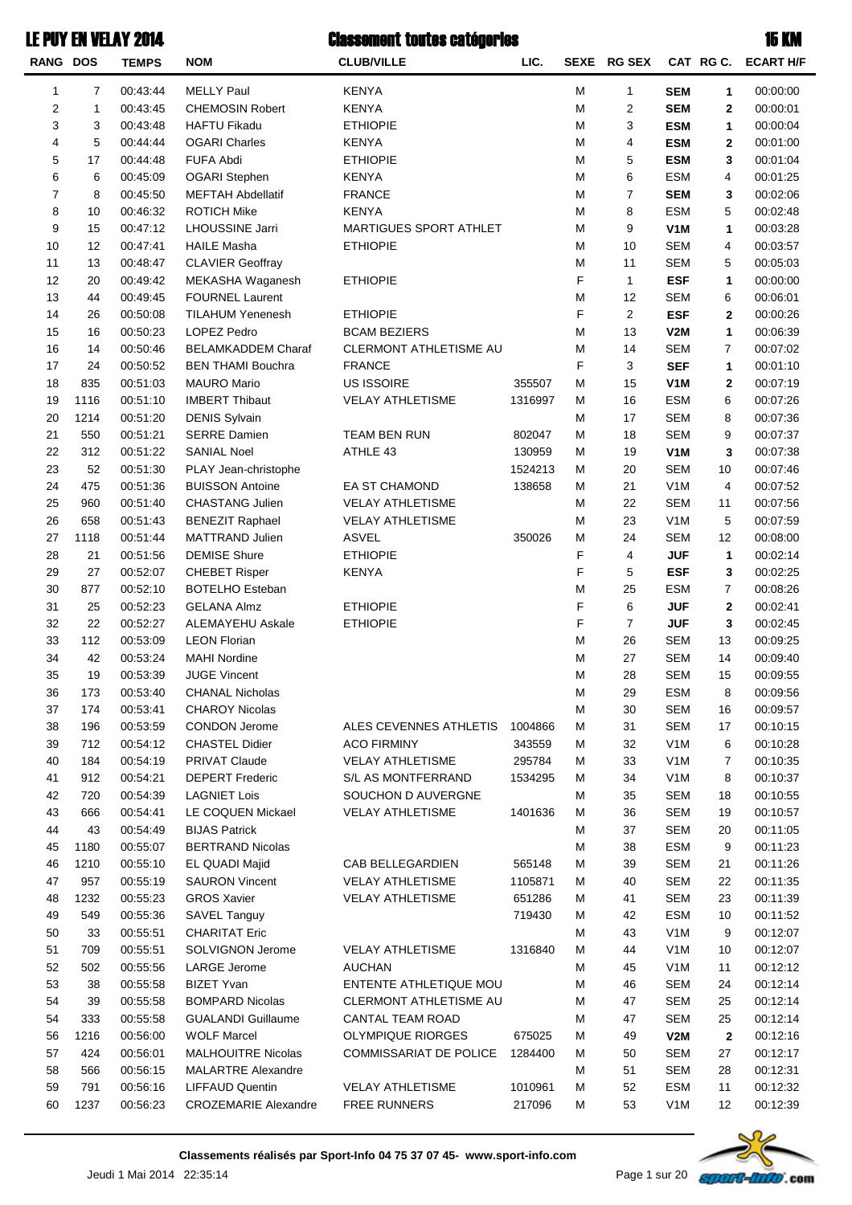| <b>RANG DOS</b> |      | <b>TEMPS</b>         | <b>NOM</b>                                    | <b>CLUB/VILLE</b>             | LIC.    |   | SEXE RG SEX    |                                |                | CAT RG C. ECART H/F |
|-----------------|------|----------------------|-----------------------------------------------|-------------------------------|---------|---|----------------|--------------------------------|----------------|---------------------|
| 1               | 7    | 00:43:44             | <b>MELLY Paul</b>                             | <b>KENYA</b>                  |         | М | $\mathbf{1}$   | <b>SEM</b>                     | 1              | 00:00:00            |
| $\overline{c}$  | 1    | 00:43:45             | <b>CHEMOSIN Robert</b>                        | <b>KENYA</b>                  |         | M | 2              | <b>SEM</b>                     | 2              | 00:00:01            |
| 3               | 3    | 00:43:48             | <b>HAFTU Fikadu</b>                           | <b>ETHIOPIE</b>               |         | M | 3              | <b>ESM</b>                     | 1              | 00:00:04            |
| 4               | 5    | 00:44:44             | <b>OGARI Charles</b>                          | <b>KENYA</b>                  |         | M | 4              | <b>ESM</b>                     | 2              | 00:01:00            |
| 5               | 17   | 00:44:48             | <b>FUFA Abdi</b>                              | <b>ETHIOPIE</b>               |         | M | 5              | <b>ESM</b>                     | 3              | 00:01:04            |
| 6               | 6    | 00:45:09             | <b>OGARI</b> Stephen                          | <b>KENYA</b>                  |         | M | 6              | <b>ESM</b>                     |                | 00:01:25            |
| $\overline{7}$  |      |                      |                                               |                               |         |   | $\overline{7}$ |                                | 4              |                     |
|                 | 8    | 00:45:50             | <b>MEFTAH Abdellatif</b>                      | <b>FRANCE</b><br><b>KENYA</b> |         | M |                | <b>SEM</b><br><b>ESM</b>       | 3              | 00:02:06            |
| 8               | 10   | 00:46:32<br>00:47:12 | <b>ROTICH Mike</b>                            |                               |         | M | 8              |                                | 5              | 00:02:48            |
| 9               | 15   | 00:47:41             | <b>LHOUSSINE Jarri</b>                        | MARTIGUES SPORT ATHLET        |         | M | 9<br>10        | V <sub>1</sub> M<br><b>SEM</b> | 1              | 00:03:28            |
| 10              | 12   |                      | <b>HAILE Masha</b><br><b>CLAVIER Geoffray</b> | <b>ETHIOPIE</b>               |         | M | 11             | <b>SEM</b>                     | 4              | 00:03:57            |
| 11              | 13   | 00:48:47             |                                               |                               |         | M |                |                                | 5              | 00:05:03            |
| 12              | 20   | 00:49:42             | MEKASHA Waganesh                              | <b>ETHIOPIE</b>               |         | F | $\mathbf{1}$   | <b>ESF</b>                     | 1              | 00:00:00            |
| 13              | 44   | 00:49:45             | <b>FOURNEL Laurent</b>                        |                               |         | M | 12             | <b>SEM</b>                     | 6              | 00:06:01            |
| 14              | 26   | 00:50:08             | <b>TILAHUM Yenenesh</b>                       | <b>ETHIOPIE</b>               |         | F | $\overline{2}$ | <b>ESF</b>                     | 2              | 00:00:26            |
| 15              | 16   | 00:50:23             | LOPEZ Pedro                                   | <b>BCAM BEZIERS</b>           |         | M | 13             | V2M                            | 1              | 00:06:39            |
| 16              | 14   | 00:50:46             | <b>BELAMKADDEM Charaf</b>                     | CLERMONT ATHLETISME AU        |         | M | 14             | <b>SEM</b>                     | 7              | 00:07:02            |
| 17              | 24   | 00:50:52             | <b>BEN THAMI Bouchra</b>                      | <b>FRANCE</b>                 |         | F | 3              | <b>SEF</b>                     | 1              | 00:01:10            |
| 18              | 835  | 00:51:03             | <b>MAURO Mario</b>                            | US ISSOIRE                    | 355507  | M | 15             | V <sub>1</sub> M               | 2              | 00:07:19            |
| 19              | 1116 | 00:51:10             | <b>IMBERT Thibaut</b>                         | <b>VELAY ATHLETISME</b>       | 1316997 | м | 16             | <b>ESM</b>                     | 6              | 00:07:26            |
| 20              | 1214 | 00:51:20             | <b>DENIS Sylvain</b>                          |                               |         | м | 17             | <b>SEM</b>                     | 8              | 00:07:36            |
| 21              | 550  | 00:51:21             | <b>SERRE Damien</b>                           | TEAM BEN RUN                  | 802047  | М | 18             | <b>SEM</b>                     | 9              | 00:07:37            |
| 22              | 312  | 00:51:22             | <b>SANIAL Noel</b>                            | ATHLE 43                      | 130959  | м | 19             | V <sub>1</sub> M               | 3              | 00:07:38            |
| 23              | 52   | 00:51:30             | PLAY Jean-christophe                          |                               | 1524213 | м | 20             | <b>SEM</b>                     | 10             | 00:07:46            |
| 24              | 475  | 00:51:36             | <b>BUISSON Antoine</b>                        | <b>EA ST CHAMOND</b>          | 138658  | м | 21             | V <sub>1</sub> M               | 4              | 00:07:52            |
| 25              | 960  | 00:51:40             | <b>CHASTANG Julien</b>                        | <b>VELAY ATHLETISME</b>       |         | М | 22             | <b>SEM</b>                     | 11             | 00:07:56            |
| 26              | 658  | 00:51:43             | <b>BENEZIT Raphael</b>                        | <b>VELAY ATHLETISME</b>       |         | M | 23             | V <sub>1</sub> M               | 5              | 00:07:59            |
| 27              | 1118 | 00:51:44             | MATTRAND Julien                               | <b>ASVEL</b>                  | 350026  | M | 24             | <b>SEM</b>                     | 12             | 00:08:00            |
| 28              | 21   | 00:51:56             | <b>DEMISE Shure</b>                           | <b>ETHIOPIE</b>               |         | F | 4              | <b>JUF</b>                     | 1              | 00:02:14            |
| 29              | 27   | 00:52:07             | <b>CHEBET Risper</b>                          | <b>KENYA</b>                  |         | F | 5              | <b>ESF</b>                     | 3              | 00:02:25            |
| 30              | 877  | 00:52:10             | <b>BOTELHO Esteban</b>                        |                               |         | M | 25             | <b>ESM</b>                     | 7              | 00:08:26            |
| 31              | 25   | 00:52:23             | <b>GELANA Almz</b>                            | <b>ETHIOPIE</b>               |         | F | 6              | <b>JUF</b>                     | 2              | 00:02:41            |
| 32              | 22   | 00:52:27             | <b>ALEMAYEHU Askale</b>                       | <b>ETHIOPIE</b>               |         | F | $\overline{7}$ | <b>JUF</b>                     | 3              | 00:02:45            |
| 33              | 112  | 00:53:09             | <b>LEON Florian</b>                           |                               |         | M | 26             | <b>SEM</b>                     | 13             | 00:09:25            |
| 34              | 42   | 00:53:24             | <b>MAHI Nordine</b>                           |                               |         | M | 27             | <b>SEM</b>                     | 14             | 00:09:40            |
| 35              | 19   | 00:53:39             | <b>JUGE Vincent</b>                           |                               |         | M | 28             | <b>SEM</b>                     | 15             | 00:09:55            |
| 36              | 173  | 00:53:40             | CHANAL Nicholas                               |                               |         | м | 29             | ESM                            | 8              | 00:09:56            |
| 37              | 174  | 00:53:41             | <b>CHAROY Nicolas</b>                         |                               |         | M | 30             | SEM                            | 16             | 00:09:57            |
| 38              | 196  | 00:53:59             | <b>CONDON Jerome</b>                          | ALES CEVENNES ATHLETIS        | 1004866 | м | 31             | SEM                            | 17             | 00:10:15            |
| 39              | 712  | 00:54:12             | <b>CHASTEL Didier</b>                         | <b>ACO FIRMINY</b>            | 343559  | м | 32             | V <sub>1</sub> M               | 6              | 00:10:28            |
| 40              | 184  | 00:54:19             | PRIVAT Claude                                 | <b>VELAY ATHLETISME</b>       | 295784  | м | 33             | V <sub>1</sub> M               | $\overline{7}$ | 00:10:35            |
| 41              | 912  | 00:54:21             | <b>DEPERT Frederic</b>                        | S/L AS MONTFERRAND            | 1534295 | м | 34             | V <sub>1</sub> M               | 8              | 00:10:37            |
| 42              | 720  | 00:54:39             | <b>LAGNIET Lois</b>                           | SOUCHON D AUVERGNE            |         | м | 35             | SEM                            | 18             | 00:10:55            |
| 43              | 666  | 00:54:41             | LE COQUEN Mickael                             | <b>VELAY ATHLETISME</b>       | 1401636 | м | 36             | SEM                            | 19             | 00:10:57            |
| 44              | 43   | 00:54:49             | <b>BIJAS Patrick</b>                          |                               |         | м | 37             | SEM                            | 20             | 00:11:05            |
| 45              | 1180 | 00:55:07             | <b>BERTRAND Nicolas</b>                       |                               |         | м | 38             | <b>ESM</b>                     | 9              | 00:11:23            |
| 46              | 1210 | 00:55:10             | EL QUADI Majid                                | CAB BELLEGARDIEN              | 565148  | м | 39             | SEM                            | 21             | 00:11:26            |
| 47              | 957  | 00:55:19             | <b>SAURON Vincent</b>                         | <b>VELAY ATHLETISME</b>       | 1105871 | м | 40             | SEM                            | 22             | 00:11:35            |
| 48              | 1232 | 00:55:23             | <b>GROS Xavier</b>                            | <b>VELAY ATHLETISME</b>       | 651286  | м | 41             | SEM                            | 23             | 00:11:39            |
| 49              | 549  | 00:55:36             | SAVEL Tanguy                                  |                               | 719430  | м | 42             | <b>ESM</b>                     | 10             | 00:11:52            |
| 50              | 33   | 00:55:51             | <b>CHARITAT Eric</b>                          |                               |         | м | 43             | V <sub>1</sub> M               | 9              | 00:12:07            |
| 51              | 709  | 00:55:51             | SOLVIGNON Jerome                              | <b>VELAY ATHLETISME</b>       | 1316840 | м | 44             | V <sub>1</sub> M               | 10             | 00:12:07            |
| 52              | 502  | 00:55:56             | LARGE Jerome                                  | <b>AUCHAN</b>                 |         | м | 45             | V <sub>1</sub> M               | 11             | 00:12:12            |
| 53              | 38   | 00:55:58             | <b>BIZET Yvan</b>                             | ENTENTE ATHLETIQUE MOU        |         | M | 46             | SEM                            | 24             | 00:12:14            |
| 54              | 39   | 00:55:58             | <b>BOMPARD Nicolas</b>                        | <b>CLERMONT ATHLETISME AU</b> |         | м | 47             | SEM                            | 25             | 00:12:14            |
| 54              | 333  | 00:55:58             | <b>GUALANDI Guillaume</b>                     | <b>CANTAL TEAM ROAD</b>       |         | м | 47             | <b>SEM</b>                     | 25             | 00:12:14            |
| 56              | 1216 | 00:56:00             | <b>WOLF Marcel</b>                            | <b>OLYMPIQUE RIORGES</b>      | 675025  | м | 49             | V2M                            | $\mathbf{2}$   | 00:12:16            |
| 57              | 424  | 00:56:01             | <b>MALHOUITRE Nicolas</b>                     | COMMISSARIAT DE POLICE        | 1284400 | м | 50             | <b>SEM</b>                     | 27             | 00:12:17            |
| 58              | 566  | 00:56:15             | <b>MALARTRE Alexandre</b>                     |                               |         | м | 51             | <b>SEM</b>                     | 28             | 00:12:31            |
| 59              | 791  | 00:56:16             | <b>LIFFAUD Quentin</b>                        | <b>VELAY ATHLETISME</b>       | 1010961 | м | 52             | <b>ESM</b>                     | 11             | 00:12:32            |
| 60              | 1237 | 00:56:23             | <b>CROZEMARIE Alexandre</b>                   | FREE RUNNERS                  | 217096  | м | 53             | V <sub>1</sub> M               | 12             | 00:12:39            |

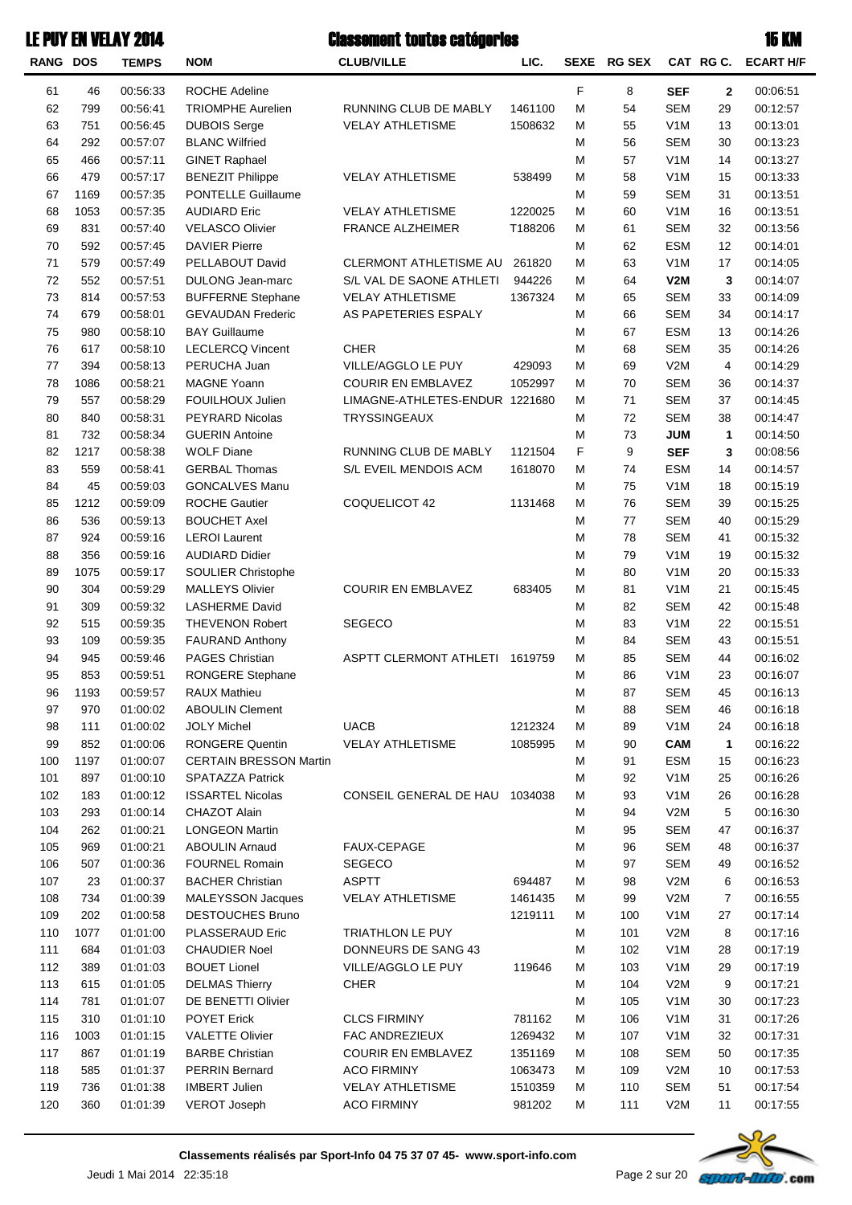| <b>RANG DOS</b> |      | <b>TEMPS</b> | <b>NOM</b>                                    | <b>CLUB/VILLE</b>              | LIC.    | <b>SEXE</b> | <b>RG SEX</b> |                  | CAT RGC.    | <b>ECART H/F</b> |
|-----------------|------|--------------|-----------------------------------------------|--------------------------------|---------|-------------|---------------|------------------|-------------|------------------|
| 61              | 46   | 00:56:33     | <b>ROCHE Adeline</b>                          |                                |         | F           | 8             | <b>SEF</b>       | $\mathbf 2$ | 00:06:51         |
| 62              | 799  | 00:56:41     | <b>TRIOMPHE Aurelien</b>                      | RUNNING CLUB DE MABLY          | 1461100 | M           | 54            | <b>SEM</b>       | 29          | 00:12:57         |
| 63              | 751  | 00:56:45     | <b>DUBOIS Serge</b>                           | <b>VELAY ATHLETISME</b>        | 1508632 | М           | 55            | V <sub>1</sub> M | 13          | 00:13:01         |
| 64              | 292  | 00:57:07     | <b>BLANC Wilfried</b>                         |                                |         | M           | 56            | <b>SEM</b>       | 30          | 00:13:23         |
| 65              | 466  | 00:57:11     | <b>GINET Raphael</b>                          |                                |         | M           | 57            | V <sub>1</sub> M | 14          | 00:13:27         |
| 66              | 479  | 00:57:17     | <b>BENEZIT Philippe</b>                       | <b>VELAY ATHLETISME</b>        | 538499  | M           | 58            | V <sub>1</sub> M | 15          | 00:13:33         |
| 67              | 1169 | 00:57:35     | PONTELLE Guillaume                            |                                |         | M           | 59            | <b>SEM</b>       | 31          | 00:13:51         |
| 68              | 1053 | 00:57:35     | <b>AUDIARD Eric</b>                           | <b>VELAY ATHLETISME</b>        | 1220025 | M           | 60            | V <sub>1</sub> M | 16          | 00:13:51         |
| 69              | 831  | 00:57:40     | <b>VELASCO Olivier</b>                        | <b>FRANCE ALZHEIMER</b>        | T188206 | M           | 61            | <b>SEM</b>       | 32          | 00:13:56         |
| 70              | 592  | 00:57:45     | <b>DAVIER Pierre</b>                          |                                |         | M           | 62            | <b>ESM</b>       | 12          | 00:14:01         |
| 71              | 579  | 00:57:49     | PELLABOUT David                               | CLERMONT ATHLETISME AU         | 261820  | M           | 63            | V <sub>1</sub> M | 17          | 00:14:05         |
| 72              | 552  | 00:57:51     | DULONG Jean-marc                              | S/L VAL DE SAONE ATHLETI       | 944226  | M           | 64            | V2M              | 3           | 00:14:07         |
| 73              | 814  | 00:57:53     | <b>BUFFERNE Stephane</b>                      | <b>VELAY ATHLETISME</b>        | 1367324 | M           | 65            | <b>SEM</b>       | 33          | 00:14:09         |
| 74              | 679  | 00:58:01     | <b>GEVAUDAN Frederic</b>                      | AS PAPETERIES ESPALY           |         | M           | 66            | <b>SEM</b>       | 34          | 00:14:17         |
| 75              | 980  | 00:58:10     | <b>BAY Guillaume</b>                          |                                |         | M           | 67            | <b>ESM</b>       | 13          | 00:14:26         |
| 76              | 617  | 00:58:10     | <b>LECLERCQ Vincent</b>                       | <b>CHER</b>                    |         | M           | 68            | <b>SEM</b>       | 35          | 00:14:26         |
| 77              | 394  | 00:58:13     | PERUCHA Juan                                  | VILLE/AGGLO LE PUY             | 429093  | M           | 69            | V2M              | 4           | 00:14:29         |
| 78              | 1086 | 00:58:21     | <b>MAGNE Yoann</b>                            | <b>COURIR EN EMBLAVEZ</b>      | 1052997 | М           | 70            | <b>SEM</b>       | 36          | 00:14:37         |
| 79              | 557  | 00:58:29     | FOUILHOUX Julien                              | LIMAGNE-ATHLETES-ENDUR 1221680 |         | M           | 71            | <b>SEM</b>       | 37          | 00:14:45         |
| 80              | 840  | 00:58:31     | <b>PEYRARD Nicolas</b>                        | TRYSSINGEAUX                   |         | M           | 72            | <b>SEM</b>       | 38          | 00:14:47         |
|                 | 732  | 00:58:34     | <b>GUERIN Antoine</b>                         |                                |         |             | 73            |                  |             | 00:14:50         |
| 81              | 1217 |              | <b>WOLF Diane</b>                             | RUNNING CLUB DE MABLY          |         | M           | 9             | <b>JUM</b>       | 1           |                  |
| 82              |      | 00:58:38     |                                               |                                | 1121504 | F           |               | <b>SEF</b>       | 3           | 00:08:56         |
| 83              | 559  | 00:58:41     | <b>GERBAL Thomas</b>                          | S/L EVEIL MENDOIS ACM          | 1618070 | M           | 74            | <b>ESM</b>       | 14          | 00:14:57         |
| 84              | 45   | 00:59:03     | <b>GONCALVES Manu</b><br><b>ROCHE Gautier</b> |                                |         | M           | 75            | V <sub>1</sub> M | 18          | 00:15:19         |
| 85              | 1212 | 00:59:09     |                                               | COQUELICOT 42                  | 1131468 | M           | 76            | <b>SEM</b>       | 39          | 00:15:25         |
| 86              | 536  | 00:59:13     | <b>BOUCHET Axel</b>                           |                                |         | M           | 77            | <b>SEM</b>       | 40          | 00:15:29         |
| 87              | 924  | 00:59:16     | <b>LEROI</b> Laurent                          |                                |         | M           | 78            | <b>SEM</b>       | 41          | 00:15:32         |
| 88              | 356  | 00:59:16     | <b>AUDIARD Didier</b>                         |                                |         | M           | 79            | V <sub>1</sub> M | 19          | 00:15:32         |
| 89              | 1075 | 00:59:17     | SOULIER Christophe                            |                                |         | M           | 80            | V <sub>1</sub> M | 20          | 00:15:33         |
| 90              | 304  | 00:59:29     | <b>MALLEYS Olivier</b>                        | <b>COURIR EN EMBLAVEZ</b>      | 683405  | M           | 81            | V <sub>1</sub> M | 21          | 00:15:45         |
| 91              | 309  | 00:59:32     | <b>LASHERME David</b>                         |                                |         | M           | 82            | <b>SEM</b>       | 42          | 00:15:48         |
| 92              | 515  | 00:59:35     | <b>THEVENON Robert</b>                        | <b>SEGECO</b>                  |         | M           | 83            | V <sub>1</sub> M | 22          | 00:15:51         |
| 93              | 109  | 00:59:35     | <b>FAURAND Anthony</b>                        |                                |         | M           | 84            | <b>SEM</b>       | 43          | 00:15:51         |
| 94              | 945  | 00:59:46     | <b>PAGES Christian</b>                        | <b>ASPTT CLERMONT ATHLETI</b>  | 1619759 | M           | 85            | <b>SEM</b>       | 44          | 00:16:02         |
| 95              | 853  | 00:59:51     | RONGERE Stephane                              |                                |         | M           | 86            | V <sub>1</sub> M | 23          | 00:16:07         |
| 96              | 1193 | 00:59:57     | RAUX Mathieu                                  |                                |         | M           | 87            | <b>SEM</b>       | 45          | 00:16:13         |
| 97              | 970  | 01:00:02     | <b>ABOULIN Clement</b>                        |                                |         | M           | 88            | <b>SEM</b>       | 46          | 00:16:18         |
| 98              | 111  | 01:00:02     | <b>JOLY Michel</b>                            | <b>UACB</b>                    | 1212324 | M           | 89            | V <sub>1</sub> M | 24          | 00:16:18         |
| 99              | 852  | 01:00:06     | <b>RONGERE Quentin</b>                        | <b>VELAY ATHLETISME</b>        | 1085995 | M           | 90            | <b>CAM</b>       | 1           | 00:16:22         |
| 100             | 1197 | 01:00:07     | <b>CERTAIN BRESSON Martin</b>                 |                                |         | M           | 91            | <b>ESM</b>       | 15          | 00:16:23         |
| 101             | 897  | 01:00:10     | <b>SPATAZZA Patrick</b>                       |                                |         | M           | 92            | V <sub>1</sub> M | 25          | 00:16:26         |
| 102             | 183  | 01:00:12     | <b>ISSARTEL Nicolas</b>                       | CONSEIL GENERAL DE HAU 1034038 |         | M           | 93            | V <sub>1</sub> M | 26          | 00:16:28         |
| 103             | 293  | 01:00:14     | CHAZOT Alain                                  |                                |         | M           | 94            | V2M              | 5           | 00:16:30         |
| 104             | 262  | 01:00:21     | <b>LONGEON Martin</b>                         |                                |         | M           | 95            | <b>SEM</b>       | 47          | 00:16:37         |
| 105             | 969  | 01:00:21     | <b>ABOULIN Arnaud</b>                         | FAUX-CEPAGE                    |         | M           | 96            | <b>SEM</b>       | 48          | 00:16:37         |
| 106             | 507  | 01:00:36     | <b>FOURNEL Romain</b>                         | <b>SEGECO</b>                  |         | M           | 97            | <b>SEM</b>       | 49          | 00:16:52         |
| 107             | 23   | 01:00:37     | <b>BACHER Christian</b>                       | <b>ASPTT</b>                   | 694487  | M           | 98            | V2M              | 6           | 00:16:53         |
| 108             | 734  | 01:00:39     | MALEYSSON Jacques                             | <b>VELAY ATHLETISME</b>        | 1461435 | M           | 99            | V2M              | 7           | 00:16:55         |
| 109             | 202  | 01:00:58     | <b>DESTOUCHES Bruno</b>                       |                                | 1219111 | M           | 100           | V <sub>1</sub> M | 27          | 00:17:14         |
| 110             | 1077 | 01:01:00     | PLASSERAUD Eric                               | TRIATHLON LE PUY               |         | M           | 101           | V2M              | 8           | 00:17:16         |
| 111             | 684  | 01:01:03     | <b>CHAUDIER Noel</b>                          | DONNEURS DE SANG 43            |         | M           | 102           | V <sub>1</sub> M | 28          | 00:17:19         |
| 112             | 389  | 01:01:03     | <b>BOUET Lionel</b>                           | VILLE/AGGLO LE PUY             | 119646  | M           | 103           | V <sub>1</sub> M | 29          | 00:17:19         |
| 113             | 615  | 01:01:05     | <b>DELMAS Thierry</b>                         | <b>CHER</b>                    |         | M           | 104           | V2M              | 9           | 00:17:21         |
| 114             | 781  | 01:01:07     | DE BENETTI Olivier                            |                                |         | M           | 105           | V <sub>1</sub> M | 30          | 00:17:23         |
| 115             | 310  | 01:01:10     | <b>POYET Erick</b>                            | <b>CLCS FIRMINY</b>            | 781162  | M           | 106           | V <sub>1</sub> M | 31          | 00:17:26         |
| 116             | 1003 | 01:01:15     | <b>VALETTE Olivier</b>                        | FAC ANDREZIEUX                 | 1269432 | M           | 107           | V <sub>1</sub> M | 32          | 00:17:31         |
| 117             | 867  | 01:01:19     | <b>BARBE Christian</b>                        | <b>COURIR EN EMBLAVEZ</b>      | 1351169 | м           | 108           | <b>SEM</b>       | 50          | 00:17:35         |
| 118             | 585  | 01:01:37     | <b>PERRIN Bernard</b>                         | <b>ACO FIRMINY</b>             | 1063473 | м           | 109           | V2M              | 10          | 00:17:53         |
| 119             | 736  | 01:01:38     | <b>IMBERT Julien</b>                          | <b>VELAY ATHLETISME</b>        | 1510359 | м           | 110           | <b>SEM</b>       | 51          | 00:17:54         |
| 120             | 360  | 01:01:39     | VEROT Joseph                                  | <b>ACO FIRMINY</b>             | 981202  | M           | 111           | V2M              | 11          | 00:17:55         |

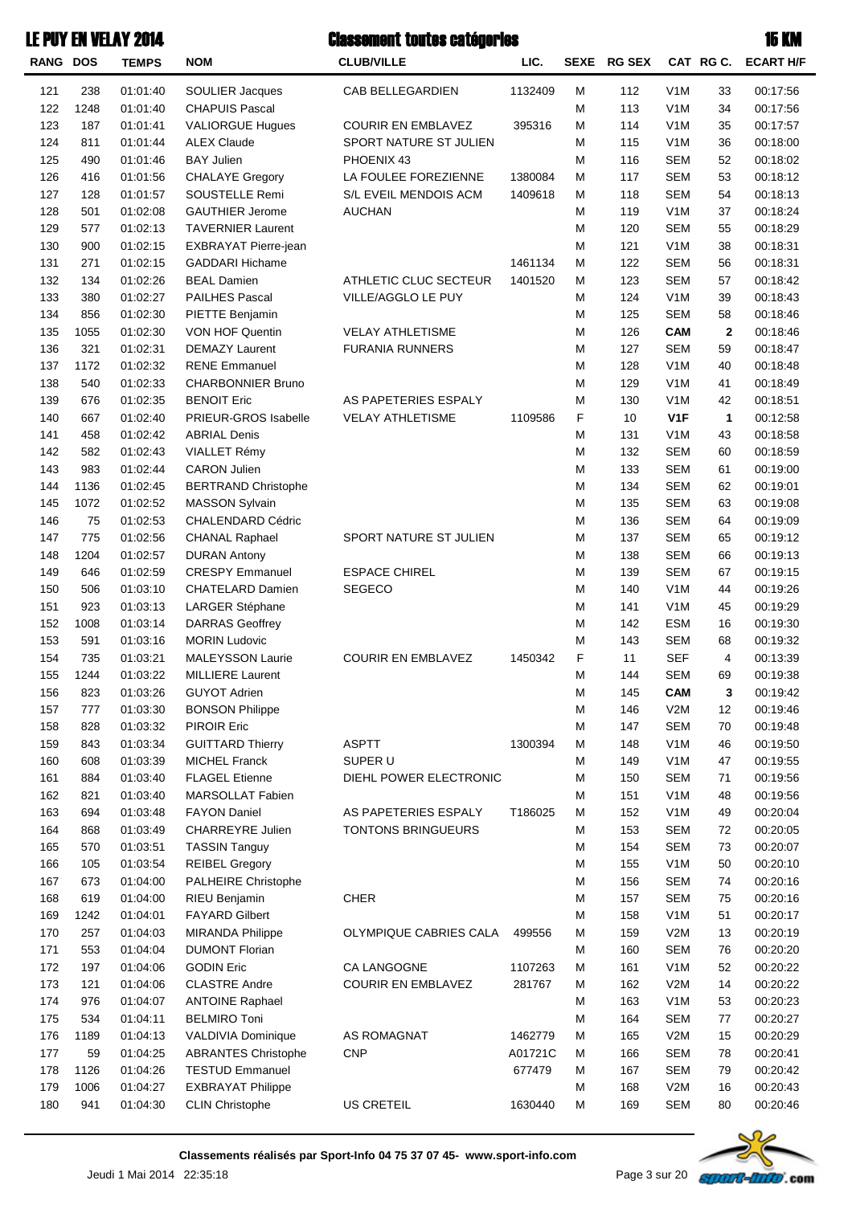| <b>LE PUY EN VELAY 2014</b> |      |              | <b>Classement toutes catégories</b> |                           |         |   |             |                  |                | <b>15 KM</b>     |
|-----------------------------|------|--------------|-------------------------------------|---------------------------|---------|---|-------------|------------------|----------------|------------------|
| <b>RANG DOS</b>             |      | <b>TEMPS</b> | <b>NOM</b>                          | <b>CLUB/VILLE</b>         | LIC.    |   | SEXE RG SEX |                  | CAT RGC.       | <b>ECART H/F</b> |
| 121                         | 238  | 01:01:40     | <b>SOULIER Jacques</b>              | CAB BELLEGARDIEN          | 1132409 | M | 112         | V <sub>1</sub> M | 33             | 00:17:56         |
| 122                         | 1248 | 01:01:40     | <b>CHAPUIS Pascal</b>               |                           |         | M | 113         | V <sub>1</sub> M | 34             | 00:17:56         |
| 123                         | 187  | 01:01:41     | <b>VALIORGUE Hugues</b>             | <b>COURIR EN EMBLAVEZ</b> | 395316  | М | 114         | V <sub>1</sub> M | 35             | 00:17:57         |
| 124                         | 811  | 01:01:44     | <b>ALEX Claude</b>                  | SPORT NATURE ST JULIEN    |         | M | 115         | V <sub>1</sub> M | 36             | 00:18:00         |
| 125                         | 490  | 01:01:46     | <b>BAY Julien</b>                   | PHOENIX 43                |         | M | 116         | <b>SEM</b>       | 52             | 00:18:02         |
| 126                         | 416  | 01:01:56     | <b>CHALAYE Gregory</b>              | LA FOULEE FOREZIENNE      | 1380084 | М | 117         | <b>SEM</b>       | 53             | 00:18:12         |
| 127                         | 128  | 01:01:57     | SOUSTELLE Remi                      | S/L EVEIL MENDOIS ACM     | 1409618 | М | 118         | <b>SEM</b>       | 54             | 00:18:13         |
| 128                         | 501  | 01:02:08     | <b>GAUTHIER Jerome</b>              | <b>AUCHAN</b>             |         | М | 119         | V <sub>1</sub> M | 37             | 00:18:24         |
| 129                         | 577  | 01:02:13     | <b>TAVERNIER Laurent</b>            |                           |         | M | 120         | <b>SEM</b>       | 55             | 00:18:29         |
| 130                         | 900  | 01:02:15     | EXBRAYAT Pierre-jean                |                           |         | M | 121         | V <sub>1</sub> M | 38             | 00:18:31         |
| 131                         | 271  | 01:02:15     | <b>GADDARI Hichame</b>              |                           | 1461134 | М | 122         | <b>SEM</b>       | 56             | 00:18:31         |
| 132                         | 134  | 01:02:26     | <b>BEAL Damien</b>                  | ATHLETIC CLUC SECTEUR     | 1401520 | М | 123         | <b>SEM</b>       | 57             | 00:18:42         |
| 133                         | 380  | 01:02:27     | PAILHES Pascal                      | VILLE/AGGLO LE PUY        |         | М | 124         | V <sub>1</sub> M | 39             | 00:18:43         |
| 134                         | 856  | 01:02:30     | PIETTE Benjamin                     |                           |         | М | 125         | <b>SEM</b>       | 58             | 00:18:46         |
| 135                         | 1055 | 01:02:30     | VON HOF Quentin                     | <b>VELAY ATHLETISME</b>   |         | M | 126         | <b>CAM</b>       | $\mathbf 2$    | 00:18:46         |
| 136                         | 321  | 01:02:31     | <b>DEMAZY Laurent</b>               | <b>FURANIA RUNNERS</b>    |         | M | 127         | <b>SEM</b>       | 59             | 00:18:47         |
| 137                         | 1172 | 01:02:32     | <b>RENE Emmanuel</b>                |                           |         | M | 128         | V <sub>1</sub> M | 40             | 00:18:48         |
| 138                         | 540  | 01:02:33     | <b>CHARBONNIER Bruno</b>            |                           |         | M | 129         | V <sub>1</sub> M | 41             | 00:18:49         |
| 139                         | 676  | 01:02:35     | <b>BENOIT Eric</b>                  | AS PAPETERIES ESPALY      |         | M | 130         | V <sub>1</sub> M | 42             | 00:18:51         |
| 140                         | 667  | 01:02:40     | <b>PRIEUR-GROS Isabelle</b>         | <b>VELAY ATHLETISME</b>   | 1109586 | F | 10          | V <sub>1</sub> F | 1              | 00:12:58         |
| 141                         | 458  | 01:02:42     | <b>ABRIAL Denis</b>                 |                           |         | M | 131         | V <sub>1</sub> M | 43             | 00:18:58         |
| 142                         | 582  | 01:02:43     | <b>VIALLET Rémy</b>                 |                           |         | M | 132         | <b>SEM</b>       | 60             | 00:18:59         |
| 143                         | 983  | 01:02:44     | <b>CARON Julien</b>                 |                           |         | M | 133         | <b>SEM</b>       | 61             | 00:19:00         |
| 144                         | 1136 | 01:02:45     | <b>BERTRAND Christophe</b>          |                           |         | M | 134         | <b>SEM</b>       | 62             | 00:19:01         |
| 145                         | 1072 | 01:02:52     | <b>MASSON Sylvain</b>               |                           |         | M | 135         | <b>SEM</b>       | 63             | 00:19:08         |
| 146                         | 75   | 01:02:53     | <b>CHALENDARD Cédric</b>            |                           |         | M | 136         | <b>SEM</b>       | 64             | 00:19:09         |
| 147                         | 775  | 01:02:56     | <b>CHANAL Raphael</b>               | SPORT NATURE ST JULIEN    |         | M | 137         | <b>SEM</b>       | 65             | 00:19:12         |
| 148                         | 1204 | 01:02:57     | <b>DURAN Antony</b>                 |                           |         | M | 138         | <b>SEM</b>       | 66             | 00:19:13         |
| 149                         | 646  | 01:02:59     | <b>CRESPY Emmanuel</b>              | <b>ESPACE CHIREL</b>      |         | M | 139         | <b>SEM</b>       | 67             | 00:19:15         |
| 150                         | 506  | 01:03:10     | <b>CHATELARD Damien</b>             | <b>SEGECO</b>             |         | M | 140         | V <sub>1</sub> M | 44             | 00:19:26         |
| 151                         | 923  | 01:03:13     | LARGER Stéphane                     |                           |         | M | 141         | V <sub>1</sub> M | 45             | 00:19:29         |
| 152                         | 1008 | 01:03:14     | <b>DARRAS Geoffrey</b>              |                           |         | M | 142         | <b>ESM</b>       | 16             | 00:19:30         |
| 153                         | 591  | 01:03:16     | <b>MORIN Ludovic</b>                |                           |         | M | 143         | <b>SEM</b>       | 68             | 00:19:32         |
| 154                         | 735  | 01:03:21     | <b>MALEYSSON Laurie</b>             | <b>COURIR EN EMBLAVEZ</b> | 1450342 | F | 11          | <b>SEF</b>       | $\overline{4}$ | 00:13:39         |
| 155                         | 1244 | 01:03:22     | <b>MILLIERE Laurent</b>             |                           |         | M | 144         | SEM              | 69             | 00:19:38         |
| 156                         | 823  | 01:03:26     | <b>GUYOT Adrien</b>                 |                           |         | M | 145         | <b>CAM</b>       | 3              | 00:19:42         |
| 157                         | 777  | 01:03:30     | <b>BONSON Philippe</b>              |                           |         | M | 146         | V2M              | 12             | 00:19:46         |
| 158                         | 828  | 01:03:32     | <b>PIROIR Eric</b>                  |                           |         | M | 147         | <b>SEM</b>       | 70             | 00:19:48         |
| 159                         | 843  | 01:03:34     | <b>GUITTARD Thierry</b>             | <b>ASPTT</b>              | 1300394 | M | 148         | V <sub>1</sub> M | 46             | 00:19:50         |
| 160                         | 608  | 01:03:39     | <b>MICHEL Franck</b>                | SUPER U                   |         | M | 149         | V <sub>1</sub> M | 47             | 00:19:55         |
| 161                         | 884  | 01:03:40     | <b>FLAGEL Etienne</b>               | DIEHL POWER ELECTRONIC    |         | M | 150         | <b>SEM</b>       | 71             | 00:19:56         |
| 162                         | 821  | 01:03:40     | MARSOLLAT Fabien                    |                           |         | M | 151         | V <sub>1</sub> M | 48             | 00:19:56         |
| 163                         | 694  | 01:03:48     | <b>FAYON Daniel</b>                 | AS PAPETERIES ESPALY      | T186025 | M | 152         | V <sub>1</sub> M | 49             | 00:20:04         |
| 164                         | 868  | 01:03:49     | CHARREYRE Julien                    | TONTONS BRINGUEURS        |         | M | 153         | <b>SEM</b>       | 72             | 00:20:05         |
| 165                         | 570  | 01:03:51     | <b>TASSIN Tanguy</b>                |                           |         | M | 154         | <b>SEM</b>       | 73             | 00:20:07         |
| 166                         | 105  | 01:03:54     | <b>REIBEL Gregory</b>               |                           |         | M | 155         | V <sub>1</sub> M | 50             | 00:20:10         |
| 167                         | 673  | 01:04:00     | PALHEIRE Christophe                 |                           |         | M | 156         | <b>SEM</b>       | 74             | 00:20:16         |
| 168                         | 619  | 01:04:00     | RIEU Benjamin                       | <b>CHER</b>               |         | M | 157         | <b>SEM</b>       | 75             | 00:20:16         |
| 169                         | 1242 | 01:04:01     | <b>FAYARD Gilbert</b>               |                           |         | M | 158         | V <sub>1</sub> M | 51             | 00:20:17         |
| 170                         | 257  | 01:04:03     | <b>MIRANDA Philippe</b>             | OLYMPIQUE CABRIES CALA    | 499556  | M | 159         | V2M              | 13             | 00:20:19         |
| 171                         | 553  | 01:04:04     | <b>DUMONT Florian</b>               |                           |         | M | 160         | <b>SEM</b>       | 76             | 00:20:20         |
| 172                         | 197  | 01:04:06     | <b>GODIN Eric</b>                   | CA LANGOGNE               | 1107263 | M | 161         | V <sub>1</sub> M | 52             | 00:20:22         |
| 173                         | 121  | 01:04:06     | <b>CLASTRE Andre</b>                | <b>COURIR EN EMBLAVEZ</b> | 281767  | M | 162         | V2M              | 14             | 00:20:22         |
| 174                         | 976  | 01:04:07     | <b>ANTOINE Raphael</b>              |                           |         | M | 163         | V <sub>1</sub> M | 53             | 00:20:23         |
| 175                         | 534  | 01:04:11     | <b>BELMIRO Toni</b>                 |                           |         | M | 164         | <b>SEM</b>       | 77             | 00:20:27         |
| 176                         | 1189 | 01:04:13     | VALDIVIA Dominique                  | AS ROMAGNAT               | 1462779 | М | 165         | V2M              | 15             | 00:20:29         |
| 177                         | 59   | 01:04:25     | <b>ABRANTES Christophe</b>          | <b>CNP</b>                | A01721C | М | 166         | <b>SEM</b>       | 78             | 00:20:41         |
| 178                         | 1126 | 01:04:26     | <b>TESTUD Emmanuel</b>              |                           | 677479  | М | 167         | <b>SEM</b>       | 79             | 00:20:42         |
| 179                         | 1006 | 01:04:27     | <b>EXBRAYAT Philippe</b>            |                           |         | M | 168         | V2M              | 16             | 00:20:43         |
| 180                         | 941  | 01:04:30     | <b>CLIN Christophe</b>              | US CRETEIL                | 1630440 | M | 169         | <b>SEM</b>       | 80             | 00:20:46         |

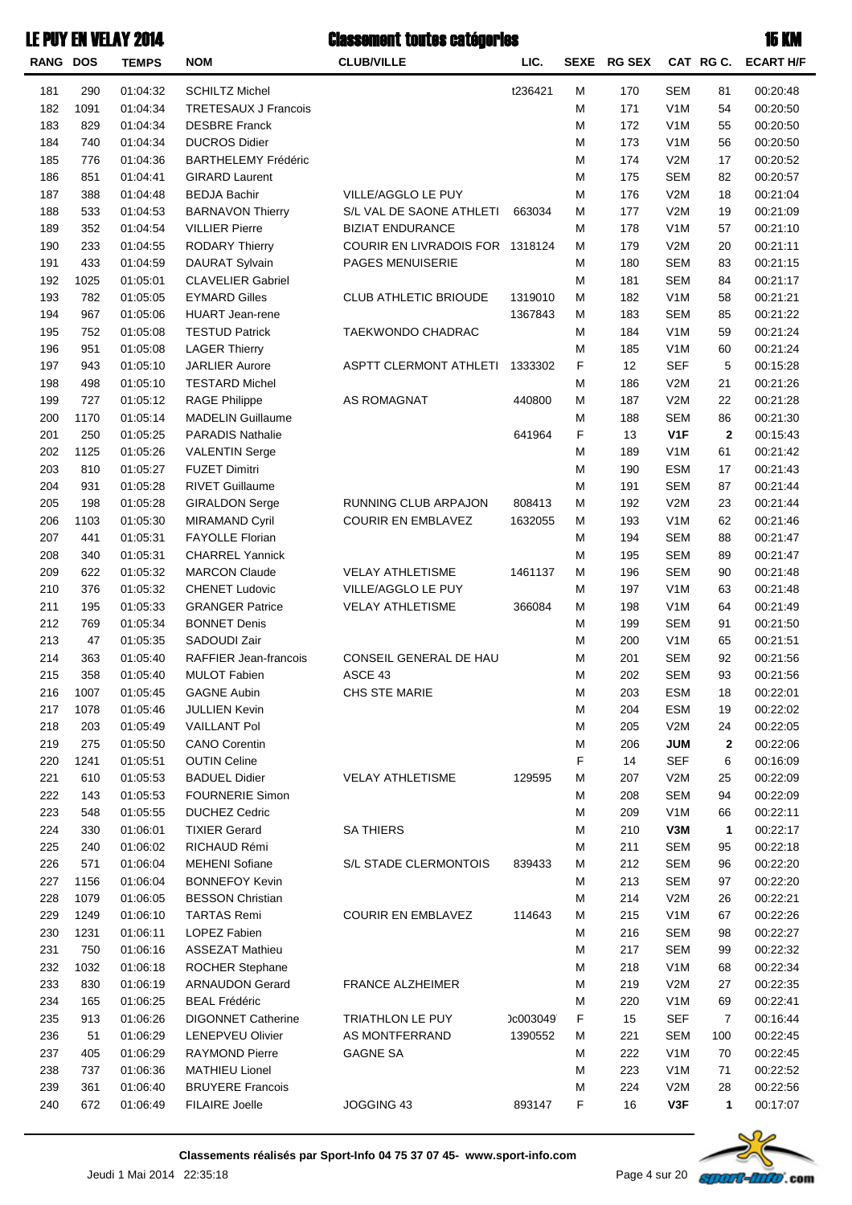| <b>RANG</b> | <b>DOS</b> | <b>TEMPS</b>         | <b>NOM</b>                           | <b>CLUB/VILLE</b>               | LIC.     | <b>SEXE</b> | <b>RG SEX</b> |                   | CAT RGC.       | <b>ECART H/F</b>     |
|-------------|------------|----------------------|--------------------------------------|---------------------------------|----------|-------------|---------------|-------------------|----------------|----------------------|
| 181         | 290        | 01:04:32             | <b>SCHILTZ Michel</b>                |                                 | t236421  | М           | 170           | <b>SEM</b>        | 81             | 00:20:48             |
| 182         | 1091       | 01:04:34             | <b>TRETESAUX J Francois</b>          |                                 |          | М           | 171           | V <sub>1</sub> M  | 54             | 00:20:50             |
| 183         | 829        | 01:04:34             | <b>DESBRE Franck</b>                 |                                 |          | M           | 172           | V <sub>1</sub> M  | 55             | 00:20:50             |
| 184         | 740        | 01:04:34             | <b>DUCROS Didier</b>                 |                                 |          | M           | 173           | V <sub>1</sub> M  | 56             | 00:20:50             |
| 185         | 776        | 01:04:36             | <b>BARTHELEMY Frédéric</b>           |                                 |          | M           | 174           | V2M               | 17             | 00:20:52             |
| 186         | 851        | 01:04:41             | <b>GIRARD Laurent</b>                |                                 |          | М           | 175           | <b>SEM</b>        | 82             | 00:20:57             |
| 187         | 388        | 01:04:48             | <b>BEDJA Bachir</b>                  | VILLE/AGGLO LE PUY              |          | М           | 176           | V2M               | 18             | 00:21:04             |
| 188         | 533        | 01:04:53             | <b>BARNAVON Thierry</b>              | S/L VAL DE SAONE ATHLETI        | 663034   | М           | 177           | V2M               | 19             | 00:21:09             |
| 189         | 352        | 01:04:54             | <b>VILLIER Pierre</b>                | <b>BIZIAT ENDURANCE</b>         |          | M           | 178           | V <sub>1</sub> M  | 57             | 00:21:10             |
| 190         | 233        | 01:04:55             | <b>RODARY Thierry</b>                | COURIR EN LIVRADOIS FOR 1318124 |          | М           | 179           | V2M               | 20             | 00:21:11             |
| 191         | 433        | 01:04:59             | <b>DAURAT Sylvain</b>                | <b>PAGES MENUISERIE</b>         |          | M           | 180           | <b>SEM</b>        | 83             | 00:21:15             |
| 192         | 1025       | 01:05:01             | <b>CLAVELIER Gabriel</b>             |                                 |          | M           | 181           | <b>SEM</b>        | 84             | 00:21:17             |
| 193         | 782        | 01:05:05             | <b>EYMARD Gilles</b>                 | <b>CLUB ATHLETIC BRIOUDE</b>    | 1319010  | М           | 182           | V <sub>1</sub> M  | 58             | 00:21:21             |
| 194         | 967        | 01:05:06             | <b>HUART Jean-rene</b>               |                                 | 1367843  | М           | 183           | <b>SEM</b>        | 85             | 00:21:22             |
| 195         | 752        | 01:05:08             | <b>TESTUD Patrick</b>                | TAEKWONDO CHADRAC               |          | M           | 184           | V <sub>1</sub> M  | 59             | 00:21:24             |
| 196         | 951        | 01:05:08             | <b>LAGER Thierry</b>                 |                                 |          | M           | 185           | V <sub>1</sub> M  | 60             | 00:21:24             |
| 197         | 943        | 01:05:10             | <b>JARLIER Aurore</b>                | ASPTT CLERMONT ATHLETI          | 1333302  | F           | 12            | <b>SEF</b>        | 5              | 00:15:28             |
| 198         | 498        | 01:05:10             | <b>TESTARD Michel</b>                |                                 |          | M           | 186           | V2M               | 21             | 00:21:26             |
| 199         | 727        | 01:05:12             | <b>RAGE Philippe</b>                 | <b>AS ROMAGNAT</b>              | 440800   | M           | 187           | V2M               | 22             | 00:21:28             |
| 200         | 1170       | 01:05:14             | <b>MADELIN Guillaume</b>             |                                 |          | M           | 188           | <b>SEM</b>        | 86             | 00:21:30             |
| 201         | 250        | 01:05:25             | <b>PARADIS Nathalie</b>              |                                 | 641964   | F           | 13            | V <sub>1</sub> F  | $\mathbf{2}$   | 00:15:43             |
| 202         | 1125       | 01:05:26             | <b>VALENTIN Serge</b>                |                                 |          | М           | 189           | V <sub>1</sub> M  | 61             | 00:21:42             |
| 203         | 810        | 01:05:27             | <b>FUZET Dimitri</b>                 |                                 |          | М           | 190           | <b>ESM</b>        | 17             | 00:21:43             |
| 204         | 931        | 01:05:28             | <b>RIVET Guillaume</b>               |                                 |          | M           | 191           | <b>SEM</b>        | 87             | 00:21:44             |
| 205         | 198        | 01:05:28             | <b>GIRALDON Serge</b>                | RUNNING CLUB ARPAJON            | 808413   | М           | 192           | V2M               | 23             | 00:21:44             |
| 206         | 1103       | 01:05:30             | <b>MIRAMAND Cyril</b>                | <b>COURIR EN EMBLAVEZ</b>       | 1632055  | М           | 193           | V <sub>1</sub> M  | 62             | 00:21:46             |
| 207         | 441        | 01:05:31             | FAYOLLE Florian                      |                                 |          | M           | 194           | <b>SEM</b>        | 88             | 00:21:47             |
| 208         | 340        | 01:05:31             | <b>CHARREL Yannick</b>               |                                 |          | M           | 195           | <b>SEM</b>        | 89             | 00:21:47             |
| 209         | 622        | 01:05:32             | <b>MARCON Claude</b>                 | <b>VELAY ATHLETISME</b>         | 1461137  | М           | 196           | <b>SEM</b>        | 90             | 00:21:48             |
| 210         | 376        | 01:05:32             | <b>CHENET Ludovic</b>                | VILLE/AGGLO LE PUY              |          | М           | 197           | V <sub>1</sub> M  | 63             | 00:21:48             |
| 211         | 195        | 01:05:33             | <b>GRANGER Patrice</b>               | <b>VELAY ATHLETISME</b>         | 366084   | М           | 198           | V <sub>1</sub> M  | 64             | 00:21:49             |
| 212         | 769        | 01:05:34             | <b>BONNET Denis</b>                  |                                 |          | M           | 199           | <b>SEM</b>        | 91             | 00:21:50             |
| 213         | 47         | 01:05:35             | SADOUDI Zair                         |                                 |          | M           | 200           | V <sub>1</sub> M  | 65             | 00:21:51             |
| 214         | 363        | 01:05:40             | RAFFIER Jean-francois                | CONSEIL GENERAL DE HAU          |          | М           | 201           | <b>SEM</b>        | 92             | 00:21:56             |
| 215         | 358        | 01:05:40             | <b>MULOT Fabien</b>                  | ASCE 43                         |          | М           | 202           | <b>SEM</b>        | 93             | 00:21:56             |
| 216         | 1007       | 01:05:45             | <b>GAGNE Aubin</b>                   | <b>CHS STE MARIE</b>            |          | М           | 203           | <b>ESM</b>        | 18             | 00:22:01             |
| 217         | 1078       | 01:05:46             | <b>JULLIEN Kevin</b>                 |                                 |          | M           | 204           | <b>ESM</b>        | 19             | 00:22:02             |
| 218         | 203        | 01:05:49             | <b>VAILLANT Pol</b>                  |                                 |          | M           | 205           | V2M               | 24             | 00:22:05             |
| 219         | 275        | 01:05:50             | <b>CANO Corentin</b>                 |                                 |          | M           | 206           | <b>JUM</b>        | $\mathbf 2$    | 00:22:06             |
| 220         | 1241       | 01:05:51             | <b>OUTIN Celine</b>                  |                                 |          | F           | 14            | <b>SEF</b>        | 6              | 00:16:09             |
| 221         | 610        | 01:05:53             | <b>BADUEL Didier</b>                 | <b>VELAY ATHLETISME</b>         | 129595   | M           | 207           | V2M               | 25             | 00:22:09             |
| 222         | 143        | 01:05:53             | <b>FOURNERIE Simon</b>               |                                 |          | М           | 208           | <b>SEM</b>        | 94             | 00:22:09             |
| 223         | 548        | 01:05:55             | <b>DUCHEZ Cedric</b>                 |                                 |          | М           | 209           | V <sub>1</sub> M  | 66             | 00:22:11             |
| 224<br>225  | 330<br>240 | 01:06:01<br>01:06:02 | <b>TIXIER Gerard</b><br>RICHAUD Rémi | <b>SA THIERS</b>                |          | M<br>M      | 210<br>211    | V3M<br><b>SEM</b> | 1              | 00:22:17             |
| 226         | 571        | 01:06:04             | <b>MEHENI Sofiane</b>                | S/L STADE CLERMONTOIS           | 839433   | М           | 212           | <b>SEM</b>        | 95<br>96       | 00:22:18<br>00:22:20 |
| 227         | 1156       | 01:06:04             | <b>BONNEFOY Kevin</b>                |                                 |          | М           | 213           | <b>SEM</b>        | 97             | 00:22:20             |
| 228         | 1079       | 01:06:05             | <b>BESSON Christian</b>              |                                 |          | М           | 214           | V2M               | 26             | 00:22:21             |
| 229         | 1249       | 01:06:10             | <b>TARTAS Remi</b>                   | <b>COURIR EN EMBLAVEZ</b>       | 114643   | М           | 215           | V <sub>1</sub> M  | 67             | 00:22:26             |
| 230         | 1231       | 01:06:11             | LOPEZ Fabien                         |                                 |          | М           | 216           | <b>SEM</b>        | 98             | 00:22:27             |
| 231         | 750        | 01:06:16             | <b>ASSEZAT Mathieu</b>               |                                 |          | М           | 217           | <b>SEM</b>        | 99             | 00:22:32             |
| 232         | 1032       | 01:06:18             | ROCHER Stephane                      |                                 |          | M           | 218           | V <sub>1</sub> M  | 68             | 00:22:34             |
| 233         | 830        | 01:06:19             | <b>ARNAUDON Gerard</b>               | <b>FRANCE ALZHEIMER</b>         |          | M           | 219           | V2M               | 27             | 00:22:35             |
| 234         | 165        | 01:06:25             | <b>BEAL Frédéric</b>                 |                                 |          | M           | 220           | V <sub>1</sub> M  | 69             | 00:22:41             |
| 235         | 913        | 01:06:26             | <b>DIGONNET Catherine</b>            | <b>TRIATHLON LE PUY</b>         | )c003049 | F           | 15            | <b>SEF</b>        | $\overline{7}$ | 00:16:44             |
| 236         | 51         | 01:06:29             | <b>LENEPVEU Olivier</b>              | AS MONTFERRAND                  | 1390552  | М           | 221           | <b>SEM</b>        | 100            | 00:22:45             |
| 237         | 405        | 01:06:29             | <b>RAYMOND Pierre</b>                | <b>GAGNE SA</b>                 |          | М           | 222           | V <sub>1</sub> M  | 70             | 00:22:45             |
| 238         | 737        | 01:06:36             | <b>MATHIEU Lionel</b>                |                                 |          | М           | 223           | V <sub>1</sub> M  | 71             | 00:22:52             |
| 239         | 361        | 01:06:40             | <b>BRUYERE Francois</b>              |                                 |          | М           | 224           | V2M               | 28             | 00:22:56             |
| 240         | 672        | 01:06:49             | <b>FILAIRE Joelle</b>                | JOGGING 43                      | 893147   | F           | 16            | V3F               | 1              | 00:17:07             |
|             |            |                      |                                      |                                 |          |             |               |                   |                |                      |



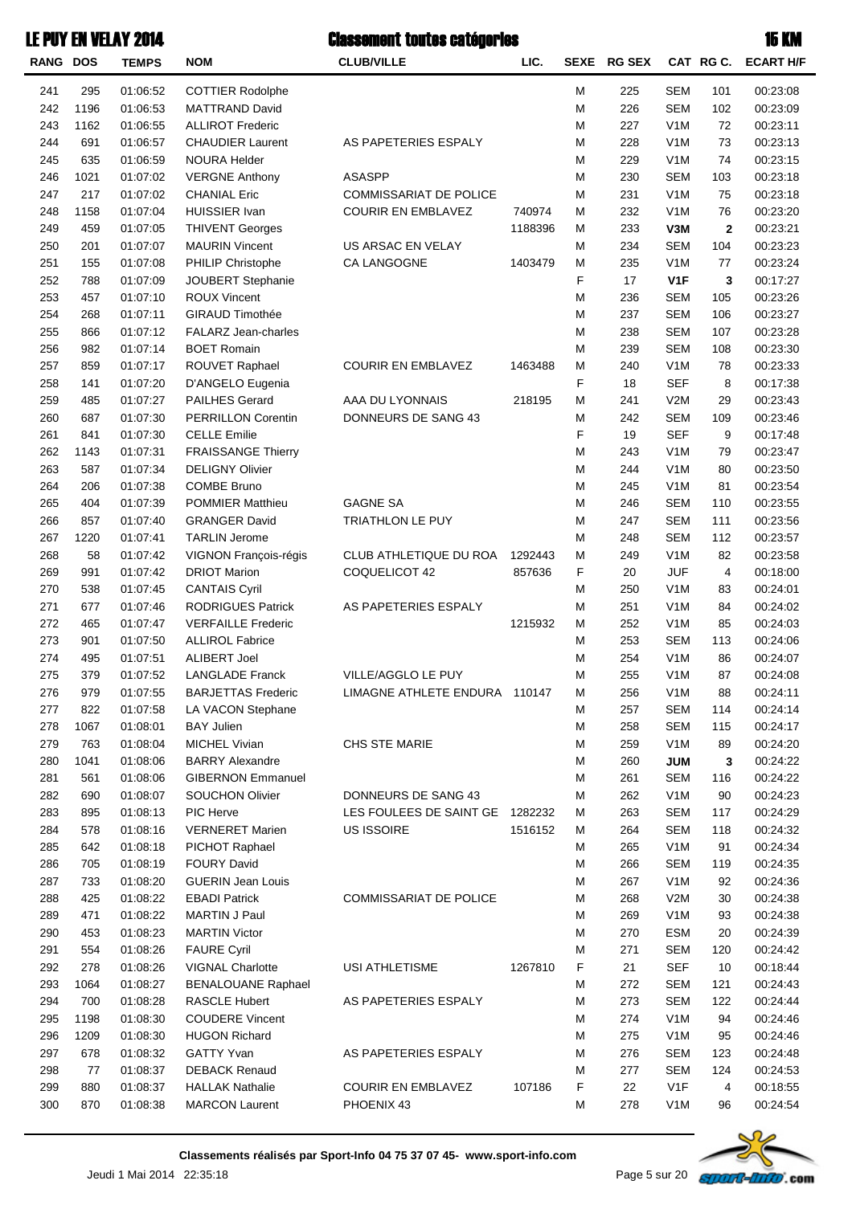| <b>RANG DOS</b> |      | <b>TEMPS</b> | <b>NOM</b>                 | <b>CLUB/VILLE</b>             | LIC.    |   | SEXE RG SEX |                  | CAT RG C.   | <b>ECART H/F</b> |
|-----------------|------|--------------|----------------------------|-------------------------------|---------|---|-------------|------------------|-------------|------------------|
| 241             | 295  | 01:06:52     | <b>COTTIER Rodolphe</b>    |                               |         | М | 225         | <b>SEM</b>       | 101         | 00:23:08         |
| 242             | 1196 | 01:06:53     | <b>MATTRAND David</b>      |                               |         | M | 226         | <b>SEM</b>       | 102         | 00:23:09         |
| 243             | 1162 | 01:06:55     | <b>ALLIROT Frederic</b>    |                               |         | M | 227         | V <sub>1</sub> M | 72          | 00:23:11         |
| 244             | 691  | 01:06:57     | <b>CHAUDIER Laurent</b>    | AS PAPETERIES ESPALY          |         | M | 228         | V <sub>1</sub> M | 73          | 00:23:13         |
| 245             | 635  | 01:06:59     | <b>NOURA Helder</b>        |                               |         | M | 229         | V <sub>1</sub> M | 74          | 00:23:15         |
| 246             | 1021 | 01:07:02     | <b>VERGNE Anthony</b>      | <b>ASASPP</b>                 |         | M | 230         | <b>SEM</b>       | 103         | 00:23:18         |
| 247             | 217  | 01:07:02     | <b>CHANIAL Eric</b>        | <b>COMMISSARIAT DE POLICE</b> |         | M | 231         | V <sub>1</sub> M | 75          | 00:23:18         |
| 248             | 1158 | 01:07:04     | <b>HUISSIER Ivan</b>       | <b>COURIR EN EMBLAVEZ</b>     | 740974  | M | 232         | V <sub>1</sub> M | 76          | 00:23:20         |
| 249             | 459  | 01:07:05     | <b>THIVENT Georges</b>     |                               | 1188396 | M | 233         | V3M              | $\mathbf 2$ | 00:23:21         |
| 250             | 201  | 01:07:07     | <b>MAURIN Vincent</b>      | US ARSAC EN VELAY             |         | м | 234         | <b>SEM</b>       | 104         | 00:23:23         |
| 251             | 155  | 01:07:08     | PHILIP Christophe          | CA LANGOGNE                   | 1403479 | M | 235         | V <sub>1</sub> M | 77          | 00:23:24         |
| 252             | 788  | 01:07:09     | JOUBERT Stephanie          |                               |         | F | 17          | V <sub>1</sub> F | 3           | 00:17:27         |
| 253             | 457  | 01:07:10     | <b>ROUX Vincent</b>        |                               |         | M | 236         | <b>SEM</b>       | 105         | 00:23:26         |
| 254             | 268  | 01:07:11     | <b>GIRAUD Timothée</b>     |                               |         | M | 237         | <b>SEM</b>       | 106         | 00:23:27         |
| 255             | 866  | 01:07:12     | <b>FALARZ Jean-charles</b> |                               |         | M | 238         | <b>SEM</b>       | 107         | 00:23:28         |
| 256             | 982  | 01:07:14     | <b>BOET Romain</b>         |                               |         | M | 239         | <b>SEM</b>       | 108         | 00:23:30         |
| 257             | 859  | 01:07:17     | ROUVET Raphael             | <b>COURIR EN EMBLAVEZ</b>     | 1463488 | M | 240         | V <sub>1</sub> M | 78          | 00:23:33         |
| 258             | 141  | 01:07:20     | D'ANGELO Eugenia           |                               |         | F | 18          | <b>SEF</b>       | 8           | 00:17:38         |
| 259             | 485  | 01:07:27     | <b>PAILHES Gerard</b>      | AAA DU LYONNAIS               | 218195  | M | 241         | V2M              | 29          | 00:23:43         |
| 260             | 687  | 01:07:30     | <b>PERRILLON Corentin</b>  | <b>DONNEURS DE SANG 43</b>    |         | M | 242         | <b>SEM</b>       | 109         | 00:23:46         |
| 261             | 841  | 01:07:30     | <b>CELLE Emilie</b>        |                               |         | F | 19          | <b>SEF</b>       | 9           | 00:17:48         |
| 262             | 1143 | 01:07:31     | <b>FRAISSANGE Thierry</b>  |                               |         | M | 243         | V <sub>1</sub> M | 79          | 00:23:47         |
| 263             | 587  | 01:07:34     | <b>DELIGNY Olivier</b>     |                               |         | M | 244         | V <sub>1</sub> M | 80          | 00:23:50         |
| 264             | 206  | 01:07:38     | <b>COMBE Bruno</b>         |                               |         | M | 245         | V <sub>1</sub> M | 81          | 00:23:54         |
| 265             | 404  | 01:07:39     | <b>POMMIER Matthieu</b>    | <b>GAGNE SA</b>               |         | M | 246         | <b>SEM</b>       | 110         | 00:23:55         |
| 266             | 857  | 01:07:40     | <b>GRANGER David</b>       | <b>TRIATHLON LE PUY</b>       |         | M | 247         | <b>SEM</b>       | 111         | 00:23:56         |
| 267             | 1220 | 01:07:41     | <b>TARLIN Jerome</b>       |                               |         | M | 248         | <b>SEM</b>       | 112         | 00:23:57         |
| 268             | 58   | 01:07:42     | VIGNON François-régis      | CLUB ATHLETIQUE DU ROA        | 1292443 | M | 249         | V <sub>1</sub> M | 82          | 00:23:58         |
| 269             | 991  | 01:07:42     | <b>DRIOT Marion</b>        | COQUELICOT 42                 | 857636  | F | 20          | <b>JUF</b>       | 4           | 00:18:00         |
| 270             | 538  | 01:07:45     | <b>CANTAIS Cyril</b>       |                               |         | M | 250         | V <sub>1</sub> M | 83          | 00:24:01         |
| 271             | 677  | 01:07:46     | <b>RODRIGUES Patrick</b>   | AS PAPETERIES ESPALY          |         | M | 251         | V <sub>1</sub> M | 84          | 00:24:02         |
| 272             | 465  | 01:07:47     | <b>VERFAILLE Frederic</b>  |                               | 1215932 | M | 252         | V <sub>1</sub> M | 85          | 00:24:03         |
| 273             | 901  | 01:07:50     | <b>ALLIROL Fabrice</b>     |                               |         | M | 253         | <b>SEM</b>       | 113         | 00:24:06         |
| 274             | 495  | 01:07:51     | <b>ALIBERT Joel</b>        |                               |         | M | 254         | V <sub>1</sub> M | 86          | 00:24:07         |
| 275             | 379  | 01:07:52     | <b>LANGLADE Franck</b>     | VILLE/AGGLO LE PUY            |         | M | 255         | V <sub>1</sub> M | 87          | 00:24:08         |
| 276             | 979  | 01:07:55     | <b>BARJETTAS Frederic</b>  | LIMAGNE ATHLETE ENDURA 110147 |         | м | 256         | V <sub>1</sub> M | 88          | 00:24:11         |
| 277             | 822  | 01:07:58     | LA VACON Stephane          |                               |         | M | 257         | SEM              | 114         | 00:24:14         |
| 278             | 1067 | 01:08:01     | <b>BAY Julien</b>          |                               |         | M | 258         | <b>SEM</b>       | 115         | 00:24:17         |
| 279             | 763  | 01:08:04     | MICHEL Vivian              | CHS STE MARIE                 |         | M | 259         | V <sub>1</sub> M | 89          | 00:24:20         |
| 280             | 1041 | 01:08:06     | <b>BARRY Alexandre</b>     |                               |         | M | 260         | <b>JUM</b>       | 3           | 00:24:22         |
| 281             | 561  | 01:08:06     | <b>GIBERNON Emmanuel</b>   |                               |         | M | 261         | <b>SEM</b>       | 116         | 00:24:22         |
| 282             | 690  | 01:08:07     | <b>SOUCHON Olivier</b>     | DONNEURS DE SANG 43           |         | M | 262         | V <sub>1</sub> M | 90          | 00:24:23         |
| 283             | 895  | 01:08:13     | PIC Herve                  | LES FOULEES DE SAINT GE       | 1282232 | м | 263         | <b>SEM</b>       | 117         | 00:24:29         |
| 284             | 578  | 01:08:16     | <b>VERNERET Marien</b>     | <b>US ISSOIRE</b>             | 1516152 | м | 264         | <b>SEM</b>       | 118         | 00:24:32         |
| 285             | 642  | 01:08:18     | PICHOT Raphael             |                               |         | M | 265         | V <sub>1</sub> M | 91          | 00:24:34         |
| 286             | 705  | 01:08:19     | <b>FOURY David</b>         |                               |         | M | 266         | <b>SEM</b>       | 119         | 00:24:35         |
| 287             | 733  | 01:08:20     | <b>GUERIN Jean Louis</b>   |                               |         | M | 267         | V <sub>1</sub> M | 92          | 00:24:36         |
| 288             | 425  | 01:08:22     | <b>EBADI Patrick</b>       | <b>COMMISSARIAT DE POLICE</b> |         | M | 268         | V2M              | 30          | 00:24:38         |
| 289             | 471  | 01:08:22     | <b>MARTIN J Paul</b>       |                               |         | M | 269         | V <sub>1</sub> M | 93          | 00:24:38         |
| 290             | 453  | 01:08:23     | <b>MARTIN Victor</b>       |                               |         | M | 270         | <b>ESM</b>       | 20          | 00:24:39         |
| 291             | 554  | 01:08:26     | <b>FAURE Cyril</b>         |                               |         | M | 271         | <b>SEM</b>       | 120         | 00:24:42         |
| 292             | 278  | 01:08:26     | <b>VIGNAL Charlotte</b>    | USI ATHLETISME                | 1267810 | F | 21          | <b>SEF</b>       | 10          | 00:18:44         |
| 293             | 1064 | 01:08:27     | <b>BENALOUANE Raphael</b>  |                               |         | M | 272         | <b>SEM</b>       | 121         | 00:24:43         |
| 294             | 700  | 01:08:28     | <b>RASCLE Hubert</b>       | AS PAPETERIES ESPALY          |         | M | 273         | <b>SEM</b>       | 122         | 00:24:44         |
| 295             | 1198 | 01:08:30     | <b>COUDERE Vincent</b>     |                               |         | M | 274         | V <sub>1</sub> M | 94          | 00:24:46         |
| 296             | 1209 | 01:08:30     | <b>HUGON Richard</b>       |                               |         | M | 275         | V <sub>1</sub> M | 95          | 00:24:46         |
| 297             | 678  | 01:08:32     | <b>GATTY Yvan</b>          | AS PAPETERIES ESPALY          |         | M | 276         | <b>SEM</b>       | 123         | 00:24:48         |
| 298             | 77   | 01:08:37     | <b>DEBACK Renaud</b>       |                               |         | M | 277         | <b>SEM</b>       | 124         | 00:24:53         |
| 299             | 880  | 01:08:37     | <b>HALLAK Nathalie</b>     | <b>COURIR EN EMBLAVEZ</b>     | 107186  | F | 22          | V <sub>1</sub> F | 4           | 00:18:55         |
| 300             | 870  | 01:08:38     | <b>MARCON Laurent</b>      | PHOENIX 43                    |         | M | 278         | V <sub>1</sub> M | 96          | 00:24:54         |

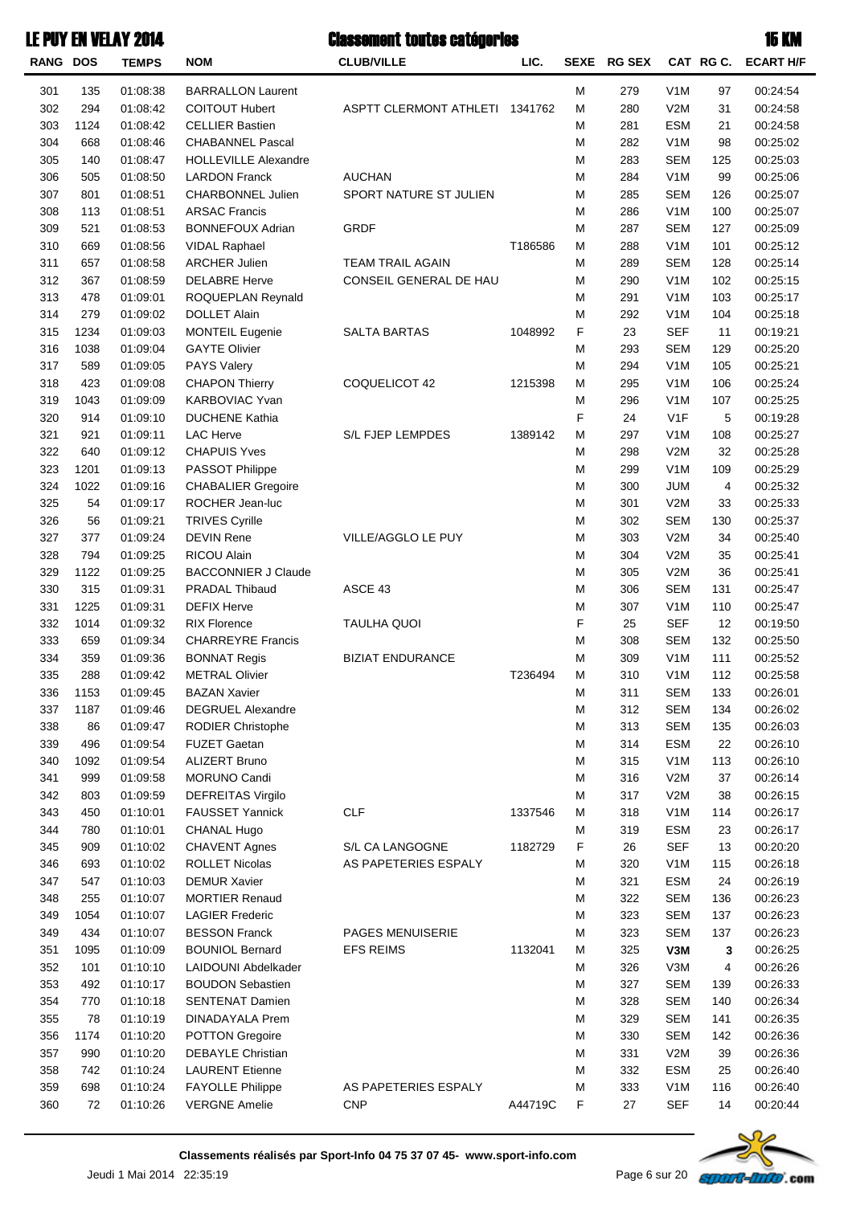| LE PUY EN VELAY 2014 |  |  |  |  |  |  |
|----------------------|--|--|--|--|--|--|
|----------------------|--|--|--|--|--|--|

| <b>RANG DOS</b> |             | <b>TEMPS</b>         | <b>NOM</b>                                     | <b>CLUB/VILLE</b>              | LIC.    | <b>SEXE</b> | <b>RG SEX</b> |                          | CAT RGC. | <b>ECART H/F</b>     |
|-----------------|-------------|----------------------|------------------------------------------------|--------------------------------|---------|-------------|---------------|--------------------------|----------|----------------------|
| 301             | 135         | 01:08:38             | <b>BARRALLON Laurent</b>                       |                                |         | M           | 279           | V <sub>1</sub> M         | 97       | 00:24:54             |
| 302             | 294         | 01:08:42             | <b>COITOUT Hubert</b>                          | ASPTT CLERMONT ATHLETI 1341762 |         | М           | 280           | V2M                      | 31       | 00:24:58             |
| 303             | 1124        | 01:08:42             | <b>CELLIER Bastien</b>                         |                                |         | M           | 281           | <b>ESM</b>               | 21       | 00:24:58             |
| 304             | 668         | 01:08:46             | <b>CHABANNEL Pascal</b>                        |                                |         | M           | 282           | V <sub>1</sub> M         | 98       | 00:25:02             |
| 305             | 140         | 01:08:47             | <b>HOLLEVILLE Alexandre</b>                    |                                |         | M           | 283           | <b>SEM</b>               | 125      | 00:25:03             |
| 306             | 505         | 01:08:50             | <b>LARDON Franck</b>                           | <b>AUCHAN</b>                  |         | M           | 284           | V <sub>1</sub> M         | 99       | 00:25:06             |
| 307             | 801         | 01:08:51             | CHARBONNEL Julien                              | SPORT NATURE ST JULIEN         |         | M           | 285           | <b>SEM</b>               | 126      | 00:25:07             |
| 308             | 113         | 01:08:51             | <b>ARSAC Francis</b>                           |                                |         | M           | 286           | V <sub>1</sub> M         | 100      | 00:25:07             |
| 309             | 521         | 01:08:53             | <b>BONNEFOUX Adrian</b>                        | <b>GRDF</b>                    |         | M           | 287           | <b>SEM</b>               | 127      | 00:25:09             |
| 310             | 669         | 01:08:56             | VIDAL Raphael                                  |                                | T186586 | M           | 288           | V <sub>1</sub> M         | 101      | 00:25:12             |
| 311             | 657         | 01:08:58             | <b>ARCHER Julien</b>                           | <b>TEAM TRAIL AGAIN</b>        |         | M           | 289           | <b>SEM</b>               | 128      | 00:25:14             |
| 312             | 367         | 01:08:59             | <b>DELABRE Herve</b>                           | CONSEIL GENERAL DE HAU         |         | M           | 290           | V <sub>1</sub> M         | 102      | 00:25:15             |
| 313             | 478         | 01:09:01             | ROQUEPLAN Reynald                              |                                |         | M           | 291           | V <sub>1</sub> M         | 103      | 00:25:17             |
| 314             | 279         | 01:09:02             | <b>DOLLET Alain</b>                            |                                |         | M           | 292           | V <sub>1</sub> M         | 104      | 00:25:18             |
| 315             | 1234        | 01:09:03             | <b>MONTEIL Eugenie</b>                         | <b>SALTA BARTAS</b>            | 1048992 | F           | 23            | <b>SEF</b>               | 11       | 00:19:21             |
| 316             | 1038        | 01:09:04             | <b>GAYTE Olivier</b>                           |                                |         | M           | 293           | <b>SEM</b>               | 129      | 00:25:20             |
| 317             | 589         | 01:09:05             | <b>PAYS Valery</b>                             |                                |         | M           | 294           | V <sub>1</sub> M         | 105      | 00:25:21             |
| 318             | 423         | 01:09:08             | <b>CHAPON Thierry</b>                          | COQUELICOT 42                  | 1215398 | M           | 295           | V <sub>1</sub> M         | 106      | 00:25:24             |
| 319             | 1043        | 01:09:09             | <b>KARBOVIAC Yvan</b>                          |                                |         | M           | 296           | V <sub>1</sub> M         | 107      | 00:25:25             |
| 320             | 914         | 01:09:10             | <b>DUCHENE Kathia</b>                          |                                |         | F           | 24            | V <sub>1</sub> F         | 5        | 00:19:28             |
| 321             | 921         | 01:09:11             | <b>LAC Herve</b>                               | <b>S/L FJEP LEMPDES</b>        | 1389142 | M           | 297           | V <sub>1</sub> M         | 108      | 00:25:27             |
| 322             | 640         | 01:09:12             | <b>CHAPUIS Yves</b>                            |                                |         | M           | 298           | V2M                      | 32       | 00:25:28             |
| 323             | 1201        | 01:09:13             | PASSOT Philippe                                |                                |         | M           | 299           | V <sub>1</sub> M         | 109      | 00:25:29             |
| 324             | 1022        | 01:09:16             | <b>CHABALIER Gregoire</b>                      |                                |         | M           | 300           | JUM                      | 4        | 00:25:32             |
| 325             | 54          | 01:09:17             | ROCHER Jean-luc                                |                                |         | M           | 301           | V2M                      | 33       | 00:25:33             |
| 326             | 56          | 01:09:21             | <b>TRIVES Cyrille</b>                          |                                |         | M           | 302           | <b>SEM</b>               | 130      | 00:25:37             |
| 327             | 377         | 01:09:24             | <b>DEVIN Rene</b>                              | VILLE/AGGLO LE PUY             |         | M           | 303           | V2M                      | 34       | 00:25:40             |
| 328             | 794         | 01:09:25             | RICOU Alain                                    |                                |         | M           | 304           | V2M                      | 35       | 00:25:41             |
| 329             | 1122        | 01:09:25             | <b>BACCONNIER J Claude</b>                     |                                |         | M           | 305           | V2M                      | 36       | 00:25:41             |
| 330             | 315         | 01:09:31             | <b>PRADAL Thibaud</b>                          | ASCE 43                        |         | M           | 306           | <b>SEM</b>               | 131      | 00:25:47             |
| 331             | 1225        | 01:09:31             | <b>DEFIX Herve</b>                             |                                |         | M           | 307           | V <sub>1</sub> M         | 110      | 00:25:47             |
| 332             | 1014        | 01:09:32             | <b>RIX Florence</b>                            | <b>TAULHA QUOI</b>             |         | F           | 25            | <b>SEF</b>               | 12       | 00:19:50             |
| 333             | 659         | 01:09:34             | <b>CHARREYRE Francis</b>                       |                                |         | M           | 308           | <b>SEM</b>               | 132      | 00:25:50             |
| 334             | 359         | 01:09:36             | <b>BONNAT Regis</b>                            | <b>BIZIAT ENDURANCE</b>        |         | M           | 309           | V <sub>1</sub> M         | 111      | 00:25:52             |
| 335             | 288         | 01:09:42             | <b>METRAL Olivier</b>                          |                                | T236494 | M           | 310           | V <sub>1</sub> M         | 112      | 00:25:58             |
| 336             | 1153        | 01:09:45             | <b>BAZAN Xavier</b>                            |                                |         | M           | 311           | <b>SEM</b>               | 133      | 00:26:01             |
| 337             | 1187        | 01:09:46             | <b>DEGRUEL Alexandre</b>                       |                                |         | M           | 312           | <b>SEM</b>               | 134      | 00:26:02             |
| 338             | 86          | 01:09:47             | <b>RODIER Christophe</b>                       |                                |         | M           | 313           | <b>SEM</b>               | 135      | 00:26:03             |
| 339             | 496         | 01:09:54             | <b>FUZET Gaetan</b>                            |                                |         | M           | 314           | <b>ESM</b>               | 22       | 00:26:10             |
| 340             | 1092        | 01:09:54             | <b>ALIZERT Bruno</b>                           |                                |         | M           | 315           | V <sub>1</sub> M         | 113      | 00:26:10             |
| 341             | 999         | 01:09:58             | <b>MORUNO Candi</b>                            |                                |         | M           | 316           | V2M                      | 37       | 00:26:14             |
| 342             | 803         | 01:09:59             | <b>DEFREITAS Virgilo</b>                       |                                |         | M           | 317           | V2M                      | 38       | 00:26:15             |
| 343             | 450         | 01:10:01             | <b>FAUSSET Yannick</b>                         | <b>CLF</b>                     | 1337546 | M           | 318           | V <sub>1</sub> M         | 114      | 00:26:17             |
| 344             | 780         | 01:10:01             | CHANAL Hugo                                    |                                |         | M           | 319           | <b>ESM</b>               | 23       | 00:26:17             |
| 345             | 909         | 01:10:02             | <b>CHAVENT Agnes</b>                           | S/L CA LANGOGNE                | 1182729 | F           | 26            | <b>SEF</b>               | 13       | 00:20:20             |
| 346             | 693         | 01:10:02             | <b>ROLLET Nicolas</b>                          | AS PAPETERIES ESPALY           |         | M           | 320           | V <sub>1</sub> M         | 115      | 00:26:18             |
| 347             | 547         | 01:10:03             | <b>DEMUR Xavier</b>                            |                                |         | M           | 321           | <b>ESM</b>               | 24       | 00:26:19             |
| 348             | 255         | 01:10:07             | <b>MORTIER Renaud</b>                          |                                |         | M           | 322           | <b>SEM</b>               | 136      | 00:26:23             |
| 349<br>349      | 1054<br>434 | 01:10:07             | <b>LAGIER Frederic</b><br><b>BESSON Franck</b> | PAGES MENUISERIE               |         | M           | 323<br>323    | <b>SEM</b><br><b>SEM</b> | 137      | 00:26:23             |
| 351             |             | 01:10:07             | <b>BOUNIOL Bernard</b>                         | <b>EFS REIMS</b>               | 1132041 | M           | 325           |                          | 137      | 00:26:23             |
| 352             | 1095<br>101 | 01:10:09<br>01:10:10 | LAIDOUNI Abdelkader                            |                                |         | M<br>M      | 326           | V3M<br>V3M               | 3<br>4   | 00:26:25<br>00:26:26 |
| 353             | 492         | 01:10:17             | <b>BOUDON Sebastien</b>                        |                                |         | M           | 327           | <b>SEM</b>               | 139      | 00:26:33             |
| 354             | 770         | 01:10:18             | <b>SENTENAT Damien</b>                         |                                |         | M           | 328           | <b>SEM</b>               | 140      | 00:26:34             |
| 355             | 78          | 01:10:19             | <b>DINADAYALA Prem</b>                         |                                |         | M           | 329           | <b>SEM</b>               | 141      | 00:26:35             |
| 356             | 1174        | 01:10:20             | <b>POTTON Gregoire</b>                         |                                |         | M           | 330           | <b>SEM</b>               | 142      | 00:26:36             |
| 357             | 990         | 01:10:20             | DEBAYLE Christian                              |                                |         | M           | 331           | V2M                      | 39       | 00:26:36             |
| 358             | 742         | 01:10:24             | <b>LAURENT Etienne</b>                         |                                |         | M           | 332           | <b>ESM</b>               | 25       | 00:26:40             |
| 359             | 698         | 01:10:24             | <b>FAYOLLE Philippe</b>                        | AS PAPETERIES ESPALY           |         | M           | 333           | V <sub>1</sub> M         | 116      | 00:26:40             |
| 360             | 72          | 01:10:26             | <b>VERGNE Amelie</b>                           | <b>CNP</b>                     | A44719C | F           | 27            | <b>SEF</b>               | 14       | 00:20:44             |
|                 |             |                      |                                                |                                |         |             |               |                          |          |                      |

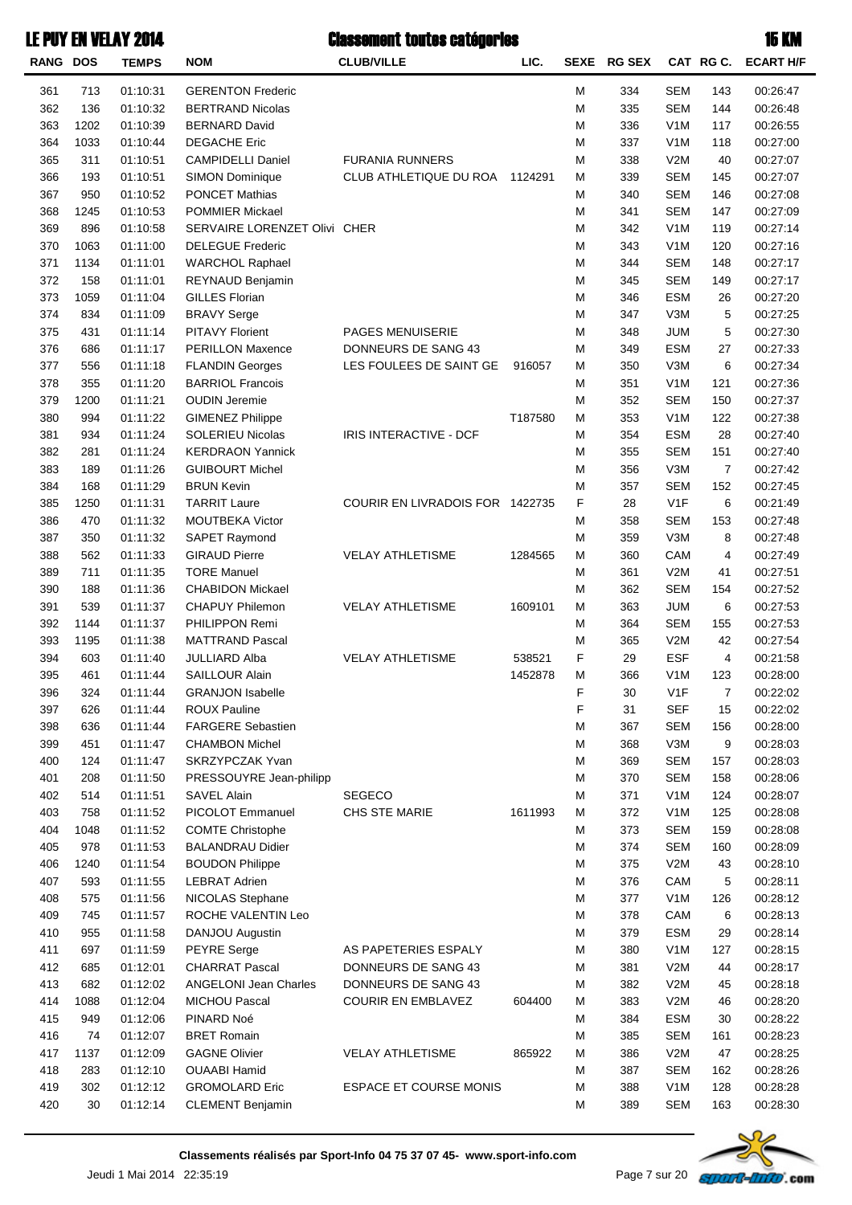| LE PUY EN VELAY 2014 |              |            |                   | <b>Classement toutes catégories</b> |  |  | <b>15 KM</b>                    |  |  |
|----------------------|--------------|------------|-------------------|-------------------------------------|--|--|---------------------------------|--|--|
| <b>RANG DOS</b>      | <b>TEMPS</b> | <b>NOM</b> | <b>CLUB/VILLE</b> |                                     |  |  | SEXE RG SEX CAT RG C. ECART H/F |  |  |

| <b>RANG DOS</b> |      | <b>TEMPS</b> | <b>NOM</b>                   | <b>CLUB/VILLE</b>               | LIC.    |   | SEXE RG SEX |                  | CAT RG C.             | <b>ECART H/F</b> |
|-----------------|------|--------------|------------------------------|---------------------------------|---------|---|-------------|------------------|-----------------------|------------------|
| 361             | 713  | 01:10:31     | <b>GERENTON Frederic</b>     |                                 |         | М | 334         | <b>SEM</b>       | 143                   | 00:26:47         |
| 362             | 136  | 01:10:32     | <b>BERTRAND Nicolas</b>      |                                 |         | M | 335         | <b>SEM</b>       | 144                   | 00:26:48         |
| 363             | 1202 | 01:10:39     | <b>BERNARD David</b>         |                                 |         | M | 336         | V <sub>1</sub> M | 117                   | 00:26:55         |
| 364             | 1033 | 01:10:44     | <b>DEGACHE Eric</b>          |                                 |         | M | 337         | V <sub>1</sub> M | 118                   | 00:27:00         |
| 365             | 311  | 01:10:51     | CAMPIDELLI Daniel            | <b>FURANIA RUNNERS</b>          |         | M | 338         | V2M              | 40                    | 00:27:07         |
| 366             | 193  | 01:10:51     | <b>SIMON Dominique</b>       | CLUB ATHLETIQUE DU ROA          | 1124291 | M | 339         | <b>SEM</b>       | 145                   | 00:27:07         |
| 367             | 950  | 01:10:52     | <b>PONCET Mathias</b>        |                                 |         | М | 340         | <b>SEM</b>       | 146                   | 00:27:08         |
| 368             | 1245 | 01:10:53     | <b>POMMIER Mickael</b>       |                                 |         | М | 341         | <b>SEM</b>       | 147                   | 00:27:09         |
| 369             | 896  | 01:10:58     | SERVAIRE LORENZET Olivi CHER |                                 |         | M | 342         | V <sub>1</sub> M | 119                   | 00:27:14         |
| 370             | 1063 | 01:11:00     | <b>DELEGUE Frederic</b>      |                                 |         | M | 343         | V <sub>1</sub> M | 120                   | 00:27:16         |
| 371             | 1134 | 01:11:01     | <b>WARCHOL Raphael</b>       |                                 |         | M | 344         | <b>SEM</b>       | 148                   | 00:27:17         |
| 372             | 158  | 01:11:01     | REYNAUD Benjamin             |                                 |         | M | 345         | <b>SEM</b>       | 149                   | 00:27:17         |
| 373             | 1059 | 01:11:04     | <b>GILLES Florian</b>        |                                 |         | M | 346         | <b>ESM</b>       | 26                    | 00:27:20         |
| 374             | 834  | 01:11:09     | <b>BRAVY Serge</b>           |                                 |         | М | 347         | V3M              | 5                     | 00:27:25         |
| 375             | 431  | 01:11:14     | <b>PITAVY Florient</b>       | <b>PAGES MENUISERIE</b>         |         | M | 348         | <b>JUM</b>       | 5                     | 00:27:30         |
| 376             | 686  | 01:11:17     | <b>PERILLON Maxence</b>      | DONNEURS DE SANG 43             |         | М | 349         | <b>ESM</b>       | 27                    | 00:27:33         |
| 377             | 556  | 01:11:18     | <b>FLANDIN Georges</b>       | LES FOULEES DE SAINT GE         | 916057  | М | 350         | V3M              | 6                     | 00:27:34         |
| 378             | 355  | 01:11:20     | <b>BARRIOL Francois</b>      |                                 |         | М | 351         | V <sub>1</sub> M | 121                   | 00:27:36         |
| 379             | 1200 | 01:11:21     | <b>OUDIN Jeremie</b>         |                                 |         | М | 352         | <b>SEM</b>       | 150                   | 00:27:37         |
| 380             | 994  | 01:11:22     | <b>GIMENEZ Philippe</b>      |                                 | T187580 | M | 353         | V <sub>1</sub> M | 122                   | 00:27:38         |
| 381             | 934  | 01:11:24     | <b>SOLERIEU Nicolas</b>      | IRIS INTERACTIVE - DCF          |         | М | 354         | <b>ESM</b>       | 28                    | 00:27:40         |
|                 |      | 01:11:24     | <b>KERDRAON Yannick</b>      |                                 |         |   |             | <b>SEM</b>       |                       |                  |
| 382             | 281  |              | <b>GUIBOURT Michel</b>       |                                 |         | M | 355         | V3M              | 151<br>$\overline{7}$ | 00:27:40         |
| 383             | 189  | 01:11:26     | <b>BRUN Kevin</b>            |                                 |         | M | 356         | <b>SEM</b>       |                       | 00:27:42         |
| 384             | 168  | 01:11:29     | <b>TARRIT Laure</b>          |                                 |         | M | 357         | V <sub>1</sub> F | 152                   | 00:27:45         |
| 385             | 1250 | 01:11:31     |                              | COURIR EN LIVRADOIS FOR 1422735 |         | F | 28          | <b>SEM</b>       | 6                     | 00:21:49         |
| 386             | 470  | 01:11:32     | MOUTBEKA Victor              |                                 |         | M | 358         |                  | 153                   | 00:27:48         |
| 387             | 350  | 01:11:32     | SAPET Raymond                |                                 |         | М | 359         | V3M              | 8                     | 00:27:48         |
| 388             | 562  | 01:11:33     | <b>GIRAUD Pierre</b>         | <b>VELAY ATHLETISME</b>         | 1284565 | М | 360         | CAM              | 4                     | 00:27:49         |
| 389             | 711  | 01:11:35     | <b>TORE Manuel</b>           |                                 |         | М | 361         | V2M              | 41                    | 00:27:51         |
| 390             | 188  | 01:11:36     | <b>CHABIDON Mickael</b>      |                                 |         | М | 362         | <b>SEM</b>       | 154                   | 00:27:52         |
| 391             | 539  | 01:11:37     | <b>CHAPUY Philemon</b>       | <b>VELAY ATHLETISME</b>         | 1609101 | М | 363         | <b>JUM</b>       | 6                     | 00:27:53         |
| 392             | 1144 | 01:11:37     | PHILIPPON Remi               |                                 |         | М | 364         | <b>SEM</b>       | 155                   | 00:27:53         |
| 393             | 1195 | 01:11:38     | <b>MATTRAND Pascal</b>       |                                 |         | M | 365         | V2M              | 42                    | 00:27:54         |
| 394             | 603  | 01:11:40     | JULLIARD Alba                | <b>VELAY ATHLETISME</b>         | 538521  | F | 29          | <b>ESF</b>       | 4                     | 00:21:58         |
| 395             | 461  | 01:11:44     | <b>SAILLOUR Alain</b>        |                                 | 1452878 | М | 366         | V <sub>1</sub> M | 123                   | 00:28:00         |
| 396             | 324  | 01:11:44     | <b>GRANJON Isabelle</b>      |                                 |         | F | 30          | V1F              | 7                     | 00:22:02         |
| 397             | 626  | 01:11:44     | <b>ROUX Pauline</b>          |                                 |         | F | 31          | <b>SEF</b>       | 15                    | 00:22:02         |
| 398             | 636  | 01:11:44     | <b>FARGERE Sebastien</b>     |                                 |         | М | 367         | <b>SEM</b>       | 156                   | 00:28:00         |
| 399             | 451  | 01:11:47     | <b>CHAMBON Michel</b>        |                                 |         | М | 368         | V3M              | 9                     | 00:28:03         |
| 400             | 124  | 01:11:47     | SKRZYPCZAK Yvan              |                                 |         | М | 369         | <b>SEM</b>       | 157                   | 00:28:03         |
| 401             | 208  | 01:11:50     | PRESSOUYRE Jean-philipp      |                                 |         | М | 370         | <b>SEM</b>       | 158                   | 00:28:06         |
| 402             | 514  | 01:11:51     | SAVEL Alain                  | <b>SEGECO</b>                   |         | М | 371         | V <sub>1</sub> M | 124                   | 00:28:07         |
| 403             | 758  | 01:11:52     | PICOLOT Emmanuel             | CHS STE MARIE                   | 1611993 | М | 372         | V <sub>1</sub> M | 125                   | 00:28:08         |
| 404             | 1048 | 01:11:52     | <b>COMTE Christophe</b>      |                                 |         | М | 373         | <b>SEM</b>       | 159                   | 00:28:08         |
| 405             | 978  | 01:11:53     | <b>BALANDRAU Didier</b>      |                                 |         | М | 374         | <b>SEM</b>       | 160                   | 00:28:09         |
| 406             | 1240 | 01:11:54     | <b>BOUDON Philippe</b>       |                                 |         | М | 375         | V2M              | 43                    | 00:28:10         |
| 407             | 593  | 01:11:55     | <b>LEBRAT Adrien</b>         |                                 |         | М | 376         | CAM              | 5                     | 00:28:11         |
| 408             | 575  | 01:11:56     | NICOLAS Stephane             |                                 |         | М | 377         | V <sub>1</sub> M | 126                   | 00:28:12         |
| 409             | 745  | 01:11:57     | ROCHE VALENTIN Leo           |                                 |         | М | 378         | CAM              | 6                     | 00:28:13         |
| 410             | 955  | 01:11:58     | DANJOU Augustin              |                                 |         | М | 379         | <b>ESM</b>       | 29                    | 00:28:14         |
| 411             | 697  | 01:11:59     | <b>PEYRE</b> Serge           | AS PAPETERIES ESPALY            |         | М | 380         | V <sub>1</sub> M | 127                   | 00:28:15         |
| 412             | 685  | 01:12:01     | <b>CHARRAT Pascal</b>        | DONNEURS DE SANG 43             |         | М | 381         | V2M              | 44                    | 00:28:17         |
| 413             | 682  | 01:12:02     | <b>ANGELONI Jean Charles</b> | DONNEURS DE SANG 43             |         | М | 382         | V2M              | 45                    | 00:28:18         |
| 414             | 1088 | 01:12:04     | <b>MICHOU Pascal</b>         | <b>COURIR EN EMBLAVEZ</b>       | 604400  | М | 383         | V2M              | 46                    | 00:28:20         |
| 415             | 949  | 01:12:06     | PINARD Noé                   |                                 |         | М | 384         | <b>ESM</b>       | 30                    | 00:28:22         |
| 416             | 74   | 01:12:07     | <b>BRET Romain</b>           |                                 |         | М | 385         | <b>SEM</b>       | 161                   | 00:28:23         |
| 417             | 1137 | 01:12:09     | <b>GAGNE Olivier</b>         | <b>VELAY ATHLETISME</b>         | 865922  | М | 386         | V2M              | 47                    | 00:28:25         |
| 418             | 283  | 01:12:10     | <b>OUAABI Hamid</b>          |                                 |         | М | 387         | <b>SEM</b>       | 162                   | 00:28:26         |
| 419             | 302  | 01:12:12     | <b>GROMOLARD Eric</b>        | <b>ESPACE ET COURSE MONIS</b>   |         | М | 388         | V <sub>1</sub> M | 128                   | 00:28:28         |
| 420             | 30   | 01:12:14     | <b>CLEMENT Benjamin</b>      |                                 |         | M | 389         | <b>SEM</b>       | 163                   | 00:28:30         |

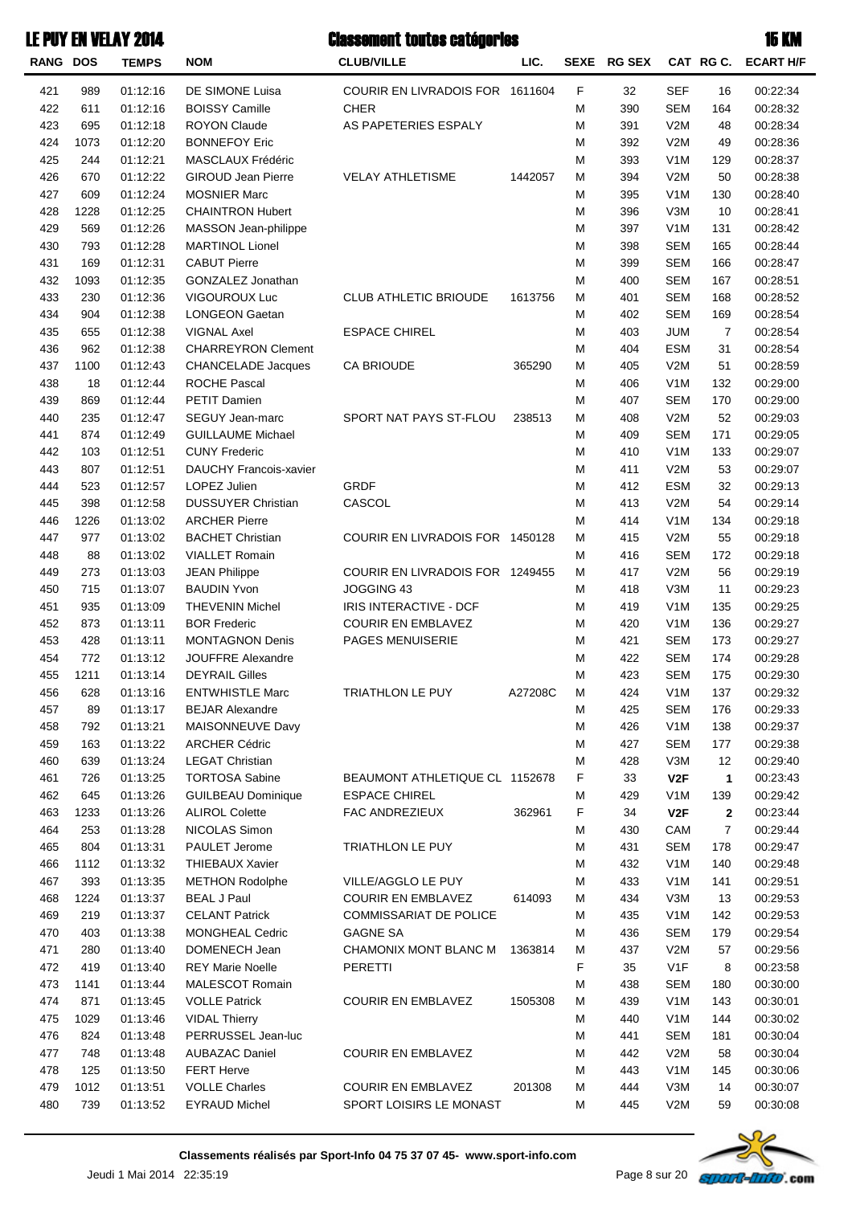| <b>RANG DOS</b> |             | <b>TEMPS</b>         | <b>NOM</b>                                | <b>CLUB/VILLE</b>               | LIC.    | <b>SEXE</b> | <b>RG SEX</b> |                         | CAT RG C.      | <b>ECART H/F</b>     |
|-----------------|-------------|----------------------|-------------------------------------------|---------------------------------|---------|-------------|---------------|-------------------------|----------------|----------------------|
| 421             | 989         | 01:12:16             | DE SIMONE Luisa                           | COURIR EN LIVRADOIS FOR 1611604 |         | $\mathsf F$ | 32            | <b>SEF</b>              | 16             | 00:22:34             |
| 422             | 611         | 01:12:16             | <b>BOISSY Camille</b>                     | <b>CHER</b>                     |         | М           | 390           | <b>SEM</b>              | 164            | 00:28:32             |
| 423             | 695         | 01:12:18             | <b>ROYON Claude</b>                       | AS PAPETERIES ESPALY            |         | М           | 391           | V2M                     | 48             | 00:28:34             |
| 424             | 1073        | 01:12:20             | <b>BONNEFOY Eric</b>                      |                                 |         | М           | 392           | V2M                     | 49             | 00:28:36             |
| 425             | 244         | 01:12:21             | MASCLAUX Frédéric                         |                                 |         | М           | 393           | V <sub>1</sub> M        | 129            | 00:28:37             |
| 426             | 670         | 01:12:22             | <b>GIROUD Jean Pierre</b>                 | <b>VELAY ATHLETISME</b>         | 1442057 | М           | 394           | V2M                     | 50             | 00:28:38             |
| 427             | 609         | 01:12:24             | <b>MOSNIER Marc</b>                       |                                 |         | М           | 395           | V <sub>1</sub> M        | 130            | 00:28:40             |
| 428             | 1228        | 01:12:25             | <b>CHAINTRON Hubert</b>                   |                                 |         | М           | 396           | V3M                     | 10             | 00:28:41             |
| 429             | 569         | 01:12:26             | MASSON Jean-philippe                      |                                 |         | М           | 397           | V <sub>1</sub> M        | 131            | 00:28:42             |
| 430             | 793         | 01:12:28             | <b>MARTINOL Lionel</b>                    |                                 |         | М           | 398           | <b>SEM</b>              | 165            | 00:28:44             |
| 431             | 169         | 01:12:31             | <b>CABUT Pierre</b>                       |                                 |         | M           | 399           | <b>SEM</b>              | 166            | 00:28:47             |
| 432             | 1093        | 01:12:35             | GONZALEZ Jonathan                         |                                 |         | М           | 400           | <b>SEM</b>              | 167            | 00:28:51             |
| 433             | 230         | 01:12:36             | VIGOUROUX Luc                             | <b>CLUB ATHLETIC BRIOUDE</b>    | 1613756 | M           | 401           | <b>SEM</b>              | 168            | 00:28:52             |
| 434             | 904         | 01:12:38             | <b>LONGEON Gaetan</b>                     |                                 |         | M           | 402           | <b>SEM</b>              | 169            | 00:28:54             |
| 435             | 655         | 01:12:38             | <b>VIGNAL Axel</b>                        | <b>ESPACE CHIREL</b>            |         | М           | 403           | JUM                     | $\overline{7}$ | 00:28:54             |
| 436             | 962         | 01:12:38             | <b>CHARREYRON Clement</b>                 |                                 |         | М           | 404           | <b>ESM</b>              | 31             | 00:28:54             |
| 437             | 1100        | 01:12:43             | <b>CHANCELADE Jacques</b>                 | <b>CA BRIOUDE</b>               | 365290  | M           | 405           | V2M                     | 51             | 00:28:59             |
| 438             | 18          | 01:12:44             | <b>ROCHE Pascal</b>                       |                                 |         | M           | 406           | V <sub>1</sub> M        | 132            | 00:29:00             |
| 439             | 869         | 01:12:44             | PETIT Damien                              |                                 |         | М           | 407           | <b>SEM</b>              | 170            | 00:29:00             |
| 440             | 235         | 01:12:47             | <b>SEGUY Jean-marc</b>                    | SPORT NAT PAYS ST-FLOU          | 238513  | M           | 408           | V2M                     | 52             | 00:29:03             |
| 441             | 874         | 01:12:49             | <b>GUILLAUME Michael</b>                  |                                 |         | M           | 409           | <b>SEM</b>              | 171            | 00:29:05             |
| 442             | 103         | 01:12:51             | <b>CUNY Frederic</b>                      |                                 |         | М           | 410           | V <sub>1</sub> M        | 133            | 00:29:07             |
| 443             | 807         | 01:12:51             | DAUCHY Francois-xavier                    |                                 |         | M           | 411           | V2M                     | 53             | 00:29:07             |
| 444             | 523         | 01:12:57             | LOPEZ Julien<br><b>DUSSUYER Christian</b> | <b>GRDF</b>                     |         | М           | 412           | <b>ESM</b>              | 32             | 00:29:13             |
| 445             | 398         | 01:12:58             | <b>ARCHER Pierre</b>                      | CASCOL                          |         | М           | 413           | V2M                     | 54             | 00:29:14             |
| 446<br>447      | 1226<br>977 | 01:13:02<br>01:13:02 | <b>BACHET Christian</b>                   | COURIR EN LIVRADOIS FOR 1450128 |         | М<br>М      | 414<br>415    | V <sub>1</sub> M<br>V2M | 134<br>55      | 00:29:18<br>00:29:18 |
| 448             | 88          | 01:13:02             | <b>VIALLET Romain</b>                     |                                 |         | М           | 416           | <b>SEM</b>              | 172            | 00:29:18             |
| 449             | 273         | 01:13:03             | <b>JEAN Philippe</b>                      | COURIR EN LIVRADOIS FOR 1249455 |         | М           | 417           | V2M                     | 56             | 00:29:19             |
| 450             | 715         | 01:13:07             | <b>BAUDIN Yvon</b>                        | JOGGING 43                      |         | М           | 418           | V3M                     | 11             | 00:29:23             |
| 451             | 935         | 01:13:09             | <b>THEVENIN Michel</b>                    | IRIS INTERACTIVE - DCF          |         | М           | 419           | V <sub>1</sub> M        | 135            | 00:29:25             |
| 452             | 873         | 01:13:11             | <b>BOR Frederic</b>                       | <b>COURIR EN EMBLAVEZ</b>       |         | М           | 420           | V <sub>1</sub> M        | 136            | 00:29:27             |
| 453             | 428         | 01:13:11             | <b>MONTAGNON Denis</b>                    | PAGES MENUISERIE                |         | М           | 421           | <b>SEM</b>              | 173            | 00:29:27             |
| 454             | 772         | 01:13:12             | <b>JOUFFRE Alexandre</b>                  |                                 |         | М           | 422           | <b>SEM</b>              | 174            | 00:29:28             |
| 455             | 1211        | 01:13:14             | <b>DEYRAIL Gilles</b>                     |                                 |         | M           | 423           | <b>SEM</b>              | 175            | 00:29:30             |
| 456             | 628         | 01:13:16             | <b>ENTWHISTLE Marc</b>                    | TRIATHLON LE PUY                | A27208C | м           | 424           | V <sub>1</sub> M        | 137            | 00:29:32             |
| 457             | 89          | 01:13:17             | <b>BEJAR Alexandre</b>                    |                                 |         | М           | 425           | SEM                     | 176            | 00:29:33             |
| 458             | 792         | 01:13:21             | MAISONNEUVE Davy                          |                                 |         | М           | 426           | V <sub>1</sub> M        | 138            | 00:29:37             |
| 459             | 163         | 01:13:22             | <b>ARCHER Cédric</b>                      |                                 |         | М           | 427           | <b>SEM</b>              | 177            | 00:29:38             |
| 460             | 639         | 01:13:24             | <b>LEGAT Christian</b>                    |                                 |         | М           | 428           | V3M                     | 12             | 00:29:40             |
| 461             | 726         | 01:13:25             | <b>TORTOSA Sabine</b>                     | BEAUMONT ATHLETIQUE CL 1152678  |         | F           | 33            | V <sub>2</sub> F        | 1              | 00:23:43             |
| 462             | 645         | 01:13:26             | <b>GUILBEAU Dominique</b>                 | <b>ESPACE CHIREL</b>            |         | М           | 429           | V <sub>1</sub> M        | 139            | 00:29:42             |
| 463             | 1233        | 01:13:26             | <b>ALIROL Colette</b>                     | FAC ANDREZIEUX                  | 362961  | F           | 34            | V2F                     | 2              | 00:23:44             |
| 464             | 253         | 01:13:28             | NICOLAS Simon                             |                                 |         | M           | 430           | CAM                     | $\overline{7}$ | 00:29:44             |
| 465             | 804         | 01:13:31             | PAULET Jerome                             | TRIATHLON LE PUY                |         | М           | 431           | <b>SEM</b>              | 178            | 00:29:47             |
| 466             | 1112        | 01:13:32             | <b>THIEBAUX Xavier</b>                    |                                 |         | М           | 432           | V <sub>1</sub> M        | 140            | 00:29:48             |
| 467             | 393         | 01:13:35             | <b>METHON Rodolphe</b>                    | VILLE/AGGLO LE PUY              |         | М           | 433           | V <sub>1</sub> M        | 141            | 00:29:51             |
| 468             | 1224        | 01:13:37             | <b>BEAL J Paul</b>                        | <b>COURIR EN EMBLAVEZ</b>       | 614093  | M           | 434           | V3M                     | 13             | 00:29:53             |
| 469             | 219         | 01:13:37             | <b>CELANT Patrick</b>                     | <b>COMMISSARIAT DE POLICE</b>   |         | M           | 435           | V <sub>1</sub> M        | 142            | 00:29:53             |
| 470             | 403         | 01:13:38             | <b>MONGHEAL Cedric</b>                    | <b>GAGNE SA</b>                 |         | М           | 436           | <b>SEM</b>              | 179            | 00:29:54             |
| 471             | 280         | 01:13:40             | DOMENECH Jean                             | CHAMONIX MONT BLANC M           | 1363814 | M           | 437           | V2M                     | 57             | 00:29:56             |
| 472             | 419         | 01:13:40             | <b>REY Marie Noelle</b>                   | PERETTI                         |         | F           | 35            | V <sub>1</sub> F        | 8              | 00:23:58             |
| 473             | 1141        | 01:13:44             | <b>MALESCOT Romain</b>                    |                                 |         | M           | 438           | <b>SEM</b>              | 180            | 00:30:00             |
| 474             | 871         | 01:13:45             | <b>VOLLE Patrick</b>                      | <b>COURIR EN EMBLAVEZ</b>       | 1505308 | M           | 439           | V <sub>1</sub> M        | 143            | 00:30:01             |
| 475             | 1029        | 01:13:46             | <b>VIDAL Thierry</b>                      |                                 |         | M           | 440           | V <sub>1</sub> M        | 144            | 00:30:02             |
| 476             | 824         | 01:13:48             | PERRUSSEL Jean-luc                        |                                 |         | М           | 441           | <b>SEM</b>              | 181            | 00:30:04             |
| 477             | 748         | 01:13:48             | <b>AUBAZAC Daniel</b>                     | <b>COURIR EN EMBLAVEZ</b>       |         | М           | 442           | V2M                     | 58             | 00:30:04             |
| 478             | 125         | 01:13:50             | <b>FERT Herve</b>                         |                                 |         | М           | 443           | V <sub>1</sub> M        | 145            | 00:30:06             |
| 479             | 1012        | 01:13:51             | <b>VOLLE Charles</b>                      | <b>COURIR EN EMBLAVEZ</b>       | 201308  | М           | 444           | V3M                     | 14             | 00:30:07             |
| 480             | 739         | 01:13:52             | <b>EYRAUD Michel</b>                      | SPORT LOISIRS LE MONAST         |         | М           | 445           | V2M                     | 59             | 00:30:08             |

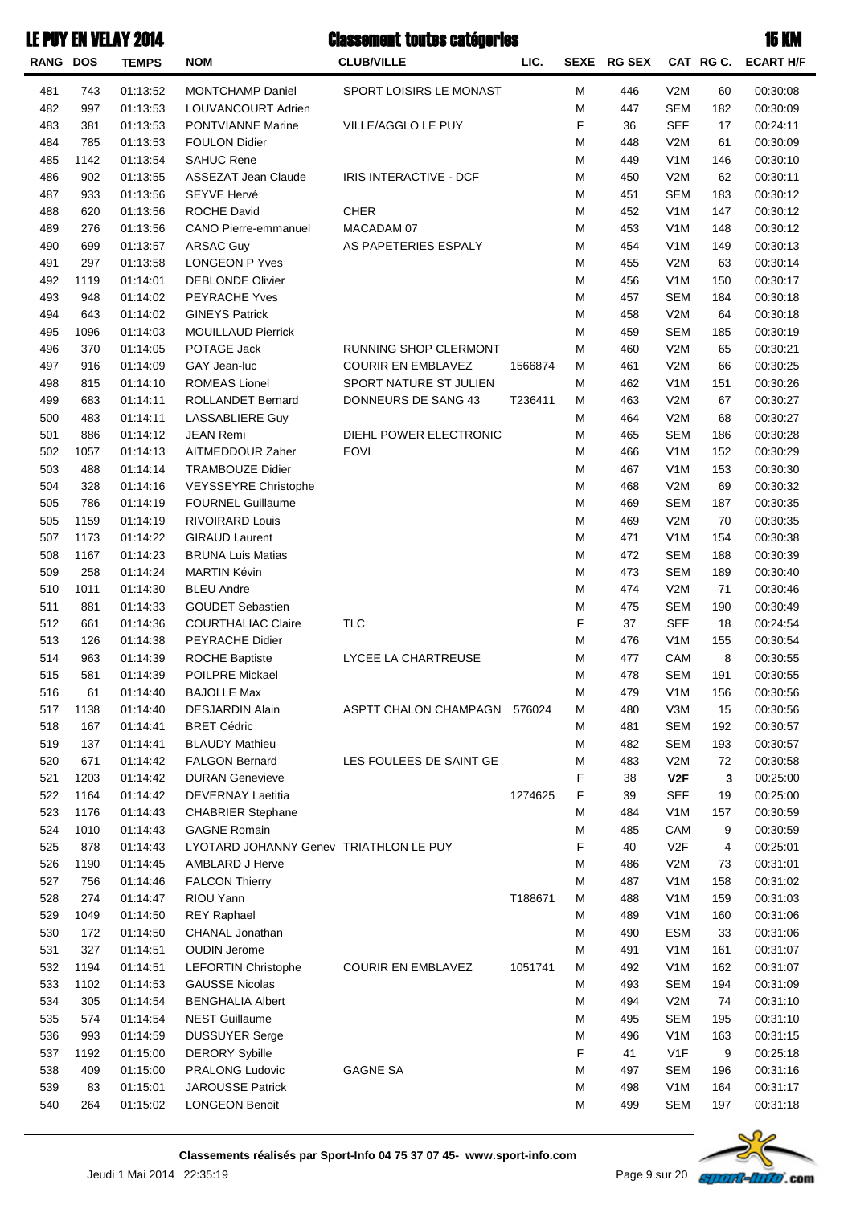**RANG DOS TEMPS NOM CLUB/VILLE CAT RG C.** Classement toutes catégories 15 KMLE PUY EN VELAY 2014 **SEXE** LIC. **SEXE RG SEX CAT RG C. ECART H/F** 481 743 01:13:52 MONTCHAMP Daniel SPORT LOISIRS LE MONAST M 446 V2M 60 00:30:08 482 997 01:13:53 LOUVANCOURT Adrien 182SEMM 00:30:09447 483 381 01:13:53 PONTVIANNE Marine VILLE/AGGLO LE PUY 1998 F 36 SEF 17 00:24:11 484 785 01:13:53 FOULON Didier 61V2MM 00:30:09448 485 1142 01:13:54 SAHUC Rene M 449 V1M 146 00:30:10 486 902 01:13:55 ASSEZAT Jean Claude IRIS INTERACTIVE - DCF 62 M 450 V2M 62 00:30:11 487 933 01:13:56 SEYVE Hervé M 451 SEM 183 00:30:12 488 620 01:13:56 ROCHE David CHER M 452 V1M 147 00:30:12 489 276 01:13:56 CANO Pierre-emmanuel MACADAM 07 148V1MM 00:30:12453 490 699 01:13:57 ARSAC Guy AS PAPETERIES ESPALY 1454 V1M 149 00:30:13 491 297 01:13:58 LONGEON P Yves M 455 V2M 63 00:30:14 492 1119 01:14:01 DEBLONDE Olivier M 456 V1M 150 00:30:17 493 948 01:14:02 PEYRACHE Yves M 457 SEM 184 00:30:18 494 643 01:14:02 GINEYS Patrick 643 DIA State of the Material of Material of Material of Material of Material o 495 1096 01:14:03 MOUILLAUD Pierrick 185SEM 185 00:30:19 496 370 01:14:05 POTAGE Jack RUNNING SHOP CLERMONT M 460 V2M 65 00:30:21 497 916 01:14:09 GAY Jean-luc COURIR EN EMBLAVEZ 1566874 M 461 V2M 66 00:30:25 498 815 01:14:10 ROMEAS Lionel SPORT NATURE ST JULIEN 151 462 V1M 151 00:30:26 499 683 01:14:11 ROLLANDET Bernard DONNEURS DE SANG 43 T236411 M 463 V2M 67 00:30:27 500 483 01:14:11 LASSABLIERE Guy 68 CONSERVENT MANAGEMENT ON 464 V2M 68 00:30:27 501 886 01:14:12 JEAN Remi DIEHL POWER ELECTRONIC M 465 SEM 186 00:30:28 502 1057 01:14:13 AITMEDDOUR Zaher EOVI M 466 V1M 152 00:30:29 503 488 01:14:14 TRAMBOUZE Didier 153 163 164 164 165 171 164 165 169 169 169 169 169 169 16 504 328 01:14:16 VEYSSEYRE Christophe 69 CO:30:32 505 786 01:14:19 FOURNEL Guillaume 1888 189 189 189 189 187 00:30:35 505 1159 01:14:19 RIVOIRARD Louis 70 00:30:35469 00:30:35469 00:30:35469 00:30:35 507 1173 01:14:22 GIRAUD Laurent 1540 12:30:38 508 1167 01:14:23 BRUNA Luis Matias 188SEMM 00:30:39472 509 258 01:14:24 MARTIN Kévin 189 (1898) 258 1990:30:40 N 258 10:30:40 N 258 10:30:40 510 1011 01:14:30 BLEU Andre 71 - 20:30:46 Andre 71 - 20:30:46 Andre 71 - 20:30:46 511 881 01:14:33 GOUDET Sebastien 190 10:30:49 N 475 SEM 190 00:30:49 512 661 01:14:36 COURTHALIAC Claire TLC 18 12 12 13 14:54 513 126 01:14:38 PEYRACHE Didier 155V1M 00:30:54 126 V1M 00:30:54 514 963 01:14:39 ROCHE Baptiste LYCEE LA CHARTREUSE M 477 CAM 8 00:30:55 515 581 01:14:39 POILPRE Mickael 1916 1916 1917 1920 1920 1930:554 19478 1954 1968 1979 1980:555478 516 61 01:14:40 BAJOLLE Max M 479 V1M 156 00:30:56 517 1138 01:14:40 DESJARDIN Alain ASPTT CHALON CHAMPAGN 15V3MM 00:30:56480576024 518 167 01:14:41 BRET Cédric 192SEMM 00:30:57481 519 137 01:14:41 BLAUDY Mathieu 193 1988 1989 1989 1989 1989 1989 1989 1989 1989 1989 1989 198 520 671 01:14:42 FALGON Bernard LES FOULEES DE SAINT GE 7483 V2M 72 00:30:58 521 1203 01:14:42 DURAN Genevieve **F** 38 V2F 3 00:25:00 522 1164 01:14:42 DEVERNAY Laetitia 19 10:25:00 1274625 F 39 SEF 19 00:25:00 523 1176 01:14:43 CHABRIER Stephane 158 100:00:59 100:00:59 1176 00:30:59 524 1010 01:14:43 GAGNE Romain M 485 CAM 9 00:30:59 525 878 01:14:43 LYOTARD JOHANNY Genev TRIATHLON LE PUY F 40 V2F 4 00:25:01 526 1190 01:14:45 AMBLARD J Herve 73 20:31:01 M 486 V2M 73 00:31:01 527 756 01:14:46 FALCON Thierry 158V1MM 00:31:02 158V1MM 00:31:02 528 274 01:14:47 RIOU Yann T188671 M 488 V1M 159 00:31:03 529 1049 01:14:50 REY Raphael M 489 V1M 160 00:31:06 530 172 01:14:50 CHANAL Jonathan 33 00:31:06<br>
530 172 01:14:50 CHANAL Jonathan 33 00:31:06 531 327 01:14:51 OUDIN Jerome 161V1MM 00:31:07491 532 1194 01:14:51 LEFORTIN Christophe COURIR EN EMBLAVEZ 1051741 M 492 V1M 162 00:31:07 533 1102 01:14:53 GAUSSE Nicolas M 493 SEM 194 00:31:09 534 305 01:14:54 BENGHALIA Albert 74 00:31:10 535 574 01:14:54 NEST Guillaume 195 (1968) 1969 1969 1969 1969 1970 1989 1999 1999 1999 1999 1999 199



536 993 01:14:59 DUSSUYER Serge 163 163 164 163 164 163 163 164 163 163 164 163 164 163 164 163 164 164 164 16 537 1192 01:15:00 DERORY Svbille 9 20:25:18 538 409 01:15:00 PRALONG Ludovic GAGNE SA M 497 SEM 196 00:31:16 539 83 01:15:01 JAROUSSE Patrick 164V1M 00:31:17 540 264 01:15:02 LONGEON Benoit 197 20:31:18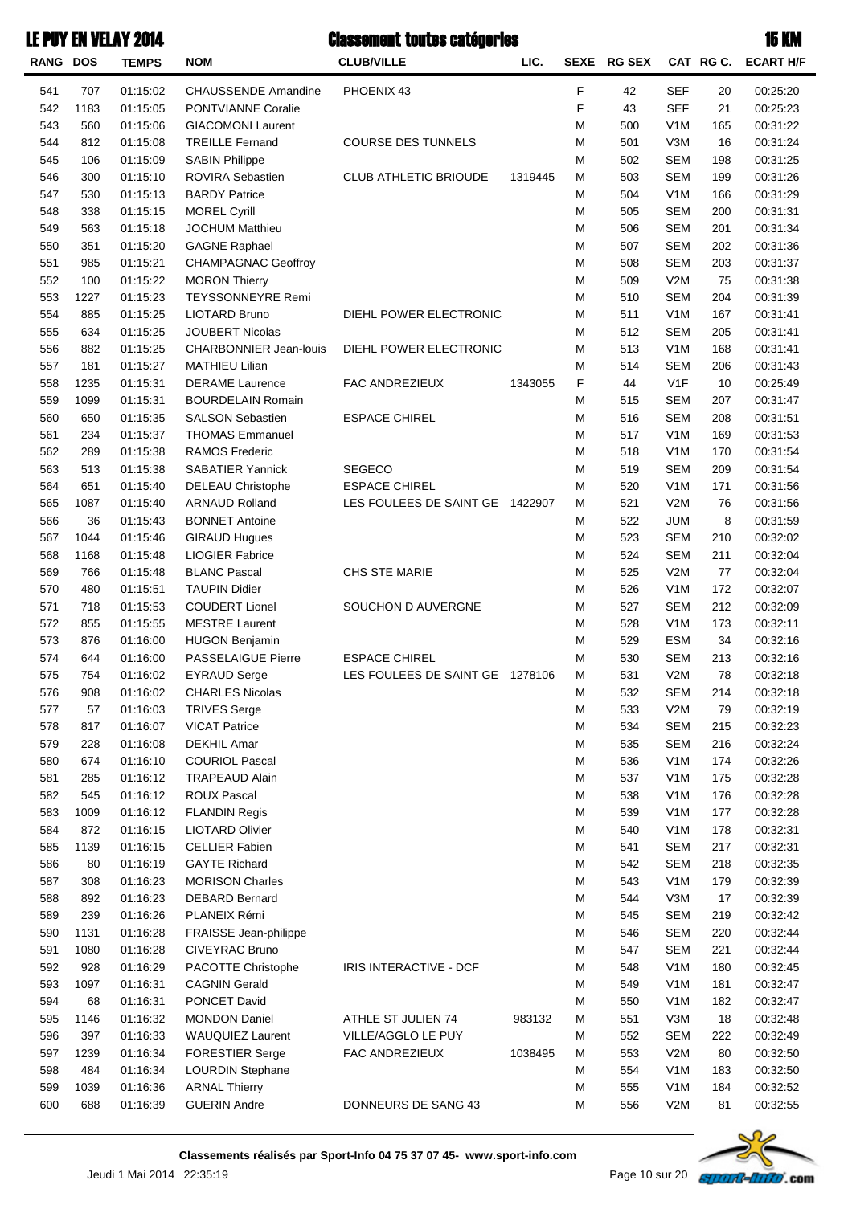**RANG DOS TEMPS NOM CLUB/VILLE CAT RG C. SEXE LIC. RG SEX ECART H/F** 541 707 01:15:02 CHAUSSENDE Amandine PHOENIX 43 2000 2010 2010 25:2042 12:304 2042 542 1183 01:15:05 PONTVIANNE Coralie 21 20:25:23 543 560 01:15:06 GIACOMONI Laurent 165 10:31:22 544 812 01:15:08 TREILLE Fernand COURSE DES TUNNELS M 501 V3M 16 00:31:24 545 106 01:15:09 SABIN Philippe M 502 SEM 198 00:31:25 546 300 01:15:10 ROVIRA Sebastien CLUB ATHLETIC BRIOUDE 1319445 M 503 SEM 199 00:31:26 547 530 01:15:13 BARDY Patrice 166 166 166 166 166 167 168 169 169 169 160 161:29 548 338 01:15:15 MOREL Cyrill M 505 SEM 200 00:31:31 549 563 01:15:18 JOCHUM Matthieu 2016 2016 2016 2016 2016 2016 2016 2016 2016 2016 20 550 351 01:15:20 GAGNE Raphael M 507 SEM 202 00:31:36 551 985 01:15:21 CHAMPAGNAC Geoffroy 200 200 200 200 200 200 201:3750 203 200:31:37 552 100 01:15:22 MORON Thierry 75 Communication of the Communication of Material Material Material Material Ma 553 1227 01:15:23 TEYSSONNEYRE.Remi 200 201 202 M 510 SEM 204 00:31:39 554 885 01:15:25 LIOTARD Bruno DIEHL POWER ELECTRONIC M 511 V1M 167 00:31:41 555 634 01:15:25 JOUBERT Nicolas 205 200 11:41 205 00:31:41 556 882 01:15:25 CHARBONNIER Jean-louis DIEHL POWER ELECTRONIC M 513 V1M 168 00:31:41 557 181 01:15:27 MATHIEU Lilian 200 20:31:43 N 514 SEM 206 00:31:43 558 1235 01:15:31 DERAME Laurence FAC ANDREZIEUX 1343055 F 44 V1F 10 00:25:49 559 1099 01:15:31 BOURDELAIN Romain 200 200 200 201 201 207 00:31:47 560 650 01:15:35 SALSON Sebastien ESPACE CHIREL 20 M 516 SEM 208 00:31:51 561 234 01:15:37 THOMAS Emmanuel 169 10:31:53 169 00:31:53 562 289 01:15:38 RAMOS Frederic M 518 V1M 170 00:31:54 563 513 01:15:38 SABATIER Yannick SEGECO 2009 N 519 SEM 209 00:31:54 564 651 01:15:40 DELEAU Christophe ESPACE CHIREL 171V1MM 00:31:56520 565 1087 01:15:40 ARNAUD Rolland LES FOULEES DE SAINT GE 1422907 M 521 V2M 76 00:31:56 566 36 01:15:43 BONNET Antoine 8 and 30:31:59 and 30:31:59 and 30:31:59 567 1044 01:15:46 GIRAUD Hugues 210 210 210 210 210 22:02 568 1168 01:15:48 LIOGIER Fabrice 211 20:32:04 CHE 211 20:32:04 569 766 01:15:48 BLANC Pascal CHS STE MARIE M 525 V2M 77 00:32:04 570 480 01:15:51 TAUPIN Didier M 526 V1M 172 00:32:07 571 718 01:15:53 COUDERT Lionel SOUCHON D AUVERGNE 212SEMM 00:32:09527 572 855 01:15:55 MESTRE Laurent 173 10:32:11 173 00:32:11 573 876 01:16:00 HUGON Benjamin 34 CONSERVIATE STREET MASS AND SERVIAL DESIGN 00:32:16 574 644 01:16:00 PASSELAIGUE Pierre ESPACE CHIREL 213SEMM 00:32:16530 575 754 01:16:02 EYRAUD Serge LES FOULEES DE SAINT GE 1278106 M 531 V2M 78 00:32:18 576 908 01:16:02 CHARLES Nicolas 214 20:32:18 577 57 01:16:03 TRIVES Serge 79 20:32:19 79 00:32:19 578 817 01:16:07 VICAT Patrice M 534 SEM 215 00:32:23 579 228 01:16:08 DEKHIL Amar 21 - 216 216 216 216 00:32:24 580 674 01:16:10 COURIOL Pascal M 536 V1M 174 00:32:26 581 285 01:16:12 TRAPEAUD Alain M 537 V1M 175 00:32:28 582 545 01:16:12 ROUX Pascal M 538 V1M 176 00:32:28 583 1009 01:16:12 FLANDIN Regis M 539 V1M 177 00:32:28 584 872 01:16:15 LIOTARD Olivier 178V1MM 00:32:31540 585 1139 01:16:15 CELLIER Fabien 21 20:32:31 20:32:31 586 80 01:16:19 GAYTE Richard M 542 SEM 218 00:32:35 587 308 01:16:23 MORISON Charles M 543 V1M 179 00:32:39 588 892 01:16:23 DEBARD Bernard M 544 V3M 17 00:32:39 589 239 01:16:26 PLANEIX Rémi M 545 SEM 219 00:32:42 590 1131 01:16:28 FRAISSE Jean-philippe 20 220 20:32:44 591 1080 01:16:28 CIVEYRAC Bruno M 547 SEM 221 00:32:44 592 928 01:16:29 PACOTTE Christophe IRIS INTERACTIVE - DCF 180 M 548 V1M 180 00:32:45 593 1097 01:16:31 CAGNIN Gerald M 549 V1M 181 00:32:47 594 68 01:16:31 PONCET David M 550 V1M 182 00:32:47 595 1146 01:16:32 MONDON Daniel ATHLE ST JULIEN 74 18V3MM 00:32:48551983132 596 397 01:16:33 WAUQUIEZ Laurent VILLE/AGGLO LE PUY **120 M** 552 SEM 222 00:32:49 597 1239 01:16:34 FORESTIER Serge FAC ANDREZIEUX 1038495 M 553 V2M 80 00:32:50 598 484 01:16:34 LOURDIN Stephane 183V1M 00:32:50 183V1M 00:32:50 599 1039 01:16:36 ARNAL Thierry 184V1M 00:32:52 184V1M 00:32:52 600 688 01:16:39 GUERIN Andre DONNEURS DE SANG 43 M 556 V2M 81 00:32:55

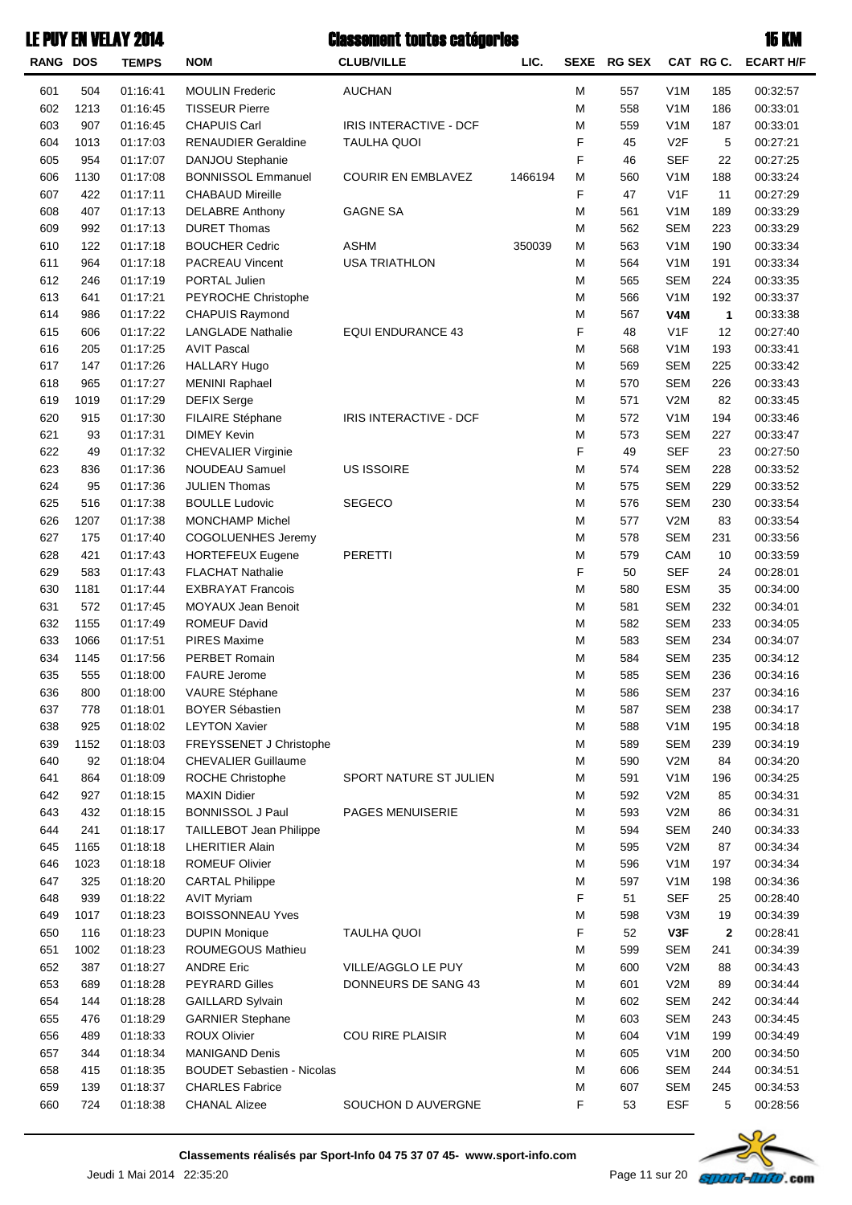|          |      | <b>LE PUY EN VELAY 2014</b> |                                   | <b>Classement toutes catégories</b> |         |   |             |                  |           | 15 KM            |
|----------|------|-----------------------------|-----------------------------------|-------------------------------------|---------|---|-------------|------------------|-----------|------------------|
| RANG DOS |      | <b>TEMPS</b>                | <b>NOM</b>                        | <b>CLUB/VILLE</b>                   | LIC.    |   | SEXE RG SEX |                  | CAT RG C. | <b>ECART H/F</b> |
| 601      | 504  | 01:16:41                    | <b>MOULIN Frederic</b>            | <b>AUCHAN</b>                       |         | M | 557         | V <sub>1</sub> M | 185       | 00:32:57         |
| 602      | 1213 | 01:16:45                    | <b>TISSEUR Pierre</b>             |                                     |         | M | 558         | V <sub>1</sub> M | 186       | 00:33:01         |
| 603      | 907  | 01:16:45                    | <b>CHAPUIS Carl</b>               | IRIS INTERACTIVE - DCF              |         | M | 559         | V <sub>1</sub> M | 187       | 00:33:01         |
| 604      | 1013 | 01:17:03                    | <b>RENAUDIER Geraldine</b>        | <b>TAULHA QUOI</b>                  |         | F | 45          | V <sub>2F</sub>  | 5         | 00:27:21         |
| 605      | 954  | 01:17:07                    | DANJOU Stephanie                  |                                     |         | F | 46          | <b>SEF</b>       | 22        | 00:27:25         |
| 606      | 1130 | 01:17:08                    | <b>BONNISSOL Emmanuel</b>         | <b>COURIR EN EMBLAVEZ</b>           | 1466194 | M | 560         | V <sub>1</sub> M | 188       | 00:33:24         |
| 607      | 422  | 01:17:11                    | <b>CHABAUD Mireille</b>           |                                     |         | F | 47          | V <sub>1</sub> F | 11        | 00:27:29         |
| 608      | 407  | 01:17:13                    | <b>DELABRE Anthony</b>            | <b>GAGNE SA</b>                     |         | M | 561         | V <sub>1</sub> M | 189       | 00:33:29         |
| 609      | 992  | 01:17:13                    | <b>DURET Thomas</b>               |                                     |         | M | 562         | <b>SEM</b>       | 223       | 00:33:29         |
| 610      | 122  | 01:17:18                    | <b>BOUCHER Cedric</b>             | <b>ASHM</b>                         | 350039  | M | 563         | V <sub>1</sub> M | 190       | 00:33:34         |
| 611      | 964  | 01:17:18                    | PACREAU Vincent                   | <b>USA TRIATHLON</b>                |         | M | 564         | V <sub>1</sub> M | 191       | 00:33:34         |
| 612      | 246  | 01:17:19                    | PORTAL Julien                     |                                     |         | M | 565         | <b>SEM</b>       | 224       | 00:33:35         |
| 613      | 641  | 01:17:21                    | PEYROCHE Christophe               |                                     |         | M | 566         | V <sub>1</sub> M | 192       | 00:33:37         |
| 614      | 986  | 01:17:22                    | <b>CHAPUIS Raymond</b>            |                                     |         | M | 567         | V <sub>4</sub> M | 1         | 00:33:38         |
| 615      | 606  | 01:17:22                    | <b>LANGLADE Nathalie</b>          | <b>EQUI ENDURANCE 43</b>            |         | F | 48          | V <sub>1</sub> F | 12        | 00:27:40         |
| 616      | 205  | 01:17:25                    | <b>AVIT Pascal</b>                |                                     |         | M | 568         | V <sub>1</sub> M | 193       | 00:33:41         |
| 617      | 147  | 01:17:26                    | <b>HALLARY Hugo</b>               |                                     |         | M | 569         | <b>SEM</b>       | 225       | 00:33:42         |
| 618      | 965  | 01:17:27                    | <b>MENINI Raphael</b>             |                                     |         | M | 570         | <b>SEM</b>       | 226       | 00:33:43         |
| 619      | 1019 | 01:17:29                    | <b>DEFIX Serge</b>                |                                     |         | M | 571         | V2M              | 82        | 00:33:45         |
| 620      | 915  | 01:17:30                    | <b>FILAIRE Stéphane</b>           | IRIS INTERACTIVE - DCF              |         | M | 572         | V <sub>1</sub> M | 194       | 00:33:46         |
| 621      | 93   | 01:17:31                    | <b>DIMEY Kevin</b>                |                                     |         | M | 573         | <b>SEM</b>       | 227       | 00:33:47         |
| 622      | 49   | 01:17:32                    | <b>CHEVALIER Virginie</b>         |                                     |         | F | 49          | <b>SEF</b>       | 23        | 00:27:50         |
| 623      | 836  | 01:17:36                    | NOUDEAU Samuel                    | US ISSOIRE                          |         | M | 574         | <b>SEM</b>       | 228       | 00:33:52         |
| 624      | 95   | 01:17:36                    | <b>JULIEN Thomas</b>              |                                     |         | M | 575         | <b>SEM</b>       | 229       | 00:33:52         |
| 625      | 516  | 01:17:38                    | <b>BOULLE Ludovic</b>             | <b>SEGECO</b>                       |         | M | 576         | <b>SEM</b>       | 230       | 00:33:54         |
| 626      | 1207 | 01:17:38                    | <b>MONCHAMP Michel</b>            |                                     |         | M | 577         | V2M              | 83        | 00:33:54         |
| 627      | 175  | 01:17:40                    | COGOLUENHES Jeremy                |                                     |         | M | 578         | <b>SEM</b>       | 231       | 00:33:56         |
| 628      | 421  | 01:17:43                    | <b>HORTEFEUX Eugene</b>           | PERETTI                             |         | M | 579         | CAM              | 10        | 00:33:59         |
| 629      | 583  | 01:17:43                    | <b>FLACHAT Nathalie</b>           |                                     |         | F | 50          | <b>SEF</b>       | 24        | 00:28:01         |
| 630      | 1181 | 01:17:44                    | <b>EXBRAYAT Francois</b>          |                                     |         | M | 580         | <b>ESM</b>       | 35        | 00:34:00         |
| 631      | 572  | 01:17:45                    | <b>MOYAUX Jean Benoit</b>         |                                     |         | M | 581         | <b>SEM</b>       | 232       | 00:34:01         |
| 632      | 1155 | 01:17:49                    | <b>ROMEUF David</b>               |                                     |         | M | 582         | <b>SEM</b>       | 233       | 00:34:05         |
| 633      | 1066 | 01:17:51                    | <b>PIRES Maxime</b>               |                                     |         | M | 583         | <b>SEM</b>       | 234       | 00:34:07         |
| 634      | 1145 | 01:17:56                    | PERBET Romain                     |                                     |         | M | 584         | <b>SEM</b>       | 235       | 00:34:12         |
| 635      | 555  | 01:18:00                    | <b>FAURE</b> Jerome               |                                     |         | M | 585         | SEM              | 236       | 00:34:16         |
| 636      | 800  | 01:18:00                    | VAURE Stéphane                    |                                     |         | M | 586         | <b>SEM</b>       | 237       | 00:34:16         |
| 637      | 778  | 01:18:01                    | <b>BOYER Sébastien</b>            |                                     |         | M | 587         | <b>SEM</b>       | 238       | 00:34:17         |
| 638      | 925  | 01:18:02                    | <b>LEYTON Xavier</b>              |                                     |         | M | 588         | V <sub>1</sub> M | 195       | 00:34:18         |
| 639      | 1152 | 01:18:03                    | FREYSSENET J Christophe           |                                     |         | M | 589         | <b>SEM</b>       | 239       | 00:34:19         |
| 640      | 92   | 01:18:04                    | <b>CHEVALIER Guillaume</b>        |                                     |         | M | 590         | V2M              | 84        | 00:34:20         |
| 641      | 864  | 01:18:09                    | ROCHE Christophe                  | SPORT NATURE ST JULIEN              |         | M | 591         | V <sub>1</sub> M | 196       | 00:34:25         |
| 642      | 927  | 01:18:15                    | <b>MAXIN Didier</b>               |                                     |         | M | 592         | V2M              | 85        | 00:34:31         |
| 643      | 432  | 01:18:15                    | <b>BONNISSOL J Paul</b>           | PAGES MENUISERIE                    |         | M | 593         | V2M              | 86        | 00:34:31         |
| 644      | 241  | 01:18:17                    | TAILLEBOT Jean Philippe           |                                     |         | M | 594         | <b>SEM</b>       | 240       | 00:34:33         |
| 645      | 1165 | 01:18:18                    | <b>LHERITIER Alain</b>            |                                     |         | M | 595         | V2M              | 87        | 00:34:34         |
| 646      | 1023 | 01:18:18                    | <b>ROMEUF Olivier</b>             |                                     |         | M | 596         | V <sub>1</sub> M | 197       | 00:34:34         |
| 647      | 325  | 01:18:20                    | <b>CARTAL Philippe</b>            |                                     |         | M | 597         | V <sub>1</sub> M | 198       | 00:34:36         |
| 648      | 939  | 01:18:22                    | <b>AVIT Myriam</b>                |                                     |         | F | 51          | <b>SEF</b>       | 25        | 00:28:40         |
| 649      | 1017 | 01:18:23                    | <b>BOISSONNEAU Yves</b>           |                                     |         | M | 598         | V3M              | 19        | 00:34:39         |
| 650      | 116  | 01:18:23                    | <b>DUPIN Monique</b>              | <b>TAULHA QUOI</b>                  |         | F | 52          | V3F              | 2         | 00:28:41         |
| 651      | 1002 | 01:18:23                    | ROUMEGOUS Mathieu                 |                                     |         | M | 599         | <b>SEM</b>       | 241       | 00:34:39         |
| 652      | 387  | 01:18:27                    | <b>ANDRE Eric</b>                 | VILLE/AGGLO LE PUY                  |         | M | 600         | V2M              | 88        | 00:34:43         |
| 653      | 689  | 01:18:28                    | <b>PEYRARD Gilles</b>             | DONNEURS DE SANG 43                 |         | M | 601         | V2M              | 89        | 00:34:44         |
| 654      | 144  | 01:18:28                    | <b>GAILLARD Sylvain</b>           |                                     |         | M | 602         | <b>SEM</b>       | 242       | 00:34:44         |
| 655      | 476  | 01:18:29                    | <b>GARNIER Stephane</b>           |                                     |         | M | 603         | <b>SEM</b>       | 243       | 00:34:45         |
| 656      | 489  | 01:18:33                    | <b>ROUX Olivier</b>               | <b>COU RIRE PLAISIR</b>             |         | M | 604         | V <sub>1</sub> M | 199       | 00:34:49         |
| 657      | 344  | 01:18:34                    | <b>MANIGAND Denis</b>             |                                     |         | M | 605         | V <sub>1</sub> M | 200       | 00:34:50         |
| 658      | 415  | 01:18:35                    | <b>BOUDET Sebastien - Nicolas</b> |                                     |         | M | 606         | <b>SEM</b>       | 244       | 00:34:51         |
| 659      | 139  | 01:18:37                    | <b>CHARLES Fabrice</b>            |                                     |         | M | 607         | <b>SEM</b>       | 245       | 00:34:53         |
| 660      | 724  | 01:18:38                    | <b>CHANAL Alizee</b>              | SOUCHON D AUVERGNE                  |         | F | 53          | <b>ESF</b>       | 5         | 00:28:56         |

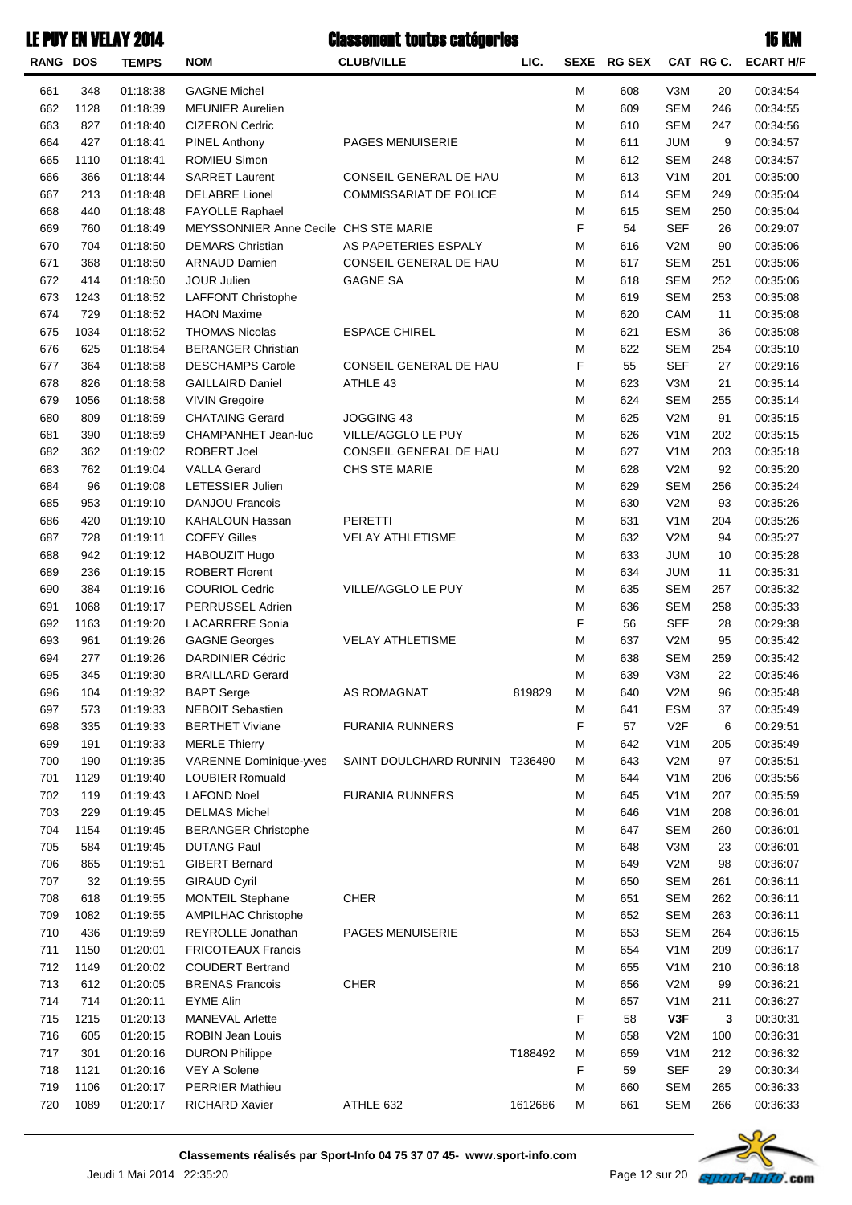| <b>RANG DOS</b> |      | <b>TEMPS</b> | <b>NOM</b>                                   | <b>CLUB/VILLE</b>              | LIC.    | <b>SEXE</b> | <b>RG SEX</b> |                  | CAT RG C. | <b>ECART H/F</b> |
|-----------------|------|--------------|----------------------------------------------|--------------------------------|---------|-------------|---------------|------------------|-----------|------------------|
| 661             | 348  | 01:18:38     | <b>GAGNE Michel</b>                          |                                |         | ${\sf M}$   | 608           | V3M              | 20        | 00:34:54         |
| 662             | 1128 | 01:18:39     | <b>MEUNIER Aurelien</b>                      |                                |         | M           | 609           | <b>SEM</b>       | 246       | 00:34:55         |
| 663             | 827  | 01:18:40     | <b>CIZERON Cedric</b>                        |                                |         | M           | 610           | <b>SEM</b>       | 247       | 00:34:56         |
| 664             | 427  | 01:18:41     | <b>PINEL Anthony</b>                         | PAGES MENUISERIE               |         | M           | 611           | <b>JUM</b>       | 9         | 00:34:57         |
| 665             | 1110 | 01:18:41     | ROMIEU Simon                                 |                                |         | M           | 612           | <b>SEM</b>       | 248       | 00:34:57         |
| 666             | 366  | 01:18:44     | <b>SARRET Laurent</b>                        | CONSEIL GENERAL DE HAU         |         | M           | 613           | V <sub>1</sub> M | 201       | 00:35:00         |
| 667             | 213  | 01:18:48     | <b>DELABRE</b> Lionel                        | COMMISSARIAT DE POLICE         |         | M           | 614           | <b>SEM</b>       | 249       | 00:35:04         |
| 668             | 440  | 01:18:48     | <b>FAYOLLE Raphael</b>                       |                                |         | M           | 615           | <b>SEM</b>       | 250       | 00:35:04         |
| 669             | 760  | 01:18:49     | <b>MEYSSONNIER Anne Cecile CHS STE MARIE</b> |                                |         | F           | 54            | <b>SEF</b>       | 26        | 00:29:07         |
| 670             | 704  | 01:18:50     | <b>DEMARS Christian</b>                      | AS PAPETERIES ESPALY           |         | M           | 616           | V2M              | 90        | 00:35:06         |
| 671             | 368  | 01:18:50     | <b>ARNAUD Damien</b>                         | CONSEIL GENERAL DE HAU         |         | M           | 617           | <b>SEM</b>       | 251       | 00:35:06         |
| 672             | 414  | 01:18:50     | JOUR Julien                                  | <b>GAGNE SA</b>                |         | M           | 618           | <b>SEM</b>       | 252       | 00:35:06         |
| 673             | 1243 | 01:18:52     | <b>LAFFONT Christophe</b>                    |                                |         | M           | 619           | <b>SEM</b>       | 253       | 00:35:08         |
| 674             | 729  | 01:18:52     | <b>HAON Maxime</b>                           |                                |         | M           | 620           | CAM              | 11        | 00:35:08         |
| 675             | 1034 | 01:18:52     | <b>THOMAS Nicolas</b>                        | <b>ESPACE CHIREL</b>           |         | M           | 621           | <b>ESM</b>       | 36        | 00:35:08         |
| 676             | 625  | 01:18:54     | <b>BERANGER Christian</b>                    |                                |         | M           | 622           | <b>SEM</b>       | 254       | 00:35:10         |
| 677             | 364  | 01:18:58     | <b>DESCHAMPS Carole</b>                      | CONSEIL GENERAL DE HAU         |         | F           | 55            | <b>SEF</b>       | 27        | 00:29:16         |
| 678             | 826  | 01:18:58     | <b>GAILLAIRD Daniel</b>                      | ATHLE 43                       |         | M           | 623           | V3M              | 21        | 00:35:14         |
| 679             | 1056 | 01:18:58     | <b>VIVIN Gregoire</b>                        |                                |         | M           | 624           | <b>SEM</b>       | 255       | 00:35:14         |
| 680             | 809  | 01:18:59     | <b>CHATAING Gerard</b>                       | JOGGING 43                     |         | M           | 625           | V2M              | 91        | 00:35:15         |
| 681             | 390  | 01:18:59     | CHAMPANHET Jean-luc                          | VILLE/AGGLO LE PUY             |         | M           | 626           | V <sub>1</sub> M | 202       | 00:35:15         |
| 682             | 362  | 01:19:02     | ROBERT Joel                                  | CONSEIL GENERAL DE HAU         |         | M           | 627           | V <sub>1</sub> M | 203       | 00:35:18         |
| 683             | 762  | 01:19:04     | <b>VALLA Gerard</b>                          | CHS STE MARIE                  |         | M           | 628           | V2M              | 92        | 00:35:20         |
| 684             | 96   | 01:19:08     | LETESSIER Julien                             |                                |         | M           | 629           | <b>SEM</b>       | 256       | 00:35:24         |
| 685             | 953  | 01:19:10     | <b>DANJOU Francois</b>                       |                                |         | M           | 630           | V2M              | 93        | 00:35:26         |
| 686             | 420  | 01:19:10     | KAHALOUN Hassan                              | <b>PERETTI</b>                 |         | M           | 631           | V <sub>1</sub> M | 204       | 00:35:26         |
| 687             | 728  | 01:19:11     | <b>COFFY Gilles</b>                          | <b>VELAY ATHLETISME</b>        |         | M           | 632           | V2M              | 94        | 00:35:27         |
| 688             | 942  | 01:19:12     | HABOUZIT Hugo                                |                                |         | M           | 633           | <b>JUM</b>       | 10        | 00:35:28         |
| 689             | 236  | 01:19:15     | <b>ROBERT Florent</b>                        |                                |         | M           | 634           | <b>JUM</b>       | 11        | 00:35:31         |
| 690             | 384  | 01:19:16     | <b>COURIOL Cedric</b>                        | VILLE/AGGLO LE PUY             |         | M           | 635           | <b>SEM</b>       | 257       | 00:35:32         |
| 691             | 1068 | 01:19:17     | PERRUSSEL Adrien                             |                                |         | M           | 636           | <b>SEM</b>       | 258       | 00:35:33         |
| 692             | 1163 | 01:19:20     | <b>LACARRERE Sonia</b>                       |                                |         | F           | 56            | <b>SEF</b>       | 28        | 00:29:38         |
| 693             | 961  | 01:19:26     | <b>GAGNE Georges</b>                         | <b>VELAY ATHLETISME</b>        |         | M           | 637           | V2M              | 95        | 00:35:42         |
| 694             | 277  | 01:19:26     | <b>DARDINIER Cédric</b>                      |                                |         | M           | 638           | <b>SEM</b>       | 259       | 00:35:42         |
| 695             | 345  | 01:19:30     | <b>BRAILLARD Gerard</b>                      |                                |         | M           | 639           | V3M              | 22        | 00:35:46         |
| 696             | 104  | 01:19:32     | <b>BAPT Serge</b>                            | AS ROMAGNAT                    | 819829  | М           | 640           | V2M              | 96        | 00:35:48         |
| 697             | 573  | 01:19:33     | <b>NEBOIT Sebastien</b>                      |                                |         | M           | 641           | <b>ESM</b>       | 37        | 00:35:49         |
| 698             | 335  | 01:19:33     | <b>BERTHET Viviane</b>                       | <b>FURANIA RUNNERS</b>         |         | F           | 57            | V2F              | 6         | 00:29:51         |
| 699             | 191  | 01:19:33     | <b>MERLE Thierry</b>                         |                                |         | M           | 642           | V <sub>1</sub> M | 205       | 00:35:49         |
| 700             | 190  | 01:19:35     | <b>VARENNE Dominique-vves</b>                | SAINT DOULCHARD RUNNIN T236490 |         | M           | 643           | V2M              | 97        | 00:35:51         |
| 701             | 1129 | 01:19:40     | <b>LOUBIER Romuald</b>                       |                                |         | M           | 644           | V <sub>1</sub> M | 206       | 00:35:56         |
| 702             | 119  | 01:19:43     | <b>LAFOND Noel</b>                           | <b>FURANIA RUNNERS</b>         |         | M           | 645           | V <sub>1</sub> M | 207       | 00:35:59         |
| 703             | 229  | 01:19:45     | <b>DELMAS Michel</b>                         |                                |         | M           | 646           | V <sub>1</sub> M | 208       | 00:36:01         |
| 704             | 1154 | 01:19:45     | <b>BERANGER Christophe</b>                   |                                |         | M           | 647           | <b>SEM</b>       | 260       | 00:36:01         |
| 705             | 584  | 01:19:45     | <b>DUTANG Paul</b>                           |                                |         | M           | 648           | V3M              | 23        | 00:36:01         |
| 706             | 865  | 01:19:51     | <b>GIBERT Bernard</b>                        |                                |         | M           | 649           | V2M              | 98        | 00:36:07         |
| 707             | 32   | 01:19:55     | <b>GIRAUD Cyril</b>                          |                                |         | M           | 650           | <b>SEM</b>       | 261       | 00:36:11         |
| 708             | 618  | 01:19:55     | MONTEIL Stephane                             | <b>CHER</b>                    |         | M           | 651           | <b>SEM</b>       | 262       | 00:36:11         |
| 709             | 1082 | 01:19:55     | <b>AMPILHAC Christophe</b>                   |                                |         | M           | 652           | <b>SEM</b>       | 263       | 00:36:11         |
| 710             | 436  | 01:19:59     | REYROLLE Jonathan                            | PAGES MENUISERIE               |         | M           | 653           | <b>SEM</b>       | 264       | 00:36:15         |
| 711             | 1150 | 01:20:01     | <b>FRICOTEAUX Francis</b>                    |                                |         | M           | 654           | V <sub>1</sub> M | 209       | 00:36:17         |
| 712             | 1149 | 01:20:02     | <b>COUDERT Bertrand</b>                      |                                |         | M           | 655           | V <sub>1</sub> M | 210       | 00:36:18         |
| 713             | 612  | 01:20:05     | <b>BRENAS Francois</b>                       | <b>CHER</b>                    |         | M           | 656           | V2M              | 99        | 00:36:21         |
| 714             | 714  | 01:20:11     | <b>EYME Alin</b>                             |                                |         | M           | 657           | V <sub>1</sub> M | 211       | 00:36:27         |
| 715             | 1215 | 01:20:13     | <b>MANEVAL Arlette</b>                       |                                |         | F           | 58            | V3F              | 3         | 00:30:31         |
| 716             | 605  | 01:20:15     | <b>ROBIN Jean Louis</b>                      |                                |         | M           | 658           | V2M              | 100       | 00:36:31         |
| 717             | 301  | 01:20:16     | <b>DURON Philippe</b>                        |                                | T188492 | M           | 659           | V <sub>1</sub> M | 212       | 00:36:32         |
| 718             | 1121 | 01:20:16     | VEY A Solene                                 |                                |         | F           | 59            | <b>SEF</b>       | 29        | 00:30:34         |
| 719             | 1106 | 01:20:17     | <b>PERRIER Mathieu</b>                       |                                |         | M           | 660           | <b>SEM</b>       | 265       | 00:36:33         |
| 720             | 1089 | 01:20:17     | <b>RICHARD Xavier</b>                        | ATHLE 632                      | 1612686 | M           | 661           | <b>SEM</b>       | 266       | 00:36:33         |
|                 |      |              |                                              |                                |         |             |               |                  |           |                  |

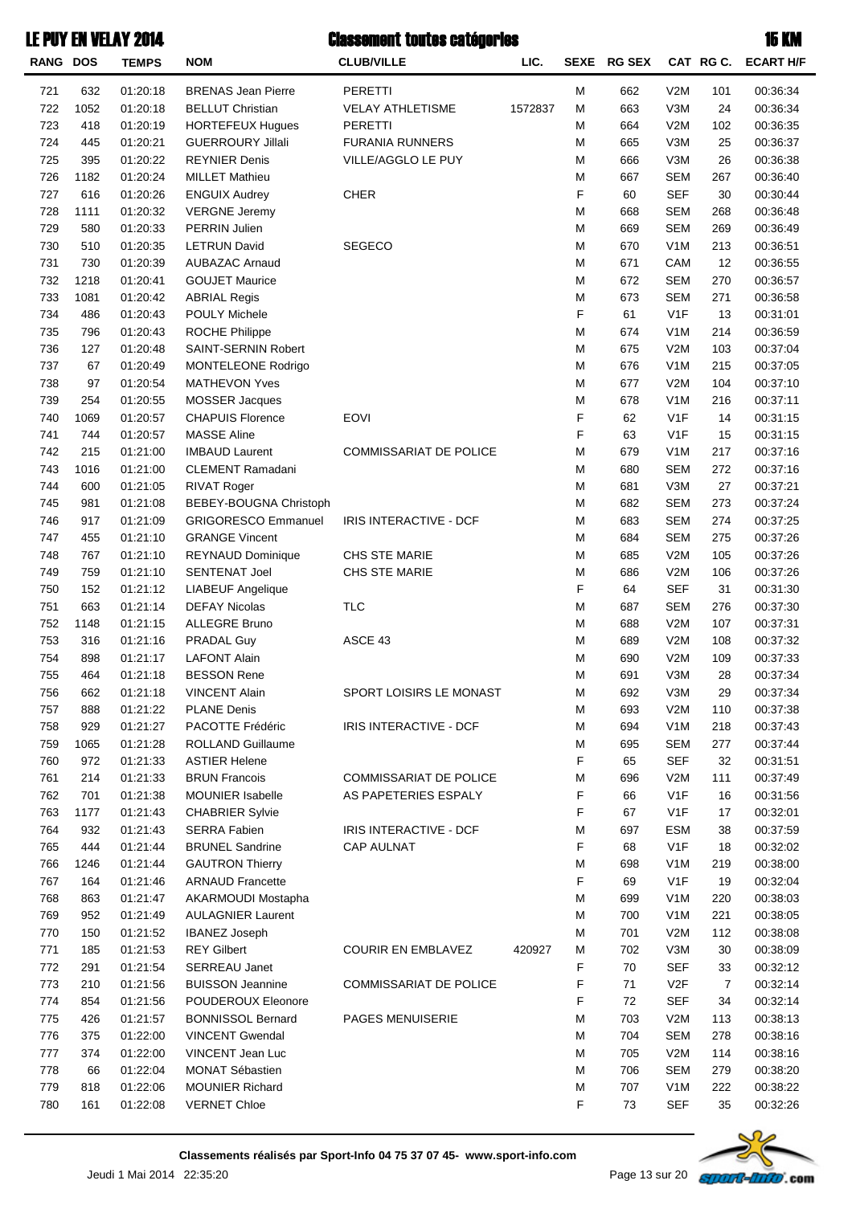| RANG DOS |      | <b>TEMPS</b> | <b>NOM</b>                 | <b>CLUB/VILLE</b>             | LIC.    | <b>SEXE</b> | <b>RG SEX</b> |                  | CAT RGC. | <b>ECART H/F</b> |
|----------|------|--------------|----------------------------|-------------------------------|---------|-------------|---------------|------------------|----------|------------------|
| 721      | 632  | 01:20:18     | <b>BRENAS Jean Pierre</b>  | <b>PERETTI</b>                |         | м           | 662           | V2M              | 101      | 00:36:34         |
| 722      | 1052 | 01:20:18     | <b>BELLUT Christian</b>    | <b>VELAY ATHLETISME</b>       | 1572837 | M           | 663           | V3M              | 24       | 00:36:34         |
| 723      | 418  | 01:20:19     | <b>HORTEFEUX Hugues</b>    | PERETTI                       |         | м           | 664           | V2M              | 102      | 00:36:35         |
| 724      | 445  | 01:20:21     | <b>GUERROURY Jillali</b>   | <b>FURANIA RUNNERS</b>        |         | M           | 665           | V3M              | 25       | 00:36:37         |
| 725      | 395  | 01:20:22     | <b>REYNIER Denis</b>       | VILLE/AGGLO LE PUY            |         | M           | 666           | V3M              | 26       | 00:36:38         |
| 726      | 1182 | 01:20:24     | <b>MILLET Mathieu</b>      |                               |         | M           | 667           | <b>SEM</b>       | 267      | 00:36:40         |
| 727      | 616  | 01:20:26     | <b>ENGUIX Audrey</b>       | <b>CHER</b>                   |         | F           | 60            | <b>SEF</b>       | 30       | 00:30:44         |
| 728      | 1111 | 01:20:32     | <b>VERGNE Jeremy</b>       |                               |         | M           | 668           | <b>SEM</b>       | 268      | 00:36:48         |
| 729      | 580  | 01:20:33     | <b>PERRIN Julien</b>       |                               |         | M           | 669           | <b>SEM</b>       | 269      | 00:36:49         |
| 730      | 510  | 01:20:35     | <b>LETRUN David</b>        | <b>SEGECO</b>                 |         | M           | 670           | V <sub>1</sub> M | 213      | 00:36:51         |
| 731      | 730  | 01:20:39     | <b>AUBAZAC Arnaud</b>      |                               |         | M           | 671           | CAM              | 12       | 00:36:55         |
| 732      | 1218 | 01:20:41     | <b>GOUJET Maurice</b>      |                               |         | M           | 672           | <b>SEM</b>       | 270      | 00:36:57         |
| 733      | 1081 | 01:20:42     | <b>ABRIAL Regis</b>        |                               |         | M           | 673           | <b>SEM</b>       | 271      | 00:36:58         |
| 734      | 486  | 01:20:43     | <b>POULY Michele</b>       |                               |         | F           | 61            | V <sub>1</sub> F | 13       | 00:31:01         |
| 735      | 796  | 01:20:43     | <b>ROCHE Philippe</b>      |                               |         | M           | 674           | V <sub>1</sub> M | 214      | 00:36:59         |
| 736      | 127  | 01:20:48     | SAINT-SERNIN Robert        |                               |         | M           | 675           | V2M              | 103      | 00:37:04         |
| 737      | 67   | 01:20:49     | MONTELEONE Rodrigo         |                               |         | M           | 676           | V <sub>1</sub> M | 215      | 00:37:05         |
| 738      | 97   | 01:20:54     | <b>MATHEVON Yves</b>       |                               |         | M           | 677           | V2M              | 104      | 00:37:10         |
| 739      | 254  | 01:20:55     | <b>MOSSER Jacques</b>      |                               |         | M           | 678           | V <sub>1</sub> M | 216      | 00:37:11         |
| 740      | 1069 | 01:20:57     | <b>CHAPUIS Florence</b>    | <b>EOVI</b>                   |         | F           | 62            | V <sub>1</sub> F | 14       | 00:31:15         |
| 741      | 744  | 01:20:57     | <b>MASSE Aline</b>         |                               |         | F           | 63            | V <sub>1</sub> F | 15       | 00:31:15         |
| 742      | 215  | 01:21:00     | <b>IMBAUD Laurent</b>      | <b>COMMISSARIAT DE POLICE</b> |         | M           | 679           | V <sub>1</sub> M | 217      | 00:37:16         |
| 743      | 1016 | 01:21:00     | CLEMENT Ramadani           |                               |         | M           | 680           | <b>SEM</b>       | 272      | 00:37:16         |
| 744      | 600  | 01:21:05     | RIVAT Roger                |                               |         | M           | 681           | V3M              | 27       | 00:37:21         |
| 745      | 981  | 01:21:08     | BEBEY-BOUGNA Christoph     |                               |         | M           | 682           | <b>SEM</b>       | 273      | 00:37:24         |
| 746      | 917  | 01:21:09     | <b>GRIGORESCO Emmanuel</b> | IRIS INTERACTIVE - DCF        |         | M           | 683           | <b>SEM</b>       | 274      | 00:37:25         |
| 747      | 455  | 01:21:10     | <b>GRANGE Vincent</b>      |                               |         | M           | 684           | <b>SEM</b>       | 275      | 00:37:26         |
| 748      | 767  | 01:21:10     | <b>REYNAUD Dominique</b>   | CHS STE MARIE                 |         | M           | 685           | V2M              | 105      | 00:37:26         |
| 749      | 759  | 01:21:10     | <b>SENTENAT Joel</b>       | CHS STE MARIE                 |         | M           | 686           | V2M              | 106      | 00:37:26         |
| 750      | 152  | 01:21:12     | <b>LIABEUF Angelique</b>   |                               |         | F           | 64            | <b>SEF</b>       | 31       | 00:31:30         |
| 751      | 663  | 01:21:14     | <b>DEFAY Nicolas</b>       | <b>TLC</b>                    |         | M           | 687           | <b>SEM</b>       | 276      | 00:37:30         |
| 752      | 1148 | 01:21:15     | <b>ALLEGRE Bruno</b>       |                               |         | M           | 688           | V2M              | 107      | 00:37:31         |
| 753      | 316  | 01:21:16     | PRADAL Guy                 | ASCE 43                       |         | M           | 689           | V2M              | 108      | 00:37:32         |
| 754      | 898  | 01:21:17     | <b>LAFONT Alain</b>        |                               |         | M           | 690           | V2M              | 109      | 00:37:33         |
| 755      | 464  | 01:21:18     | <b>BESSON Rene</b>         |                               |         | M           | 691           | V3M              | 28       | 00:37:34         |
| 756      | 662  | 01:21:18     | VINCENT Alain              | SPORT LOISIRS LE MONAST       |         | M           | 692           | V3M              | 29       | 00:37:34         |
| 757      | 888  | 01:21:22     | <b>PLANE Denis</b>         |                               |         | M           | 693           | V2M              | 110      | 00:37:38         |
| 758      | 929  | 01:21:27     | PACOTTE Frédéric           | IRIS INTERACTIVE - DCF        |         | M           | 694           | V <sub>1</sub> M | 218      | 00:37:43         |
| 759      | 1065 | 01:21:28     | <b>ROLLAND Guillaume</b>   |                               |         | M           | 695           | <b>SEM</b>       | 277      | 00:37:44         |
| 760      | 972  | 01:21:33     | <b>ASTIER Helene</b>       |                               |         | F           | 65            | <b>SEF</b>       | 32       | 00:31:51         |
| 761      | 214  | 01:21:33     | <b>BRUN Francois</b>       | <b>COMMISSARIAT DE POLICE</b> |         | M           | 696           | V2M              | 111      | 00:37:49         |
| 762      | 701  | 01:21:38     | <b>MOUNIER Isabelle</b>    | AS PAPETERIES ESPALY          |         | F           | 66            | V1F              | 16       | 00:31:56         |
| 763      | 1177 | 01:21:43     | <b>CHABRIER Sylvie</b>     |                               |         | F           | 67            | V <sub>1</sub> F | 17       | 00:32:01         |
| 764      | 932  | 01:21:43     | <b>SERRA Fabien</b>        | IRIS INTERACTIVE - DCF        |         | M           | 697           | <b>ESM</b>       | 38       | 00:37:59         |
| 765      | 444  | 01:21:44     | <b>BRUNEL Sandrine</b>     | <b>CAP AULNAT</b>             |         | F           | 68            | V1F              | 18       | 00:32:02         |
| 766      | 1246 | 01:21:44     | <b>GAUTRON Thierry</b>     |                               |         | M           | 698           | V <sub>1</sub> M | 219      | 00:38:00         |
| 767      | 164  | 01:21:46     | <b>ARNAUD Francette</b>    |                               |         | F           | 69            | V <sub>1</sub> F | 19       | 00:32:04         |
| 768      | 863  | 01:21:47     | AKARMOUDI Mostapha         |                               |         | M           | 699           | V <sub>1</sub> M | 220      | 00:38:03         |
| 769      | 952  | 01:21:49     | <b>AULAGNIER Laurent</b>   |                               |         | M           | 700           | V <sub>1</sub> M | 221      | 00:38:05         |
| 770      | 150  | 01:21:52     | <b>IBANEZ Joseph</b>       |                               |         | M           | 701           | V2M              | 112      | 00:38:08         |
| 771      | 185  | 01:21:53     | <b>REY Gilbert</b>         | <b>COURIR EN EMBLAVEZ</b>     | 420927  | M           | 702           | V3M              | 30       | 00:38:09         |
| 772      | 291  | 01:21:54     | SERREAU Janet              |                               |         | F           | 70            | <b>SEF</b>       | 33       | 00:32:12         |
| 773      | 210  | 01:21:56     | <b>BUISSON Jeannine</b>    | <b>COMMISSARIAT DE POLICE</b> |         | F           | 71            | V <sub>2</sub> F | 7        | 00:32:14         |
| 774      | 854  | 01:21:56     | POUDEROUX Eleonore         |                               |         | F           | 72            | <b>SEF</b>       | 34       | 00:32:14         |
| 775      | 426  | 01:21:57     | <b>BONNISSOL Bernard</b>   | <b>PAGES MENUISERIE</b>       |         | M           | 703           | V2M              | 113      | 00:38:13         |
| 776      | 375  | 01:22:00     | <b>VINCENT Gwendal</b>     |                               |         | M           | 704           | <b>SEM</b>       | 278      | 00:38:16         |
| 777      | 374  | 01:22:00     | VINCENT Jean Luc           |                               |         | M           | 705           | V2M              | 114      | 00:38:16         |
| 778      | 66   | 01:22:04     | <b>MONAT Sébastien</b>     |                               |         | M           | 706           | <b>SEM</b>       | 279      | 00:38:20         |
| 779      | 818  | 01:22:06     | <b>MOUNIER Richard</b>     |                               |         | M           | 707           | V <sub>1</sub> M | 222      | 00:38:22         |
| 780      | 161  | 01:22:08     | <b>VERNET Chloe</b>        |                               |         | F           | 73            | <b>SEF</b>       | 35       | 00:32:26         |
|          |      |              |                            |                               |         |             |               |                  |          |                  |

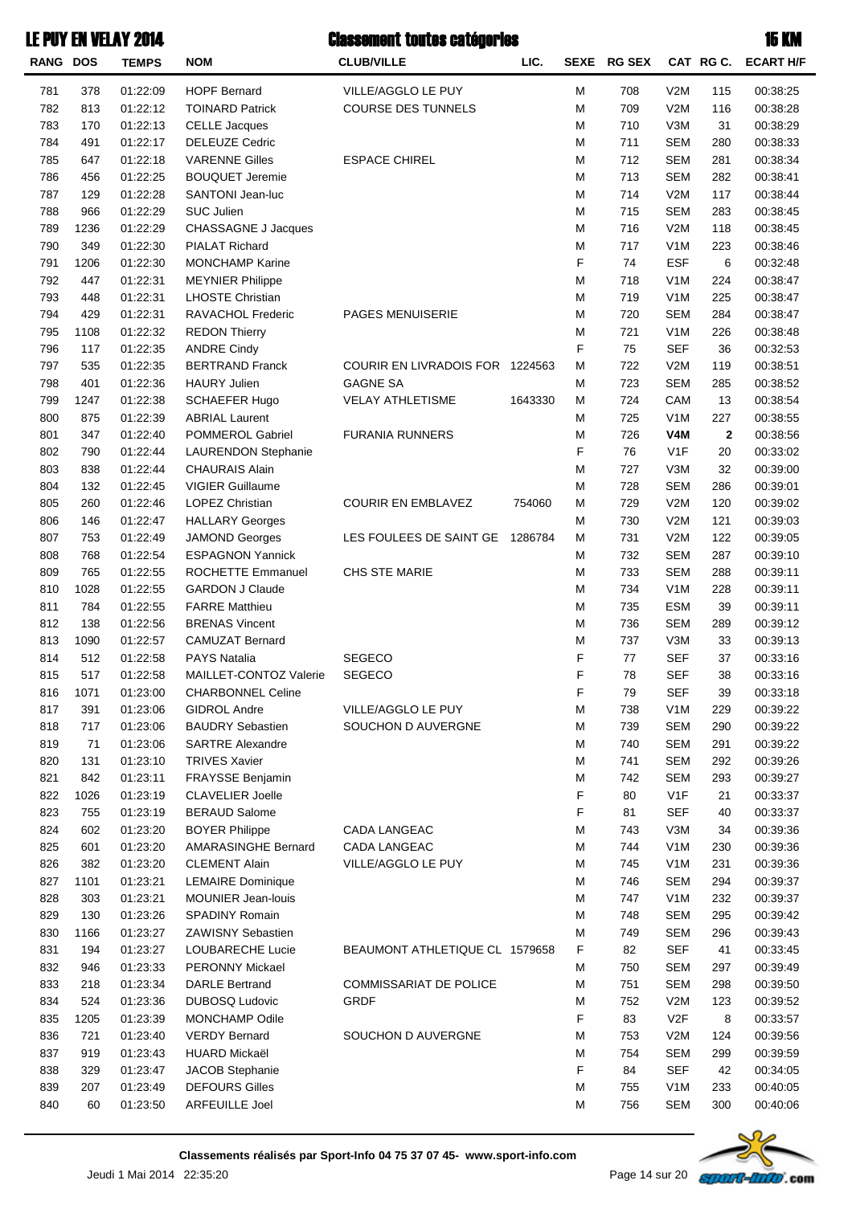| <b>RANG DOS</b> |      | <b>TEMPS</b> | <b>NOM</b>                 | <b>CLUB/VILLE</b>               | LIC.    |   | SEXE RG SEX |                  |              | CAT RG C. ECART H/F  |
|-----------------|------|--------------|----------------------------|---------------------------------|---------|---|-------------|------------------|--------------|----------------------|
| 781             | 378  | 01:22:09     | <b>HOPF Bernard</b>        | VILLE/AGGLO LE PUY              |         | M | 708         | V2M              | 115          | 00:38:25             |
| 782             | 813  | 01:22:12     | <b>TOINARD Patrick</b>     | COURSE DES TUNNELS              |         | M | 709         | V2M              | 116          | 00:38:28             |
| 783             | 170  | 01:22:13     | <b>CELLE Jacques</b>       |                                 |         | M | 710         | V3M              | 31           | 00:38:29             |
| 784             | 491  | 01:22:17     | <b>DELEUZE Cedric</b>      |                                 |         | M | 711         | <b>SEM</b>       | 280          | 00:38:33             |
| 785             | 647  | 01:22:18     | <b>VARENNE Gilles</b>      | <b>ESPACE CHIREL</b>            |         | M | 712         | <b>SEM</b>       | 281          | 00:38:34             |
| 786             | 456  | 01:22:25     | <b>BOUQUET Jeremie</b>     |                                 |         | M | 713         | <b>SEM</b>       | 282          | 00:38:41             |
| 787             | 129  | 01:22:28     | SANTONI Jean-luc           |                                 |         | M | 714         | V2M              | 117          | 00:38:44             |
| 788             | 966  | 01:22:29     | <b>SUC Julien</b>          |                                 |         | M | 715         | <b>SEM</b>       | 283          | 00:38:45             |
| 789             | 1236 | 01:22:29     | <b>CHASSAGNE J Jacques</b> |                                 |         | M | 716         | V2M              | 118          | 00:38:45             |
| 790             | 349  | 01:22:30     | <b>PIALAT Richard</b>      |                                 |         | M | 717         | V1M              | 223          | 00:38:46             |
| 791             | 1206 | 01:22:30     | <b>MONCHAMP Karine</b>     |                                 |         | F | 74          | <b>ESF</b>       | 6            | 00:32:48             |
| 792             | 447  | 01:22:31     | <b>MEYNIER Philippe</b>    |                                 |         | M | 718         | V <sub>1</sub> M | 224          | 00:38:47             |
| 793             | 448  | 01:22:31     | <b>LHOSTE Christian</b>    |                                 |         | M | 719         | V <sub>1</sub> M | 225          | 00:38:47             |
| 794             | 429  | 01:22:31     | RAVACHOL Frederic          | PAGES MENUISERIE                |         | M | 720         | <b>SEM</b>       | 284          | 00:38:47             |
| 795             | 1108 | 01:22:32     | <b>REDON Thierry</b>       |                                 |         | M | 721         | V <sub>1</sub> M | 226          | 00:38:48             |
| 796             | 117  | 01:22:35     | <b>ANDRE Cindy</b>         |                                 |         | F | 75          | <b>SEF</b>       | 36           | 00:32:53             |
| 797             | 535  | 01:22:35     | <b>BERTRAND Franck</b>     | COURIR EN LIVRADOIS FOR 1224563 |         | M | 722         | V2M              | 119          | 00:38:51             |
| 798             | 401  | 01:22:36     | <b>HAURY Julien</b>        | <b>GAGNE SA</b>                 |         | M | 723         | <b>SEM</b>       | 285          | 00:38:52             |
| 799             | 1247 | 01:22:38     | <b>SCHAEFER Hugo</b>       | <b>VELAY ATHLETISME</b>         | 1643330 | M | 724         | CAM              | 13           | 00:38:54             |
| 800             | 875  | 01:22:39     | <b>ABRIAL Laurent</b>      |                                 |         | M | 725         | V <sub>1</sub> M | 227          | 00:38:55             |
| 801             | 347  | 01:22:40     | POMMEROL Gabriel           | <b>FURANIA RUNNERS</b>          |         | M | 726         | V <sub>4</sub> M | $\mathbf{2}$ | 00:38:56             |
| 802             | 790  | 01:22:44     | <b>LAURENDON Stephanie</b> |                                 |         | F | 76          | V1F              | 20           | 00:33:02             |
| 803             | 838  | 01:22:44     | <b>CHAURAIS Alain</b>      |                                 |         | M | 727         | V3M              | 32           | 00:39:00             |
| 804             | 132  | 01:22:45     | <b>VIGIER Guillaume</b>    |                                 |         | M | 728         | <b>SEM</b>       | 286          | 00:39:01             |
| 805             | 260  | 01:22:46     | <b>LOPEZ Christian</b>     | <b>COURIR EN EMBLAVEZ</b>       | 754060  | M | 729         | V2M              | 120          | 00:39:02             |
| 806             | 146  | 01:22:47     | <b>HALLARY Georges</b>     |                                 |         | М | 730         | V2M              | 121          | 00:39:03             |
| 807             | 753  | 01:22:49     | <b>JAMOND Georges</b>      | LES FOULEES DE SAINT GE 1286784 |         | M | 731         | V2M              | 122          | 00:39:05             |
| 808             | 768  | 01:22:54     | <b>ESPAGNON Yannick</b>    |                                 |         | M | 732         | <b>SEM</b>       | 287          | 00:39:10             |
| 809             | 765  | 01:22:55     | ROCHETTE Emmanuel          | CHS STE MARIE                   |         | M | 733         | <b>SEM</b>       | 288          | 00:39:11             |
| 810             | 1028 | 01:22:55     | <b>GARDON J Claude</b>     |                                 |         | M | 734         | V <sub>1</sub> M | 228          | 00:39:11             |
| 811             | 784  | 01:22:55     | <b>FARRE Matthieu</b>      |                                 |         | M | 735         | <b>ESM</b>       | 39           | 00:39:11             |
| 812             | 138  | 01:22:56     | <b>BRENAS Vincent</b>      |                                 |         | M | 736         | <b>SEM</b>       | 289          | 00:39:12             |
| 813             | 1090 | 01:22:57     | <b>CAMUZAT Bernard</b>     |                                 |         | M | 737         | V3M              | 33           | 00:39:13             |
| 814             | 512  | 01:22:58     | <b>PAYS Natalia</b>        | <b>SEGECO</b>                   |         | F | 77          | <b>SEF</b>       | 37           | 00:33:16             |
| 815             | 517  | 01:22:58     | MAILLET-CONTOZ Valerie     | <b>SEGECO</b>                   |         | F | 78          | <b>SEF</b>       | 38           | 00:33:16             |
| 816             | 1071 | 01:23:00     | <b>CHARBONNEL Celine</b>   |                                 |         | F | 79          | <b>SEF</b>       | 39           | 00:33:18             |
| 817             | 391  | 01:23:06     | <b>GIDROL Andre</b>        | VILLE/AGGLO LE PUY              |         | M | 738         | V <sub>1</sub> M | 229          | 00:39:22             |
| 818             | 717  | 01:23:06     | <b>BAUDRY Sebastien</b>    | SOUCHON D AUVERGNE              |         | M | 739         | <b>SEM</b>       | 290          | 00:39:22             |
| 819             | 71   | 01:23:06     | <b>SARTRE Alexandre</b>    |                                 |         | M | 740         | <b>SEM</b>       | 291          | 00:39:22             |
| 820             | 131  | 01:23:10     | <b>TRIVES Xavier</b>       |                                 |         | М | 741         | <b>SEM</b>       | 292          | 00:39:26             |
| 821             | 842  | 01:23:11     | FRAYSSE Benjamin           |                                 |         | M | 742         | <b>SEM</b>       | 293          | 00:39:27             |
| 822             | 1026 | 01:23:19     | <b>CLAVELIER Joelle</b>    |                                 |         | F | 80          | V1F              | 21           | 00:33:37             |
| 823             | 755  | 01:23:19     | <b>BERAUD Salome</b>       |                                 |         | F | 81          | <b>SEF</b>       | 40           | 00:33:37             |
| 824             | 602  | 01:23:20     | <b>BOYER Philippe</b>      | CADA LANGEAC                    |         | М | 743         | V3M              | 34           | 00:39:36             |
| 825             | 601  | 01:23:20     | AMARASINGHE Bernard        | CADA LANGEAC                    |         | M | 744         | V <sub>1</sub> M | 230          | 00:39:36             |
| 826             | 382  | 01:23:20     | <b>CLEMENT Alain</b>       | VILLE/AGGLO LE PUY              |         | M | 745         | V <sub>1</sub> M | 231          | 00:39:36             |
| 827             | 1101 | 01:23:21     | <b>LEMAIRE Dominique</b>   |                                 |         | М | 746         | <b>SEM</b>       | 294          | 00:39:37             |
| 828             | 303  | 01:23:21     | <b>MOUNIER Jean-louis</b>  |                                 |         | М | 747         | V <sub>1</sub> M | 232          | 00:39:37             |
| 829             | 130  | 01:23:26     | SPADINY Romain             |                                 |         | M | 748         | <b>SEM</b>       | 295          | 00:39:42             |
| 830             | 1166 | 01:23:27     | <b>ZAWISNY Sebastien</b>   |                                 |         | M | 749         | <b>SEM</b>       | 296          | 00:39:43             |
| 831             | 194  | 01:23:27     | LOUBARECHE Lucie           | BEAUMONT ATHLETIQUE CL 1579658  |         | F | 82          | <b>SEF</b>       | 41           | 00:33:45             |
| 832             | 946  | 01:23:33     | PERONNY Mickael            |                                 |         | M | 750         | <b>SEM</b>       | 297          | 00:39:49             |
|                 | 218  | 01:23:34     | <b>DARLE Bertrand</b>      | <b>COMMISSARIAT DE POLICE</b>   |         | M | 751         | <b>SEM</b>       | 298          |                      |
| 833<br>834      | 524  | 01:23:36     | <b>DUBOSQ Ludovic</b>      | GRDF                            |         | М | 752         | V2M              | 123          | 00:39:50<br>00:39:52 |
| 835             | 1205 | 01:23:39     | MONCHAMP Odile             |                                 |         | F | 83          | V <sub>2</sub> F | 8            | 00:33:57             |
| 836             | 721  |              | <b>VERDY Bernard</b>       | SOUCHON D AUVERGNE              |         | М | 753         |                  |              |                      |
|                 |      | 01:23:40     |                            |                                 |         |   |             | V2M              | 124          | 00:39:56             |
| 837             | 919  | 01:23:43     | <b>HUARD Mickaël</b>       |                                 |         | M | 754         | <b>SEM</b>       | 299          | 00:39:59             |
| 838             | 329  | 01:23:47     | JACOB Stephanie            |                                 |         | F | 84          | <b>SEF</b>       | 42           | 00:34:05             |
| 839             | 207  | 01:23:49     | <b>DEFOURS Gilles</b>      |                                 |         | M | 755         | V <sub>1</sub> M | 233          | 00:40:05             |
| 840             | 60   | 01:23:50     | <b>ARFEUILLE Joel</b>      |                                 |         | M | 756         | <b>SEM</b>       | 300          | 00:40:06             |

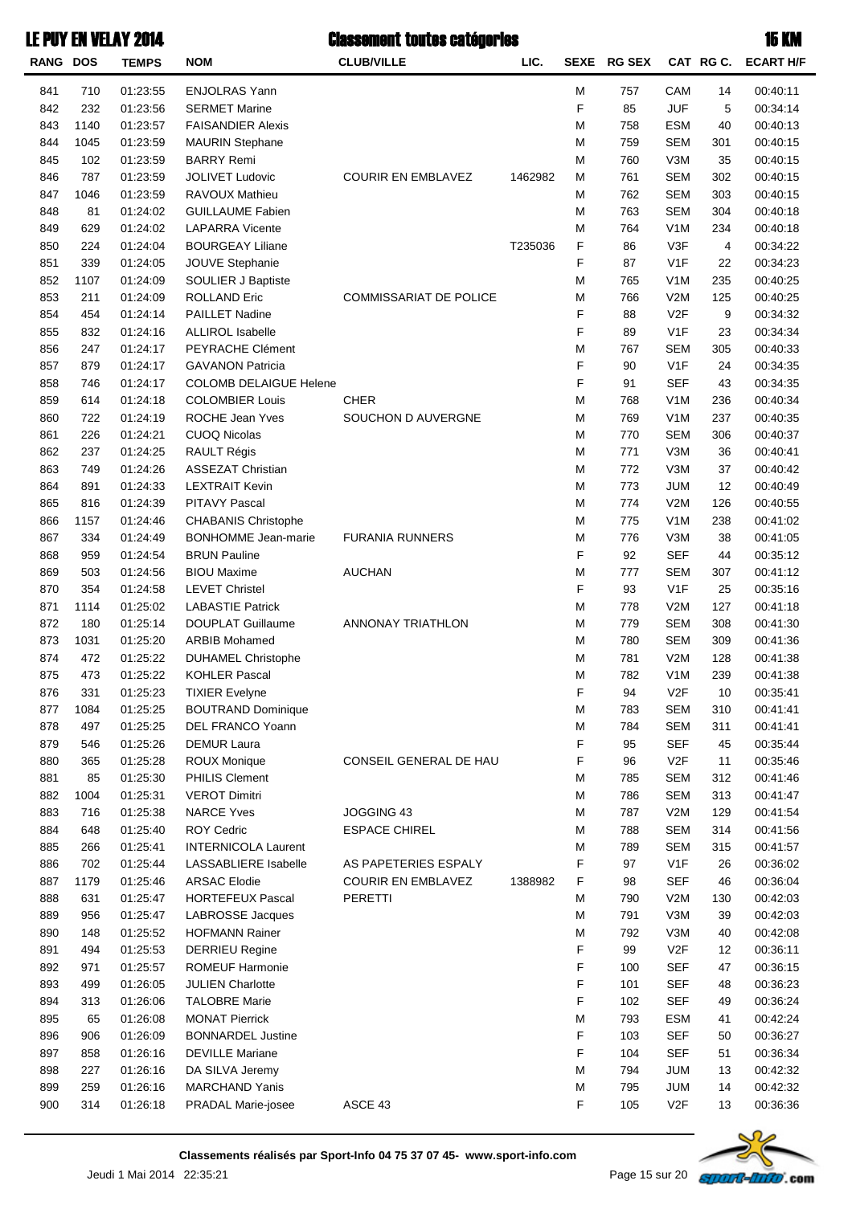| <b>RANG</b> | <b>DOS</b> | <b>TEMPS</b> | <b>NOM</b>                    | <b>CLUB/VILLE</b>             | LIC.    | <b>SEXE</b>                                                                                                | <b>RG SEX</b> |                  | CAT RGC. | <b>ECART H/F</b> |
|-------------|------------|--------------|-------------------------------|-------------------------------|---------|------------------------------------------------------------------------------------------------------------|---------------|------------------|----------|------------------|
| 841         | 710        | 01:23:55     | <b>ENJOLRAS Yann</b>          |                               |         | M                                                                                                          | 757           | CAM              | 14       | 00:40:11         |
| 842         | 232        | 01:23:56     | <b>SERMET Marine</b>          |                               |         | F                                                                                                          | 85            | <b>JUF</b>       | 5        | 00:34:14         |
| 843         | 1140       | 01:23:57     | <b>FAISANDIER Alexis</b>      |                               |         | M                                                                                                          | 758           | <b>ESM</b>       | 40       | 00:40:13         |
| 844         | 1045       | 01:23:59     | <b>MAURIN Stephane</b>        |                               |         | M                                                                                                          | 759           | <b>SEM</b>       | 301      | 00:40:15         |
| 845         | 102        | 01:23:59     | <b>BARRY Remi</b>             |                               |         | M                                                                                                          | 760           | V3M              | 35       | 00:40:15         |
| 846         | 787        | 01:23:59     | JOLIVET Ludovic               | <b>COURIR EN EMBLAVEZ</b>     | 1462982 | M                                                                                                          | 761           | <b>SEM</b>       | 302      | 00:40:15         |
| 847         | 1046       | 01:23:59     | RAVOUX Mathieu                |                               |         | M                                                                                                          | 762           | <b>SEM</b>       | 303      | 00:40:15         |
| 848         | 81         | 01:24:02     | <b>GUILLAUME Fabien</b>       |                               |         | M                                                                                                          | 763           | <b>SEM</b>       | 304      | 00:40:18         |
| 849         | 629        | 01:24:02     | <b>LAPARRA Vicente</b>        |                               |         | M                                                                                                          | 764           | V <sub>1</sub> M | 234      | 00:40:18         |
| 850         | 224        | 01:24:04     | <b>BOURGEAY Liliane</b>       |                               | T235036 | F                                                                                                          | 86            | V3F              | 4        | 00:34:22         |
| 851         | 339        | 01:24:05     | JOUVE Stephanie               |                               |         | F                                                                                                          | 87            | V <sub>1</sub> F | 22       | 00:34:23         |
| 852         | 1107       | 01:24:09     | SOULIER J Baptiste            |                               |         | M                                                                                                          | 765           | V <sub>1</sub> M | 235      | 00:40:25         |
| 853         | 211        | 01:24:09     | <b>ROLLAND Eric</b>           | <b>COMMISSARIAT DE POLICE</b> |         | M                                                                                                          | 766           | V2M              | 125      | 00:40:25         |
| 854         | 454        | 01:24:14     | <b>PAILLET Nadine</b>         |                               |         | F                                                                                                          | 88            | V <sub>2</sub> F | 9        | 00:34:32         |
| 855         | 832        | 01:24:16     | <b>ALLIROL Isabelle</b>       |                               |         | F                                                                                                          | 89            | V <sub>1</sub> F | 23       | 00:34:34         |
| 856         | 247        | 01:24:17     | PEYRACHE Clément              |                               |         | M                                                                                                          | 767           | <b>SEM</b>       | 305      | 00:40:33         |
| 857         | 879        | 01:24:17     | <b>GAVANON Patricia</b>       |                               |         | F                                                                                                          | 90            | V <sub>1</sub> F | 24       | 00:34:35         |
| 858         | 746        | 01:24:17     | <b>COLOMB DELAIGUE Helene</b> |                               |         | F                                                                                                          | 91            | <b>SEF</b>       | 43       | 00:34:35         |
| 859         | 614        | 01:24:18     | <b>COLOMBIER Louis</b>        | <b>CHER</b>                   |         | M                                                                                                          | 768           | V <sub>1</sub> M | 236      | 00:40:34         |
| 860         | 722        | 01:24:19     | ROCHE Jean Yves               | SOUCHON D AUVERGNE            |         | M                                                                                                          | 769           | V <sub>1</sub> M | 237      | 00:40:35         |
| 861         | 226        | 01:24:21     | <b>CUOQ Nicolas</b>           |                               |         | M                                                                                                          | 770           | <b>SEM</b>       | 306      | 00:40:37         |
| 862         | 237        | 01:24:25     | <b>RAULT Régis</b>            |                               |         | M                                                                                                          | 771           | V3M              | 36       | 00:40:41         |
| 863         | 749        | 01:24:26     | <b>ASSEZAT Christian</b>      |                               |         | M                                                                                                          | 772           | V3M              | 37       | 00:40:42         |
| 864         | 891        | 01:24:33     | <b>LEXTRAIT Kevin</b>         |                               |         | M                                                                                                          | 773           | <b>JUM</b>       | 12       | 00:40:49         |
| 865         | 816        | 01:24:39     | PITAVY Pascal                 |                               |         | M                                                                                                          | 774           | V2M              | 126      | 00:40:55         |
| 866         | 1157       | 01:24:46     | <b>CHABANIS Christophe</b>    |                               |         | M                                                                                                          | 775           | V <sub>1</sub> M | 238      | 00:41:02         |
| 867         | 334        | 01:24:49     | <b>BONHOMME</b> Jean-marie    | <b>FURANIA RUNNERS</b>        |         | M                                                                                                          | 776           | V3M              | 38       | 00:41:05         |
| 868         | 959        | 01:24:54     | <b>BRUN Pauline</b>           |                               |         | F                                                                                                          | 92            | <b>SEF</b>       | 44       | 00:35:12         |
| 869         | 503        | 01:24:56     | <b>BIOU Maxime</b>            | <b>AUCHAN</b>                 |         | M                                                                                                          | 777           | <b>SEM</b>       | 307      | 00:41:12         |
| 870         | 354        | 01:24:58     | <b>LEVET Christel</b>         |                               |         | F                                                                                                          | 93            | V <sub>1</sub> F | 25       | 00:35:16         |
| 871         | 1114       | 01:25:02     | <b>LABASTIE Patrick</b>       |                               |         | M                                                                                                          | 778           | V2M              | 127      | 00:41:18         |
| 872         | 180        | 01:25:14     | <b>DOUPLAT Guillaume</b>      | ANNONAY TRIATHLON             |         | M                                                                                                          | 779           | <b>SEM</b>       | 308      | 00:41:30         |
| 873         | 1031       | 01:25:20     | <b>ARBIB Mohamed</b>          |                               |         | M                                                                                                          | 780           | <b>SEM</b>       | 309      | 00:41:36         |
| 874         | 472        | 01:25:22     | <b>DUHAMEL Christophe</b>     |                               |         | M                                                                                                          | 781           | V2M              | 128      | 00:41:38         |
| 875         | 473        | 01:25:22     | <b>KOHLER Pascal</b>          |                               |         | M                                                                                                          | 782           | V <sub>1</sub> M | 239      | 00:41:38         |
| 876         | 331        | 01:25:23     | <b>TIXIER Evelyne</b>         |                               |         | F                                                                                                          | 94            | V <sub>2F</sub>  | 10       | 00:35:41         |
| 877         | 1084       | 01:25:25     | <b>BOUTRAND Dominique</b>     |                               |         | M                                                                                                          | 783           | <b>SEM</b>       | 310      | 00:41:41         |
| 878         | 497        | 01:25:25     | DEL FRANCO Yoann              |                               |         | M                                                                                                          | 784           | <b>SEM</b>       | 311      | 00:41:41         |
| 879         | 546        | 01:25:26     | <b>DEMUR Laura</b>            |                               |         | F                                                                                                          | 95            | <b>SEF</b>       | 45       | 00:35:44         |
| 880         | 365        | 01:25:28     | ROUX Monique                  | CONSEIL GENERAL DE HAU        |         | F                                                                                                          | 96            | V2F              | 11       | 00:35:46         |
| 881         | 85         | 01:25:30     | <b>PHILIS Clement</b>         |                               |         | M                                                                                                          | 785           | <b>SEM</b>       | 312      | 00:41:46         |
| 882         | 1004       | 01:25:31     | <b>VEROT Dimitri</b>          |                               |         | M                                                                                                          | 786           | <b>SEM</b>       | 313      | 00:41:47         |
| 883         | 716        | 01:25:38     | <b>NARCE Yves</b>             | JOGGING 43                    |         | M                                                                                                          | 787           | V2M              | 129      | 00:41:54         |
| 884         | 648        | 01:25:40     | <b>ROY Cedric</b>             | <b>ESPACE CHIREL</b>          |         | M                                                                                                          | 788           | <b>SEM</b>       | 314      | 00:41:56         |
| 885         | 266        | 01:25:41     | <b>INTERNICOLA Laurent</b>    |                               |         | M                                                                                                          | 789           | <b>SEM</b>       | 315      | 00:41:57         |
| 886         | 702        | 01:25:44     | LASSABLIERE Isabelle          | AS PAPETERIES ESPALY          |         | F                                                                                                          | 97            | V <sub>1</sub> F | 26       | 00:36:02         |
| 887         | 1179       | 01:25:46     | <b>ARSAC Elodie</b>           | <b>COURIR EN EMBLAVEZ</b>     | 1388982 | F                                                                                                          | 98            | <b>SEF</b>       | 46       | 00:36:04         |
| 888         | 631        | 01:25:47     | <b>HORTEFEUX Pascal</b>       | PERETTI                       |         | M                                                                                                          | 790           | V2M              | 130      | 00:42:03         |
| 889         | 956        | 01:25:47     | LABROSSE Jacques              |                               |         | M                                                                                                          | 791           | V3M              | 39       | 00:42:03         |
| 890         | 148        | 01:25:52     | <b>HOFMANN Rainer</b>         |                               |         | M                                                                                                          | 792           | V3M              | 40       | 00:42:08         |
| 891         | 494        | 01:25:53     | <b>DERRIEU Regine</b>         |                               |         | F                                                                                                          | 99            | V2F              | 12       | 00:36:11         |
| 892         | 971        | 01:25:57     | <b>ROMEUF Harmonie</b>        |                               |         | F                                                                                                          | 100           | <b>SEF</b>       | 47       | 00:36:15         |
| 893         | 499        | 01:26:05     | <b>JULIEN Charlotte</b>       |                               |         | F                                                                                                          | 101           | <b>SEF</b>       | 48       | 00:36:23         |
| 894         | 313        | 01:26:06     | <b>TALOBRE Marie</b>          |                               |         | F                                                                                                          | 102           | <b>SEF</b>       | 49       | 00:36:24         |
| 895         | 65         | 01:26:08     | <b>MONAT Pierrick</b>         |                               |         | M                                                                                                          | 793           | <b>ESM</b>       | 41       | 00:42:24         |
| 896         | 906        | 01:26:09     | <b>BONNARDEL Justine</b>      |                               |         | F                                                                                                          | 103           | <b>SEF</b>       | 50       | 00:36:27         |
| 897         | 858        | 01:26:16     | <b>DEVILLE Mariane</b>        |                               |         | F                                                                                                          | 104           | <b>SEF</b>       | 51       | 00:36:34         |
| 898         | 227        | 01:26:16     | DA SILVA Jeremy               |                               |         | M                                                                                                          | 794           | <b>JUM</b>       | 13       | 00:42:32         |
| 899         | 259        | 01:26:16     | <b>MARCHAND Yanis</b>         |                               |         | $\mathsf{M}% _{T}=\mathsf{M}_{T}\!\left( a,b\right) ,\ \mathsf{M}_{T}=\mathsf{M}_{T}\!\left( a,b\right) ,$ | 795           | <b>JUM</b>       | 14       | 00:42:32         |
| 900         | 314        | 01:26:18     | PRADAL Marie-josee            | ASCE 43                       |         | F                                                                                                          | 105           | V2F              | 13       | 00:36:36         |

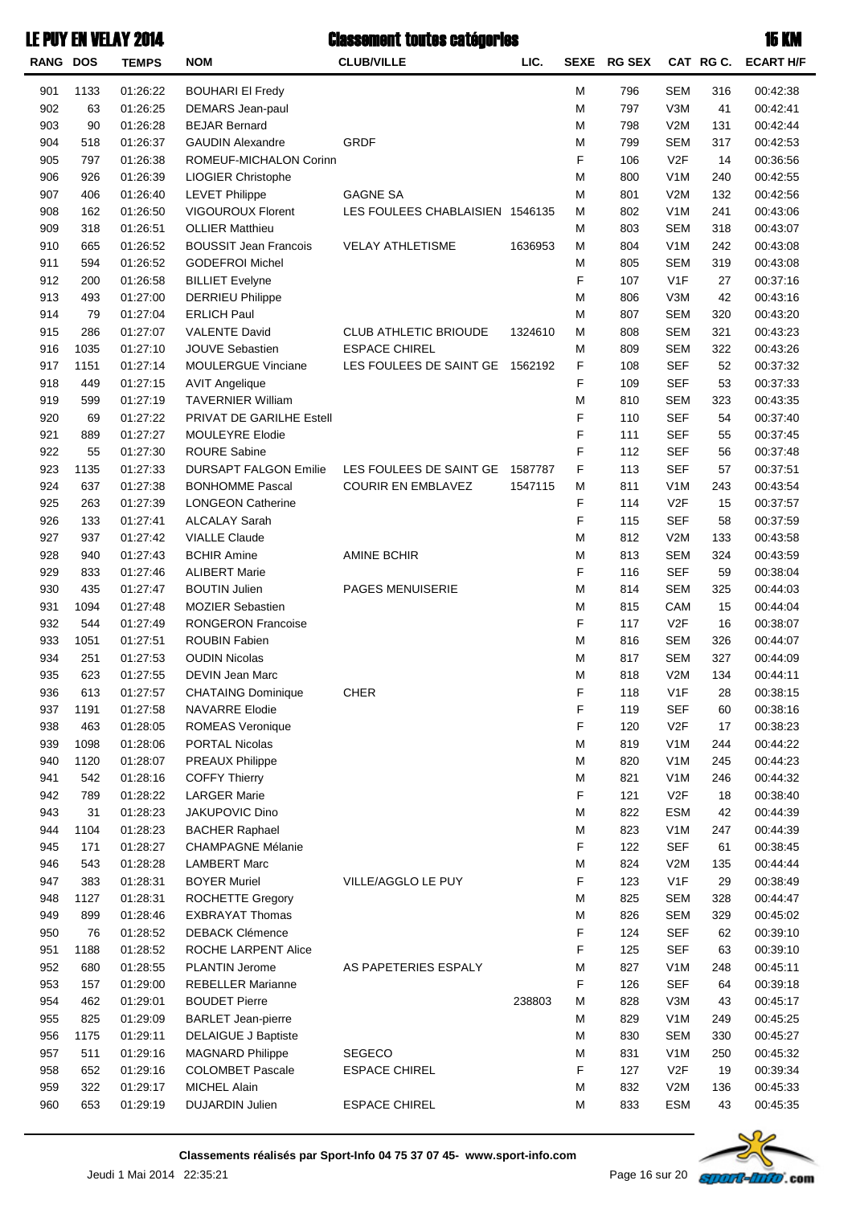| <b>RANG DOS</b> |            | <b>TEMPS</b> | <b>NOM</b>                      | <b>CLUB/VILLE</b>               | LIC.    |        | SEXE RG SEX |                  | CAT RG C. | <b>ECART H/F</b> |
|-----------------|------------|--------------|---------------------------------|---------------------------------|---------|--------|-------------|------------------|-----------|------------------|
| 901             | 1133       | 01:26:22     | <b>BOUHARI EI Fredy</b>         |                                 |         | М      | 796         | <b>SEM</b>       | 316       | 00:42:38         |
| 902             | 63         | 01:26:25     | <b>DEMARS</b> Jean-paul         |                                 |         | М      | 797         | V3M              | 41        | 00:42:41         |
| 903             | 90         | 01:26:28     | <b>BEJAR Bernard</b>            |                                 |         | М      | 798         | V2M              | 131       | 00:42:44         |
| 904             | 518        | 01:26:37     | <b>GAUDIN Alexandre</b>         | <b>GRDF</b>                     |         | М      | 799         | <b>SEM</b>       | 317       | 00:42:53         |
| 905             | 797        | 01:26:38     | ROMEUF-MICHALON Corinn          |                                 |         | F      | 106         | V <sub>2</sub> F | 14        | 00:36:56         |
| 906             | 926        | 01:26:39     | LIOGIER Christophe              |                                 |         | М      | 800         | V <sub>1</sub> M | 240       | 00:42:55         |
| 907             | 406        | 01:26:40     | <b>LEVET Philippe</b>           | <b>GAGNE SA</b>                 |         | М      | 801         | V2M              | 132       | 00:42:56         |
| 908             | 162        | 01:26:50     | <b>VIGOUROUX Florent</b>        | LES FOULEES CHABLAISIEN 1546135 |         | М      | 802         | V <sub>1</sub> M | 241       | 00:43:06         |
| 909             | 318        | 01:26:51     | <b>OLLIER Matthieu</b>          |                                 |         | М      | 803         | <b>SEM</b>       | 318       | 00:43:07         |
| 910             | 665        | 01:26:52     | <b>BOUSSIT Jean Francois</b>    | <b>VELAY ATHLETISME</b>         | 1636953 | М      | 804         | V <sub>1</sub> M | 242       | 00:43:08         |
| 911             | 594        | 01:26:52     | <b>GODEFROI Michel</b>          |                                 |         | М      | 805         | <b>SEM</b>       | 319       | 00:43:08         |
| 912             | 200        | 01:26:58     | <b>BILLIET Evelyne</b>          |                                 |         | F      | 107         | V1F              | 27        | 00:37:16         |
| 913             | 493        | 01:27:00     | <b>DERRIEU Philippe</b>         |                                 |         | М      | 806         | V3M              | 42        | 00:43:16         |
| 914             | 79         | 01:27:04     | <b>ERLICH Paul</b>              |                                 |         | М      | 807         | <b>SEM</b>       | 320       | 00:43:20         |
| 915             | 286        | 01:27:07     | <b>VALENTE David</b>            | <b>CLUB ATHLETIC BRIOUDE</b>    | 1324610 | М      | 808         | <b>SEM</b>       | 321       | 00:43:23         |
| 916             | 1035       | 01:27:10     | <b>JOUVE Sebastien</b>          | <b>ESPACE CHIREL</b>            |         | М      | 809         | <b>SEM</b>       | 322       | 00:43:26         |
| 917             | 1151       | 01:27:14     | <b>MOULERGUE Vinciane</b>       | LES FOULEES DE SAINT GE         | 1562192 | F      | 108         | <b>SEF</b>       | 52        | 00:37:32         |
| 918             | 449        | 01:27:15     | <b>AVIT Angelique</b>           |                                 |         | F      | 109         | <b>SEF</b>       | 53        | 00:37:33         |
| 919             | 599        | 01:27:19     | <b>TAVERNIER William</b>        |                                 |         | М      | 810         | <b>SEM</b>       | 323       | 00:43:35         |
| 920             | 69         | 01:27:22     | <b>PRIVAT DE GARILHE Estell</b> |                                 |         | F      | 110         | <b>SEF</b>       | 54        | 00:37:40         |
| 921             | 889        | 01:27:27     | <b>MOULEYRE Elodie</b>          |                                 |         | F      | 111         | <b>SEF</b>       | 55        | 00:37:45         |
| 922             | 55         | 01:27:30     | <b>ROURE Sabine</b>             |                                 |         | F      | 112         | <b>SEF</b>       | 56        | 00:37:48         |
| 923             | 1135       | 01:27:33     | <b>DURSAPT FALGON Emilie</b>    | LES FOULEES DE SAINT GE         | 1587787 | F      | 113         | <b>SEF</b>       | 57        | 00:37:51         |
| 924             | 637        | 01:27:38     | <b>BONHOMME Pascal</b>          | <b>COURIR EN EMBLAVEZ</b>       | 1547115 | М      | 811         | V <sub>1</sub> M | 243       | 00:43:54         |
| 925             | 263        | 01:27:39     | <b>LONGEON Catherine</b>        |                                 |         | F      | 114         | V <sub>2</sub> F | 15        | 00:37:57         |
| 926             | 133        | 01:27:41     | <b>ALCALAY Sarah</b>            |                                 |         | F      | 115         | SEF              | 58        | 00:37:59         |
| 927             | 937        | 01:27:42     | <b>VIALLE Claude</b>            |                                 |         | М      | 812         | V2M              | 133       | 00:43:58         |
| 928             | 940        | 01:27:43     | <b>BCHIR Amine</b>              | <b>AMINE BCHIR</b>              |         | M      | 813         | <b>SEM</b>       | 324       | 00:43:59         |
| 929             | 833        | 01:27:46     | <b>ALIBERT Marie</b>            |                                 |         | F      | 116         | <b>SEF</b>       | 59        | 00:38:04         |
| 930             | 435        | 01:27:47     | <b>BOUTIN Julien</b>            | <b>PAGES MENUISERIE</b>         |         | М      | 814         | <b>SEM</b>       | 325       | 00:44:03         |
| 931             | 1094       | 01:27:48     | <b>MOZIER Sebastien</b>         |                                 |         | M      | 815         | CAM              | 15        | 00:44:04         |
| 932             | 544        | 01:27:49     | <b>RONGERON Francoise</b>       |                                 |         | F      | 117         | V <sub>2</sub> F | 16        | 00:38:07         |
| 933             | 1051       | 01:27:51     | <b>ROUBIN Fabien</b>            |                                 |         | M      | 816         | <b>SEM</b>       | 326       | 00:44:07         |
| 934             | 251        | 01:27:53     | <b>OUDIN Nicolas</b>            |                                 |         | М      | 817         | <b>SEM</b>       | 327       | 00:44:09         |
| 935             | 623        | 01:27:55     | <b>DEVIN Jean Marc</b>          |                                 |         | M      | 818         | V2M              | 134       | 00:44:11         |
| 936             | 613        | 01:27:57     | <b>CHATAING Dominique</b>       | <b>CHER</b>                     |         | F      | 118         | V <sub>1</sub> F | 28        | 00:38:15         |
| 937             | 1191       | 01:27:58     | NAVARRE Elodie                  |                                 |         | F      | 119         | SEF              | 60        | 00:38:16         |
| 938             | 463        | 01:28:05     | <b>ROMEAS Veronique</b>         |                                 |         | F      | 120         | V <sub>2</sub> F | 17        | 00:38:23         |
| 939             | 1098       | 01:28:06     | <b>PORTAL Nicolas</b>           |                                 |         | М      | 819         | V <sub>1</sub> M | 244       | 00:44:22         |
| 940             | 1120       | 01:28:07     | <b>PREAUX Philippe</b>          |                                 |         | М      | 820         | V <sub>1</sub> M | 245       | 00:44:23         |
| 941             | 542        | 01:28:16     | <b>COFFY Thierry</b>            |                                 |         | М      | 821         | V <sub>1</sub> M | 246       | 00:44:32         |
| 942             | 789        | 01:28:22     | <b>LARGER Marie</b>             |                                 |         | F      | 121         | V <sub>2</sub> F | 18        | 00:38:40         |
| 943             | 31         | 01:28:23     | JAKUPOVIC Dino                  |                                 |         | М      | 822         | <b>ESM</b>       | 42        | 00:44:39         |
| 944             | 1104       | 01:28:23     | <b>BACHER Raphael</b>           |                                 |         | М      | 823         | V <sub>1</sub> M | 247       | 00:44:39         |
| 945             | 171        | 01:28:27     | <b>CHAMPAGNE Mélanie</b>        |                                 |         | F      | 122         | <b>SEF</b>       | 61        | 00:38:45         |
| 946             | 543        | 01:28:28     | <b>LAMBERT Marc</b>             |                                 |         | М      | 824         | V2M              | 135       | 00:44:44         |
| 947             | 383        | 01:28:31     | <b>BOYER Muriel</b>             | VILLE/AGGLO LE PUY              |         | F      | 123         | V <sub>1</sub> F | 29        | 00:38:49         |
| 948             | 1127       | 01:28:31     | <b>ROCHETTE Gregory</b>         |                                 |         | М      | 825         | <b>SEM</b>       | 328       | 00:44:47         |
| 949             | 899        | 01:28:46     | <b>EXBRAYAT Thomas</b>          |                                 |         | М      | 826         | <b>SEM</b>       | 329       | 00:45:02         |
| 950             | 76         | 01:28:52     | <b>DEBACK Clémence</b>          |                                 |         | F      | 124         | <b>SEF</b>       | 62        | 00:39:10         |
| 951             | 1188       | 01:28:52     | ROCHE LARPENT Alice             |                                 |         | F      | 125         | <b>SEF</b>       | 63        | 00:39:10         |
| 952             | 680        | 01:28:55     | PLANTIN Jerome                  | AS PAPETERIES ESPALY            |         | М      | 827         | V <sub>1</sub> M | 248       | 00:45:11         |
| 953             | 157        | 01:29:00     | <b>REBELLER Marianne</b>        |                                 |         | F      | 126         | <b>SEF</b>       | 64        | 00:39:18         |
| 954             | 462        | 01:29:01     | <b>BOUDET Pierre</b>            |                                 | 238803  | М      | 828         | V3M              | 43        | 00:45:17         |
| 955             | 825        | 01:29:09     | <b>BARLET Jean-pierre</b>       |                                 |         | М      | 829         | V <sub>1</sub> M | 249       | 00:45:25         |
| 956             | 1175       | 01:29:11     | <b>DELAIGUE J Baptiste</b>      |                                 |         | М      | 830         | <b>SEM</b>       | 330       | 00:45:27         |
| 957             | 511        | 01:29:16     | <b>MAGNARD Philippe</b>         | <b>SEGECO</b>                   |         | М      | 831         | V <sub>1</sub> M | 250       | 00:45:32         |
| 958             | 652        | 01:29:16     | <b>COLOMBET Pascale</b>         | <b>ESPACE CHIREL</b>            |         | F      | 127         | V <sub>2</sub> F | 19        | 00:39:34         |
| 959<br>960      | 322<br>653 | 01:29:17     | <b>MICHEL Alain</b>             |                                 |         | М<br>M | 832<br>833  | V2M              | 136<br>43 | 00:45:33         |
|                 |            | 01:29:19     | DUJARDIN Julien                 | <b>ESPACE CHIREL</b>            |         |        |             | <b>ESM</b>       |           | 00:45:35         |

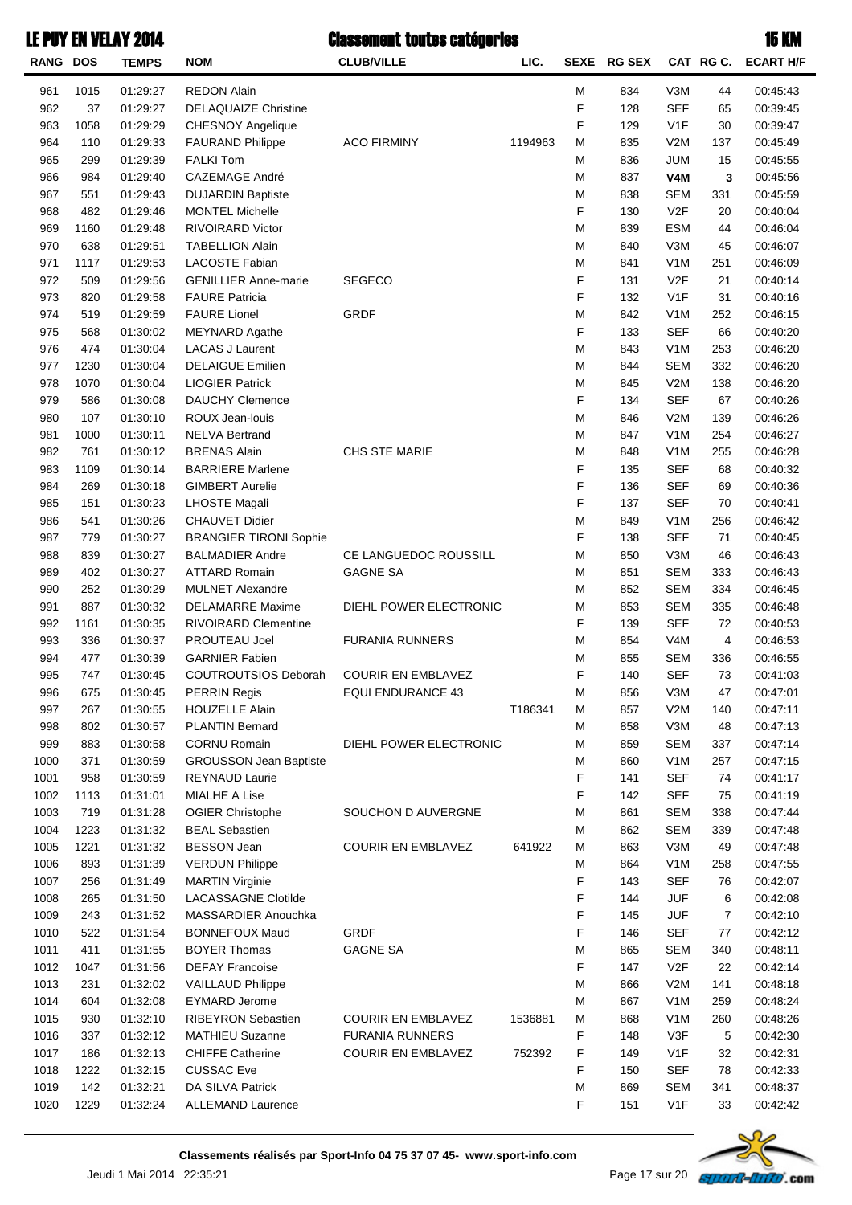| <b>RANG DOS</b> |      | <b>TEMPS</b> | <b>NOM</b>                    | <b>CLUB/VILLE</b>         | LIC.    | <b>SEXE</b> | <b>RG SEX</b> |                  | CAT RGC. | <b>ECART H/F</b> |
|-----------------|------|--------------|-------------------------------|---------------------------|---------|-------------|---------------|------------------|----------|------------------|
| 961             | 1015 | 01:29:27     | <b>REDON Alain</b>            |                           |         | M           | 834           | V3M              | 44       | 00:45:43         |
| 962             | 37   | 01:29:27     | <b>DELAQUAIZE Christine</b>   |                           |         | F           | 128           | <b>SEF</b>       | 65       | 00:39:45         |
| 963             | 1058 | 01:29:29     | CHESNOY Angelique             |                           |         | F           | 129           | V1F              | 30       | 00:39:47         |
| 964             | 110  | 01:29:33     | <b>FAURAND Philippe</b>       | <b>ACO FIRMINY</b>        | 1194963 | M           | 835           | V2M              | 137      | 00:45:49         |
| 965             | 299  | 01:29:39     | <b>FALKI Tom</b>              |                           |         | M           | 836           | <b>JUM</b>       | 15       | 00:45:55         |
| 966             | 984  | 01:29:40     | <b>CAZEMAGE André</b>         |                           |         | M           | 837           | V <sub>4</sub> M | 3        | 00:45:56         |
| 967             | 551  | 01:29:43     | <b>DUJARDIN Baptiste</b>      |                           |         | M           | 838           | <b>SEM</b>       | 331      | 00:45:59         |
| 968             | 482  | 01:29:46     | <b>MONTEL Michelle</b>        |                           |         | F           | 130           | V <sub>2</sub> F | 20       | 00:40:04         |
| 969             | 1160 | 01:29:48     | <b>RIVOIRARD Victor</b>       |                           |         | M           | 839           | <b>ESM</b>       | 44       | 00:46:04         |
| 970             | 638  | 01:29:51     | <b>TABELLION Alain</b>        |                           |         | M           | 840           | V3M              | 45       | 00:46:07         |
| 971             | 1117 | 01:29:53     | LACOSTE Fabian                |                           |         | M           | 841           | V <sub>1</sub> M | 251      | 00:46:09         |
| 972             | 509  | 01:29:56     | <b>GENILLIER Anne-marie</b>   | <b>SEGECO</b>             |         | F           | 131           | V <sub>2</sub> F | 21       | 00:40:14         |
| 973             | 820  | 01:29:58     | <b>FAURE Patricia</b>         |                           |         | F           | 132           | V <sub>1</sub> F | 31       | 00:40:16         |
| 974             | 519  | 01:29:59     | <b>FAURE Lionel</b>           | <b>GRDF</b>               |         | M           | 842           | V <sub>1</sub> M | 252      | 00:46:15         |
| 975             | 568  | 01:30:02     | <b>MEYNARD Agathe</b>         |                           |         | F           | 133           | <b>SEF</b>       | 66       | 00:40:20         |
| 976             | 474  | 01:30:04     | <b>LACAS J Laurent</b>        |                           |         | M           | 843           | V <sub>1</sub> M | 253      | 00:46:20         |
| 977             | 1230 | 01:30:04     | <b>DELAIGUE Emilien</b>       |                           |         | M           | 844           | <b>SEM</b>       | 332      | 00:46:20         |
| 978             | 1070 | 01:30:04     | <b>LIOGIER Patrick</b>        |                           |         | M           | 845           | V2M              | 138      | 00:46:20         |
| 979             | 586  | 01:30:08     | <b>DAUCHY Clemence</b>        |                           |         | F           | 134           | <b>SEF</b>       | 67       | 00:40:26         |
| 980             | 107  | 01:30:10     | ROUX Jean-louis               |                           |         | M           | 846           | V2M              | 139      | 00:46:26         |
| 981             | 1000 | 01:30:11     | <b>NELVA Bertrand</b>         |                           |         | M           | 847           | V <sub>1</sub> M | 254      | 00:46:27         |
| 982             | 761  | 01:30:12     | <b>BRENAS Alain</b>           | CHS STE MARIE             |         | M           | 848           | V <sub>1</sub> M | 255      | 00:46:28         |
| 983             | 1109 | 01:30:14     | <b>BARRIERE Marlene</b>       |                           |         | F           | 135           | <b>SEF</b>       | 68       | 00:40:32         |
| 984             | 269  | 01:30:18     | <b>GIMBERT Aurelie</b>        |                           |         | F           | 136           | <b>SEF</b>       | 69       | 00:40:36         |
| 985             | 151  | 01:30:23     | <b>LHOSTE Magali</b>          |                           |         | F           | 137           | <b>SEF</b>       | 70       | 00:40:41         |
| 986             | 541  | 01:30:26     | CHAUVET Didier                |                           |         | M           | 849           | V <sub>1</sub> M | 256      | 00:46:42         |
| 987             | 779  | 01:30:27     | <b>BRANGIER TIRONI Sophie</b> |                           |         | F           | 138           | <b>SEF</b>       | 71       | 00:40:45         |
| 988             | 839  | 01:30:27     | <b>BALMADIER Andre</b>        | CE LANGUEDOC ROUSSILL     |         | M           | 850           | V3M              | 46       | 00:46:43         |
| 989             | 402  | 01:30:27     | <b>ATTARD Romain</b>          | <b>GAGNE SA</b>           |         | M           | 851           | <b>SEM</b>       | 333      | 00:46:43         |
| 990             | 252  | 01:30:29     | <b>MULNET Alexandre</b>       |                           |         | M           | 852           | <b>SEM</b>       | 334      | 00:46:45         |
| 991             | 887  | 01:30:32     | <b>DELAMARRE Maxime</b>       | DIEHL POWER ELECTRONIC    |         | M           | 853           | <b>SEM</b>       | 335      | 00:46:48         |
| 992             | 1161 | 01:30:35     | RIVOIRARD Clementine          |                           |         | F           | 139           | <b>SEF</b>       | 72       | 00:40:53         |
| 993             | 336  | 01:30:37     | PROUTEAU Joel                 | <b>FURANIA RUNNERS</b>    |         | M           | 854           | V4M              | 4        | 00:46:53         |
| 994             | 477  | 01:30:39     | <b>GARNIER Fabien</b>         |                           |         | M           | 855           | <b>SEM</b>       | 336      | 00:46:55         |
| 995             | 747  | 01:30:45     | <b>COUTROUTSIOS Deborah</b>   | <b>COURIR EN EMBLAVEZ</b> |         | F           | 140           | <b>SEF</b>       | 73       | 00:41:03         |
| 996             | 675  | 01:30:45     | PERRIN Regis                  | <b>EQUI ENDURANCE 43</b>  |         | М           | 856           | V3M              | 47       | 00:47:01         |
| 997             | 267  | 01:30:55     | <b>HOUZELLE Alain</b>         |                           | T186341 | M           | 857           | V2M              | 140      | 00:47:11         |
| 998             | 802  | 01:30:57     | <b>PLANTIN Bernard</b>        |                           |         | М           | 858           | V3M              | 48       | 00:47:13         |
| 999             | 883  | 01:30:58     | <b>CORNU Romain</b>           | DIEHL POWER ELECTRONIC    |         | M           | 859           | <b>SEM</b>       | 337      | 00:47:14         |
| 1000            | 371  | 01:30:59     | <b>GROUSSON Jean Baptiste</b> |                           |         | M           | 860           | V <sub>1</sub> M | 257      | 00:47:15         |
| 1001            | 958  | 01:30:59     | REYNAUD Laurie                |                           |         | F           | 141           | <b>SEF</b>       | 74       | 00:41:17         |
| 1002            | 1113 | 01:31:01     | MIALHE A Lise                 |                           |         | F           | 142           | <b>SEF</b>       | 75       | 00:41:19         |
| 1003            | 719  | 01:31:28     | <b>OGIER Christophe</b>       | SOUCHON D AUVERGNE        |         | М           | 861           | <b>SEM</b>       | 338      | 00:47:44         |
| 1004            | 1223 | 01:31:32     | <b>BEAL Sebastien</b>         |                           |         | M           | 862           | <b>SEM</b>       | 339      | 00:47:48         |
| 1005            | 1221 | 01:31:32     | <b>BESSON Jean</b>            | <b>COURIR EN EMBLAVEZ</b> | 641922  | M           | 863           | V3M              | 49       | 00:47:48         |
| 1006            | 893  | 01:31:39     | <b>VERDUN Philippe</b>        |                           |         | M           | 864           | V <sub>1</sub> M | 258      | 00:47:55         |
| 1007            | 256  | 01:31:49     | <b>MARTIN Virginie</b>        |                           |         | F           | 143           | <b>SEF</b>       | 76       | 00:42:07         |
| 1008            | 265  | 01:31:50     | <b>LACASSAGNE Clotilde</b>    |                           |         | F           | 144           | <b>JUF</b>       | 6        | 00:42:08         |
| 1009            | 243  | 01:31:52     | MASSARDIER Anouchka           |                           |         | F           | 145           | <b>JUF</b>       | 7        | 00:42:10         |
| 1010            | 522  | 01:31:54     | <b>BONNEFOUX Maud</b>         | <b>GRDF</b>               |         | F           | 146           | <b>SEF</b>       | 77       | 00:42:12         |
| 1011            | 411  | 01:31:55     | <b>BOYER Thomas</b>           | <b>GAGNE SA</b>           |         | M           | 865           | <b>SEM</b>       | 340      | 00:48:11         |
| 1012            | 1047 | 01:31:56     | <b>DEFAY Francoise</b>        |                           |         | F           | 147           | V <sub>2</sub> F | 22       | 00:42:14         |
| 1013            | 231  | 01:32:02     | <b>VAILLAUD Philippe</b>      |                           |         | M           | 866           | V2M              | 141      | 00:48:18         |
| 1014            | 604  | 01:32:08     | <b>EYMARD Jerome</b>          |                           |         | M           | 867           | V <sub>1</sub> M | 259      | 00:48:24         |
| 1015            | 930  | 01:32:10     | RIBEYRON Sebastien            | <b>COURIR EN EMBLAVEZ</b> | 1536881 | M           | 868           | V <sub>1</sub> M | 260      | 00:48:26         |
| 1016            | 337  | 01:32:12     | <b>MATHIEU Suzanne</b>        | <b>FURANIA RUNNERS</b>    |         | F           | 148           | V3F              | 5        | 00:42:30         |
| 1017            | 186  | 01:32:13     | <b>CHIFFE Catherine</b>       | <b>COURIR EN EMBLAVEZ</b> | 752392  | F           | 149           | V <sub>1</sub> F | 32       | 00:42:31         |
| 1018            | 1222 | 01:32:15     | <b>CUSSAC Eve</b>             |                           |         | F           | 150           | <b>SEF</b>       | 78       | 00:42:33         |
| 1019            | 142  | 01:32:21     | DA SILVA Patrick              |                           |         | M           | 869           | <b>SEM</b>       | 341      | 00:48:37         |
| 1020            | 1229 | 01:32:24     | ALLEMAND Laurence             |                           |         | F           | 151           | V <sub>1</sub> F | 33       | 00:42:42         |

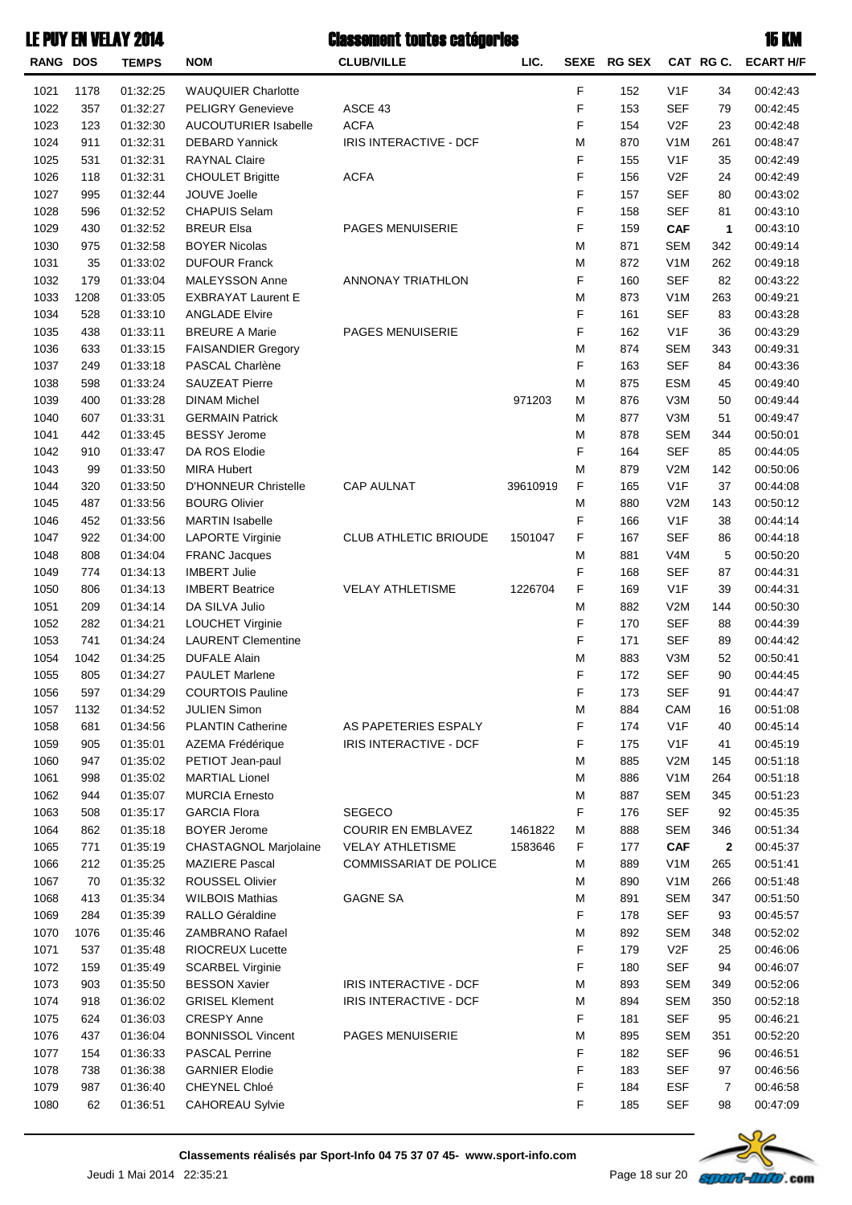| RANG DOS |      | <b>TEMPS</b> | <b>NOM</b>                  | <b>CLUB/VILLE</b>             | LIC.     | <b>SEXE</b> | <b>RG SEX</b> |                  | CAT RG C.   | <b>ECART H/F</b> |
|----------|------|--------------|-----------------------------|-------------------------------|----------|-------------|---------------|------------------|-------------|------------------|
| 1021     | 1178 | 01:32:25     | WAUQUIER Charlotte          |                               |          | F           | 152           | V <sub>1</sub> F | 34          | 00:42:43         |
| 1022     | 357  | 01:32:27     | <b>PELIGRY Genevieve</b>    | ASCE 43                       |          | F           | 153           | <b>SEF</b>       | 79          | 00:42:45         |
| 1023     | 123  | 01:32:30     | AUCOUTURIER Isabelle        | <b>ACFA</b>                   |          | F           | 154           | V <sub>2</sub> F | 23          | 00:42:48         |
| 1024     | 911  | 01:32:31     | <b>DEBARD Yannick</b>       | IRIS INTERACTIVE - DCF        |          | M           | 870           | V1M              | 261         | 00:48:47         |
| 1025     | 531  | 01:32:31     | <b>RAYNAL Claire</b>        |                               |          | F           | 155           | V <sub>1</sub> F | 35          | 00:42:49         |
| 1026     | 118  | 01:32:31     | <b>CHOULET Brigitte</b>     | <b>ACFA</b>                   |          | F           | 156           | V <sub>2</sub> F | 24          | 00:42:49         |
| 1027     | 995  | 01:32:44     | JOUVE Joelle                |                               |          | F           | 157           | <b>SEF</b>       | 80          | 00:43:02         |
| 1028     | 596  | 01:32:52     | <b>CHAPUIS Selam</b>        |                               |          | F           | 158           | <b>SEF</b>       | 81          | 00:43:10         |
| 1029     | 430  | 01:32:52     | <b>BREUR Elsa</b>           | PAGES MENUISERIE              |          | F           | 159           | <b>CAF</b>       | 1           | 00:43:10         |
| 1030     | 975  | 01:32:58     | <b>BOYER Nicolas</b>        |                               |          | M           | 871           | <b>SEM</b>       | 342         | 00:49:14         |
| 1031     | 35   | 01:33:02     | <b>DUFOUR Franck</b>        |                               |          | M           | 872           | V1M              | 262         | 00:49:18         |
| 1032     | 179  | 01:33:04     | MALEYSSON Anne              | ANNONAY TRIATHLON             |          | F           | 160           | <b>SEF</b>       | 82          | 00:43:22         |
| 1033     | 1208 | 01:33:05     | <b>EXBRAYAT Laurent E</b>   |                               |          | M           | 873           | V1M              | 263         | 00:49:21         |
| 1034     | 528  | 01:33:10     | <b>ANGLADE Elvire</b>       |                               |          | F           | 161           | <b>SEF</b>       | 83          | 00:43:28         |
| 1035     | 438  | 01:33:11     | <b>BREURE A Marie</b>       | PAGES MENUISERIE              |          | F           | 162           | V <sub>1</sub> F | 36          | 00:43:29         |
| 1036     | 633  | 01:33:15     | <b>FAISANDIER Gregory</b>   |                               |          | M           | 874           | <b>SEM</b>       | 343         | 00:49:31         |
| 1037     | 249  | 01:33:18     | PASCAL Charlène             |                               |          | F           | 163           | <b>SEF</b>       | 84          | 00:43:36         |
| 1038     | 598  | 01:33:24     | <b>SAUZEAT Pierre</b>       |                               |          | M           | 875           | <b>ESM</b>       | 45          | 00:49:40         |
| 1039     | 400  | 01:33:28     | <b>DINAM Michel</b>         |                               | 971203   | M           | 876           | V3M              | 50          | 00:49:44         |
| 1040     | 607  | 01:33:31     | <b>GERMAIN Patrick</b>      |                               |          | M           | 877           | V3M              | 51          | 00:49:47         |
| 1041     | 442  | 01:33:45     | <b>BESSY Jerome</b>         |                               |          | M           | 878           | <b>SEM</b>       | 344         | 00:50:01         |
| 1042     | 910  | 01:33:47     | DA ROS Elodie               |                               |          | F           | 164           | <b>SEF</b>       | 85          | 00:44:05         |
| 1043     | 99   | 01:33:50     | <b>MIRA Hubert</b>          |                               |          | M           | 879           | V2M              | 142         | 00:50:06         |
| 1044     | 320  | 01:33:50     | <b>D'HONNEUR Christelle</b> | <b>CAP AULNAT</b>             | 39610919 | F           | 165           | V <sub>1</sub> F | 37          | 00:44:08         |
| 1045     | 487  | 01:33:56     | <b>BOURG Olivier</b>        |                               |          | M           | 880           | V2M              | 143         | 00:50:12         |
| 1046     | 452  | 01:33:56     | <b>MARTIN Isabelle</b>      |                               |          | F           | 166           | V <sub>1</sub> F | 38          | 00:44:14         |
| 1047     | 922  | 01:34:00     | <b>LAPORTE Virginie</b>     | CLUB ATHLETIC BRIOUDE         | 1501047  | F           | 167           | <b>SEF</b>       | 86          | 00:44:18         |
| 1048     | 808  | 01:34:04     | <b>FRANC Jacques</b>        |                               |          | M           | 881           | V <sub>4</sub> M | 5           | 00:50:20         |
| 1049     | 774  | 01:34:13     | <b>IMBERT Julie</b>         |                               |          | F           | 168           | <b>SEF</b>       | 87          | 00:44:31         |
| 1050     | 806  | 01:34:13     | <b>IMBERT Beatrice</b>      | <b>VELAY ATHLETISME</b>       | 1226704  | F           | 169           | V <sub>1</sub> F | 39          | 00:44:31         |
| 1051     | 209  | 01:34:14     | DA SILVA Julio              |                               |          | M           | 882           | V2M              | 144         | 00:50:30         |
| 1052     | 282  | 01:34:21     | LOUCHET Virginie            |                               |          | F           | 170           | <b>SEF</b>       | 88          | 00:44:39         |
| 1053     | 741  | 01:34:24     | <b>LAURENT Clementine</b>   |                               |          | F           | 171           | <b>SEF</b>       | 89          | 00:44:42         |
| 1054     | 1042 | 01:34:25     | <b>DUFALE Alain</b>         |                               |          | M           | 883           | V3M              | 52          | 00:50:41         |
| 1055     | 805  | 01:34:27     | <b>PAULET Marlene</b>       |                               |          | F           | 172           | <b>SEF</b>       | 90          | 00:44:45         |
| 1056     | 597  | 01:34:29     | <b>COURTOIS Pauline</b>     |                               |          | F           | 173           | <b>SEF</b>       | 91          | 00:44:47         |
| 1057     | 1132 | 01:34:52     | <b>JULIEN Simon</b>         |                               |          | M           | 884           | CAM              | 16          | 00:51:08         |
| 1058     | 681  | 01:34:56     | <b>PLANTIN Catherine</b>    | AS PAPETERIES ESPALY          |          | F           | 174           | V1F              | 40          | 00:45:14         |
| 1059     | 905  | 01:35:01     | AZEMA Frédérique            | IRIS INTERACTIVE - DCF        |          | F           | 175           | V <sub>1</sub> F | 41          | 00:45:19         |
| 1060     | 947  | 01:35:02     | PETIOT Jean-paul            |                               |          | M           | 885           | V2M              | 145         | 00:51:18         |
| 1061     | 998  | 01:35:02     | <b>MARTIAL Lionel</b>       |                               |          | M           | 886           | V <sub>1</sub> M | 264         | 00:51:18         |
| 1062     | 944  | 01:35:07     | <b>MURCIA Ernesto</b>       |                               |          | M           | 887           | <b>SEM</b>       | 345         | 00:51:23         |
| 1063     | 508  | 01:35:17     | <b>GARCIA Flora</b>         | <b>SEGECO</b>                 |          | F           | 176           | <b>SEF</b>       | 92          | 00:45:35         |
| 1064     | 862  | 01:35:18     | <b>BOYER Jerome</b>         | <b>COURIR EN EMBLAVEZ</b>     | 1461822  | M           | 888           | <b>SEM</b>       | 346         | 00:51:34         |
| 1065     | 771  | 01:35:19     | CHASTAGNOL Marjolaine       | <b>VELAY ATHLETISME</b>       | 1583646  | F           | 177           | <b>CAF</b>       | $\mathbf 2$ | 00:45:37         |
| 1066     | 212  | 01:35:25     | <b>MAZIERE Pascal</b>       | <b>COMMISSARIAT DE POLICE</b> |          | M           | 889           | V <sub>1</sub> M | 265         | 00:51:41         |
| 1067     | 70   | 01:35:32     | <b>ROUSSEL Olivier</b>      |                               |          | M           | 890           | V <sub>1</sub> M | 266         | 00:51:48         |
| 1068     | 413  | 01:35:34     | <b>WILBOIS Mathias</b>      | <b>GAGNE SA</b>               |          | M           | 891           | <b>SEM</b>       | 347         | 00:51:50         |
| 1069     | 284  | 01:35:39     | RALLO Géraldine             |                               |          | F           | 178           | <b>SEF</b>       | 93          | 00:45:57         |
| 1070     | 1076 | 01:35:46     | ZAMBRANO Rafael             |                               |          | M           | 892           | <b>SEM</b>       | 348         | 00:52:02         |
| 1071     | 537  | 01:35:48     | <b>RIOCREUX Lucette</b>     |                               |          | F           | 179           | V2F              | 25          | 00:46:06         |
| 1072     | 159  | 01:35:49     | <b>SCARBEL Virginie</b>     |                               |          | F           | 180           | <b>SEF</b>       | 94          | 00:46:07         |
| 1073     | 903  | 01:35:50     | <b>BESSON Xavier</b>        | IRIS INTERACTIVE - DCF        |          | M           | 893           | <b>SEM</b>       | 349         | 00:52:06         |
| 1074     | 918  | 01:36:02     | <b>GRISEL Klement</b>       | IRIS INTERACTIVE - DCF        |          | M           | 894           | <b>SEM</b>       | 350         | 00:52:18         |
| 1075     | 624  | 01:36:03     | <b>CRESPY Anne</b>          |                               |          | F           | 181           | <b>SEF</b>       | 95          | 00:46:21         |
| 1076     | 437  | 01:36:04     | <b>BONNISSOL Vincent</b>    | PAGES MENUISERIE              |          | M           | 895           | <b>SEM</b>       | 351         | 00:52:20         |
| 1077     | 154  | 01:36:33     | <b>PASCAL Perrine</b>       |                               |          | F           | 182           | <b>SEF</b>       | 96          | 00:46:51         |
| 1078     | 738  | 01:36:38     | <b>GARNIER Elodie</b>       |                               |          | F           | 183           | <b>SEF</b>       | 97          | 00:46:56         |
| 1079     | 987  | 01:36:40     | CHEYNEL Chloé               |                               |          | F           | 184           | <b>ESF</b>       | 7           | 00:46:58         |
| 1080     | 62   | 01:36:51     | <b>CAHOREAU Sylvie</b>      |                               |          | F           | 185           | <b>SEF</b>       | 98          | 00:47:09         |

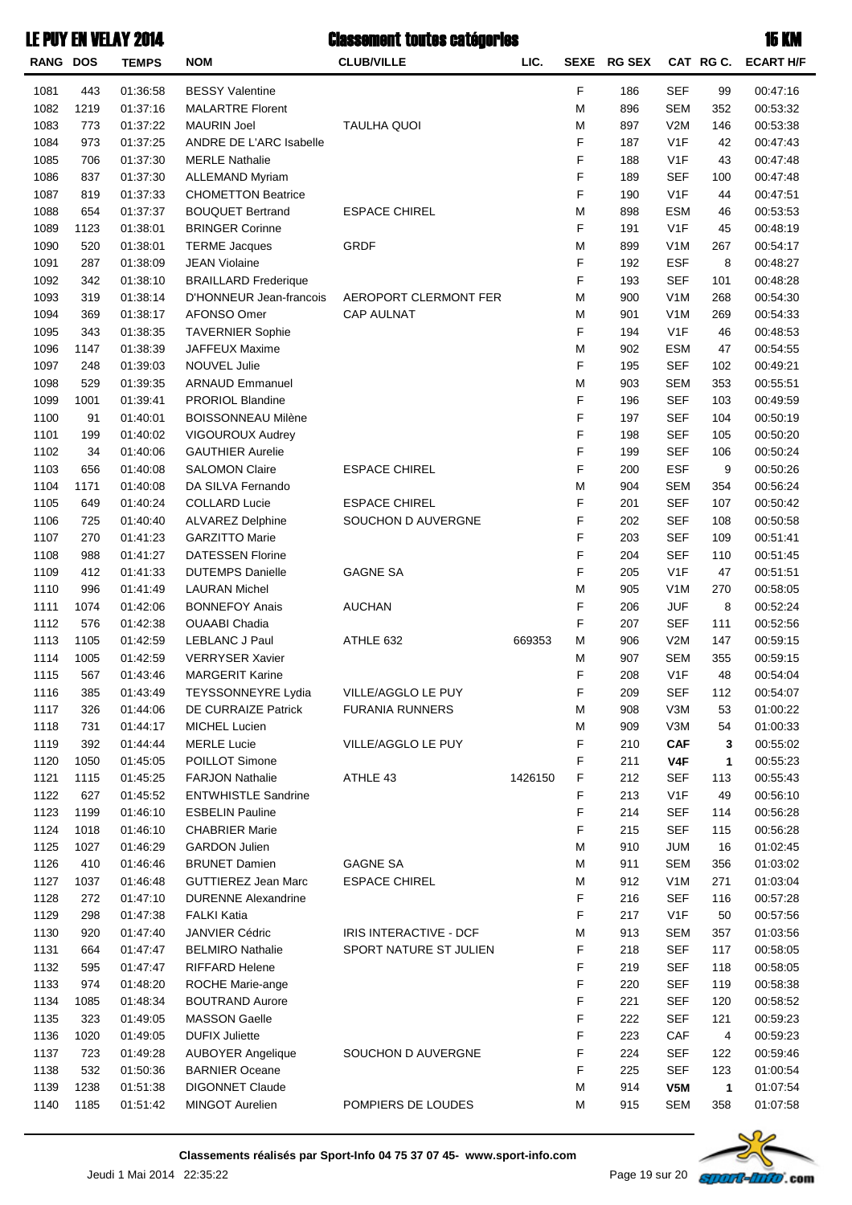| <b>RANG DOS</b> |      | <b>TEMPS</b> | <b>NOM</b>                                    | <b>CLUB/VILLE</b>      | LIC.    | <b>SEXE</b> | <b>RG SEX</b> |                  | CAT RGC. | <b>ECART H/F</b> |
|-----------------|------|--------------|-----------------------------------------------|------------------------|---------|-------------|---------------|------------------|----------|------------------|
| 1081            | 443  | 01:36:58     | <b>BESSY Valentine</b>                        |                        |         | F           | 186           | <b>SEF</b>       | 99       | 00:47:16         |
| 1082            | 1219 | 01:37:16     | <b>MALARTRE Florent</b>                       |                        |         | M           | 896           | <b>SEM</b>       | 352      | 00:53:32         |
| 1083            | 773  | 01:37:22     | <b>MAURIN Joel</b>                            | <b>TAULHA QUOI</b>     |         | M           | 897           | V2M              | 146      | 00:53:38         |
| 1084            | 973  | 01:37:25     | ANDRE DE L'ARC Isabelle                       |                        |         | F           | 187           | V1F              | 42       | 00:47:43         |
| 1085            | 706  | 01:37:30     | <b>MERLE Nathalie</b>                         |                        |         | F           | 188           | V1F              | 43       | 00:47:48         |
| 1086            | 837  | 01:37:30     | <b>ALLEMAND Myriam</b>                        |                        |         | F           | 189           | <b>SEF</b>       | 100      | 00:47:48         |
| 1087            | 819  | 01:37:33     | <b>CHOMETTON Beatrice</b>                     |                        |         | F           | 190           | V1F              | 44       | 00:47:51         |
| 1088            | 654  | 01:37:37     | <b>BOUQUET Bertrand</b>                       | <b>ESPACE CHIREL</b>   |         | M           | 898           | <b>ESM</b>       | 46       | 00:53:53         |
| 1089            | 1123 | 01:38:01     | <b>BRINGER Corinne</b>                        |                        |         | F           | 191           | V1F              | 45       | 00:48:19         |
| 1090            | 520  | 01:38:01     | <b>TERME Jacques</b>                          | <b>GRDF</b>            |         | M           | 899           | V <sub>1</sub> M | 267      | 00:54:17         |
| 1091            | 287  | 01:38:09     | <b>JEAN Violaine</b>                          |                        |         | F           | 192           | <b>ESF</b>       | 8        | 00:48:27         |
| 1092            | 342  | 01:38:10     | <b>BRAILLARD Frederique</b>                   |                        |         | F           | 193           | <b>SEF</b>       | 101      | 00:48:28         |
| 1093            | 319  | 01:38:14     | D'HONNEUR Jean-francois                       | AEROPORT CLERMONT FER  |         | M           | 900           | V <sub>1</sub> M | 268      | 00:54:30         |
| 1094            | 369  | 01:38:17     | AFONSO Omer                                   | <b>CAP AULNAT</b>      |         | M           | 901           | V <sub>1</sub> M | 269      | 00:54:33         |
| 1095            | 343  | 01:38:35     | <b>TAVERNIER Sophie</b>                       |                        |         | F           | 194           | V1F              | 46       | 00:48:53         |
| 1096            | 1147 | 01:38:39     | <b>JAFFEUX Maxime</b>                         |                        |         | M           | 902           | <b>ESM</b>       | 47       | 00:54:55         |
| 1097            | 248  | 01:39:03     | <b>NOUVEL Julie</b>                           |                        |         | F           | 195           | <b>SEF</b>       | 102      | 00:49:21         |
|                 |      |              |                                               |                        |         |             |               | <b>SEM</b>       |          |                  |
| 1098            | 529  | 01:39:35     | <b>ARNAUD Emmanuel</b>                        |                        |         | M<br>F      | 903           | <b>SEF</b>       | 353      | 00:55:51         |
| 1099            | 1001 | 01:39:41     | PRORIOL Blandine<br><b>BOISSONNEAU Milène</b> |                        |         | F           | 196           | <b>SEF</b>       | 103      | 00:49:59         |
| 1100            | 91   | 01:40:01     |                                               |                        |         |             | 197           |                  | 104      | 00:50:19         |
| 1101            | 199  | 01:40:02     | <b>VIGOUROUX Audrey</b>                       |                        |         | F           | 198           | <b>SEF</b>       | 105      | 00:50:20         |
| 1102            | 34   | 01:40:06     | <b>GAUTHIER Aurelie</b>                       |                        |         | F           | 199           | <b>SEF</b>       | 106      | 00:50:24         |
| 1103            | 656  | 01:40:08     | <b>SALOMON Claire</b>                         | <b>ESPACE CHIREL</b>   |         | F           | 200           | <b>ESF</b>       | 9        | 00:50:26         |
| 1104            | 1171 | 01:40:08     | DA SILVA Fernando                             |                        |         | M           | 904           | <b>SEM</b>       | 354      | 00:56:24         |
| 1105            | 649  | 01:40:24     | <b>COLLARD Lucie</b>                          | <b>ESPACE CHIREL</b>   |         | F           | 201           | <b>SEF</b>       | 107      | 00:50:42         |
| 1106            | 725  | 01:40:40     | <b>ALVAREZ Delphine</b>                       | SOUCHON D AUVERGNE     |         | F           | 202           | <b>SEF</b>       | 108      | 00:50:58         |
| 1107            | 270  | 01:41:23     | <b>GARZITTO Marie</b>                         |                        |         | F           | 203           | <b>SEF</b>       | 109      | 00:51:41         |
| 1108            | 988  | 01:41:27     | <b>DATESSEN Florine</b>                       |                        |         | F           | 204           | <b>SEF</b>       | 110      | 00:51:45         |
| 1109            | 412  | 01:41:33     | <b>DUTEMPS Danielle</b>                       | <b>GAGNE SA</b>        |         | F           | 205           | V1F              | 47       | 00:51:51         |
| 1110            | 996  | 01:41:49     | <b>LAURAN Michel</b>                          |                        |         | M           | 905           | V <sub>1</sub> M | 270      | 00:58:05         |
| 1111            | 1074 | 01:42:06     | <b>BONNEFOY Anais</b>                         | <b>AUCHAN</b>          |         | F           | 206           | JUF              | 8        | 00:52:24         |
| 1112            | 576  | 01:42:38     | <b>OUAABI Chadia</b>                          |                        |         | F           | 207           | SEF              | 111      | 00:52:56         |
| 1113            | 1105 | 01:42:59     | <b>LEBLANC J Paul</b>                         | ATHLE 632              | 669353  | M           | 906           | V2M              | 147      | 00:59:15         |
| 1114            | 1005 | 01:42:59     | <b>VERRYSER Xavier</b>                        |                        |         | M           | 907           | <b>SEM</b>       | 355      | 00:59:15         |
| 1115            | 567  | 01:43:46     | <b>MARGERIT Karine</b>                        |                        |         | F           | 208           | V1F              | 48       | 00:54:04         |
| 1116            | 385  | 01:43:49     | <b>TEYSSONNEYRE Lydia</b>                     | VILLE/AGGLO LE PUY     |         | F           | 209           | SEF              | 112      | 00:54:07         |
| 1117            | 326  | 01:44:06     | DE CURRAIZE Patrick                           | <b>FURANIA RUNNERS</b> |         | M           | 908           | V3M              | 53       | 01:00:22         |
| 1118            | 731  | 01:44:17     | MICHEL Lucien                                 |                        |         | M           | 909           | V3M              | 54       | 01:00:33         |
| 1119            | 392  | 01:44:44     | <b>MERLE Lucie</b>                            | VILLE/AGGLO LE PUY     |         | F           | 210           | <b>CAF</b>       | 3        | 00:55:02         |
| 1120            | 1050 | 01:45:05     | POILLOT Simone                                |                        |         | F           | 211           | V4F              | 1        | 00:55:23         |
| 1121            | 1115 | 01:45:25     | <b>FARJON Nathalie</b>                        | ATHLE 43               | 1426150 | F           | 212           | <b>SEF</b>       | 113      | 00:55:43         |
| 1122            | 627  | 01:45:52     | <b>ENTWHISTLE Sandrine</b>                    |                        |         | F           | 213           | V <sub>1</sub> F | 49       | 00:56:10         |
| 1123            | 1199 | 01:46:10     | <b>ESBELIN Pauline</b>                        |                        |         | F           | 214           | <b>SEF</b>       | 114      | 00:56:28         |
| 1124            | 1018 | 01:46:10     | <b>CHABRIER Marie</b>                         |                        |         | F           | 215           | <b>SEF</b>       | 115      | 00:56:28         |
| 1125            | 1027 | 01:46:29     | <b>GARDON Julien</b>                          |                        |         | M           | 910           | <b>JUM</b>       | 16       | 01:02:45         |
| 1126            | 410  | 01:46:46     | <b>BRUNET Damien</b>                          | <b>GAGNE SA</b>        |         | M           | 911           | <b>SEM</b>       | 356      | 01:03:02         |
| 1127            | 1037 | 01:46:48     | <b>GUTTIEREZ Jean Marc</b>                    | <b>ESPACE CHIREL</b>   |         | M           | 912           | V <sub>1</sub> M | 271      | 01:03:04         |
| 1128            | 272  | 01:47:10     | <b>DURENNE Alexandrine</b>                    |                        |         | F           | 216           | <b>SEF</b>       | 116      | 00:57:28         |
| 1129            | 298  | 01:47:38     | <b>FALKI Katia</b>                            |                        |         | F           | 217           | V <sub>1</sub> F | 50       | 00:57:56         |
| 1130            | 920  | 01:47:40     | <b>JANVIER Cédric</b>                         | IRIS INTERACTIVE - DCF |         | M           | 913           | <b>SEM</b>       | 357      | 01:03:56         |
| 1131            | 664  | 01:47:47     | <b>BELMIRO Nathalie</b>                       | SPORT NATURE ST JULIEN |         | F           | 218           | <b>SEF</b>       | 117      | 00:58:05         |
| 1132            | 595  | 01:47:47     | <b>RIFFARD Helene</b>                         |                        |         | F           | 219           | <b>SEF</b>       | 118      | 00:58:05         |
| 1133            | 974  | 01:48:20     | ROCHE Marie-ange                              |                        |         | F           | 220           | <b>SEF</b>       | 119      | 00:58:38         |
| 1134            | 1085 | 01:48:34     | <b>BOUTRAND Aurore</b>                        |                        |         | F           | 221           | <b>SEF</b>       | 120      | 00:58:52         |
| 1135            | 323  | 01:49:05     | MASSON Gaelle                                 |                        |         | F           | 222           | <b>SEF</b>       | 121      | 00:59:23         |
| 1136            | 1020 | 01:49:05     | <b>DUFIX Juliette</b>                         |                        |         | F           | 223           | CAF              | 4        | 00:59:23         |
| 1137            | 723  | 01:49:28     | <b>AUBOYER Angelique</b>                      | SOUCHON D AUVERGNE     |         | F           | 224           | <b>SEF</b>       | 122      | 00:59:46         |
| 1138            | 532  | 01:50:36     | <b>BARNIER Oceane</b>                         |                        |         | F           | 225           | <b>SEF</b>       | 123      | 01:00:54         |
| 1139            | 1238 | 01:51:38     | <b>DIGONNET Claude</b>                        |                        |         | M           | 914           | V5M              | 1        | 01:07:54         |
| 1140            | 1185 | 01:51:42     | MINGOT Aurelien                               | POMPIERS DE LOUDES     |         | M           | 915           | SEM              | 358      | 01:07:58         |